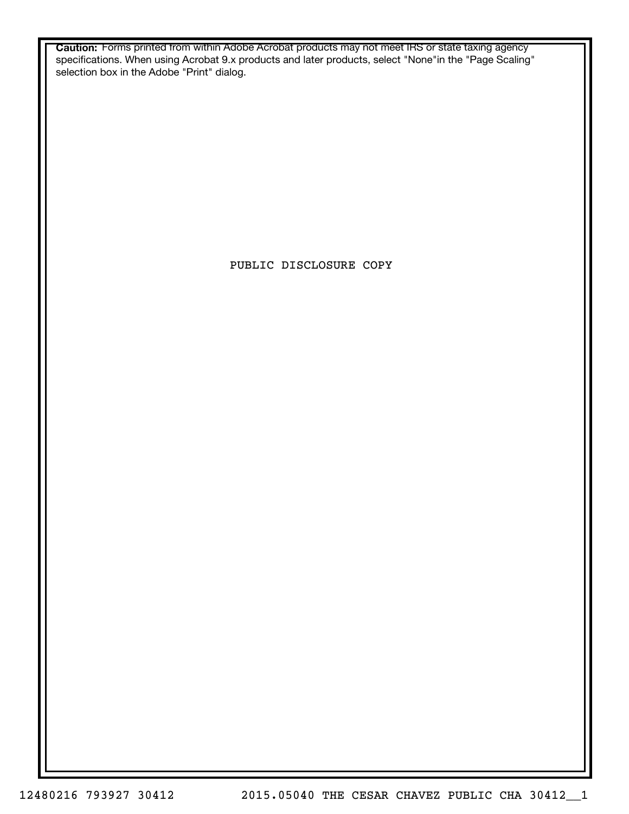**Caution:** Forms printed from within Adobe Acrobat products may not meet IRS or state taxing agency specifications. When using Acrobat 9.x products and later products, select "None"in the "Page Scaling" selection box in the Adobe "Print" dialog.

PUBLIC DISCLOSURE COPY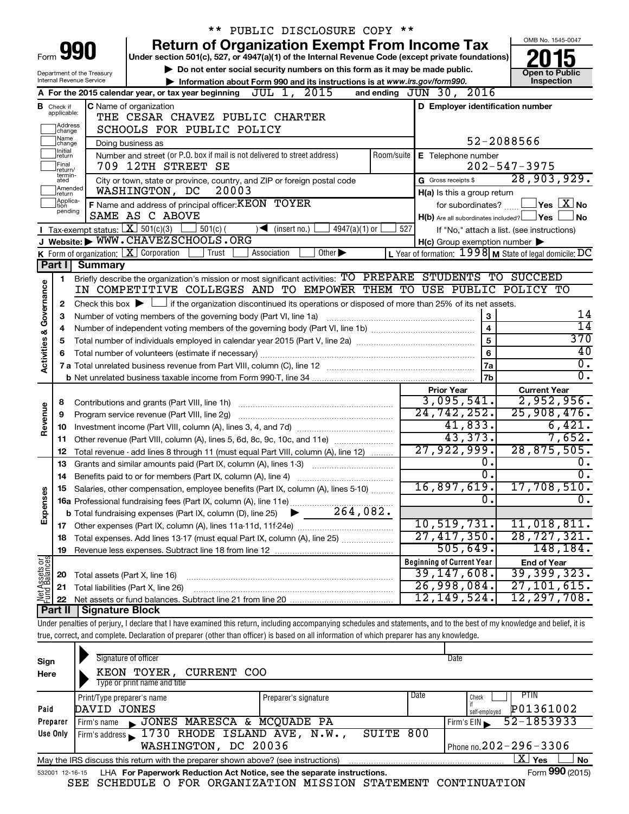|                                                                                                                                    |                                                                                                                      |                                                                                                                                                                                                                            | ** PUBLIC DISCLOSURE COPY **                                                                                                                                               |     |                                                     |                                                               |  |  |
|------------------------------------------------------------------------------------------------------------------------------------|----------------------------------------------------------------------------------------------------------------------|----------------------------------------------------------------------------------------------------------------------------------------------------------------------------------------------------------------------------|----------------------------------------------------------------------------------------------------------------------------------------------------------------------------|-----|-----------------------------------------------------|---------------------------------------------------------------|--|--|
|                                                                                                                                    |                                                                                                                      |                                                                                                                                                                                                                            | <b>Return of Organization Exempt From Income Tax</b>                                                                                                                       |     |                                                     | OMB No. 1545-0047                                             |  |  |
| Form                                                                                                                               |                                                                                                                      |                                                                                                                                                                                                                            | Under section 501(c), 527, or 4947(a)(1) of the Internal Revenue Code (except private foundations)                                                                         |     |                                                     |                                                               |  |  |
| Do not enter social security numbers on this form as it may be made public.<br><b>Open to Public</b><br>Department of the Treasury |                                                                                                                      |                                                                                                                                                                                                                            |                                                                                                                                                                            |     |                                                     |                                                               |  |  |
|                                                                                                                                    | Inspection<br>Internal Revenue Service<br>Information about Form 990 and its instructions is at www.irs.gov/form990. |                                                                                                                                                                                                                            |                                                                                                                                                                            |     |                                                     |                                                               |  |  |
| A For the 2015 calendar year, or tax year beginning $JUL$ 1, $\overline{2015}$<br>and ending $JUN$ 30, $2016$                      |                                                                                                                      |                                                                                                                                                                                                                            |                                                                                                                                                                            |     |                                                     |                                                               |  |  |
|                                                                                                                                    | <b>B</b> Check if<br>applicable:                                                                                     |                                                                                                                                                                                                                            | <b>C</b> Name of organization<br>THE CESAR CHAVEZ PUBLIC CHARTER                                                                                                           |     | D Employer identification number                    |                                                               |  |  |
|                                                                                                                                    | <b>Address</b>                                                                                                       |                                                                                                                                                                                                                            | SCHOOLS FOR PUBLIC POLICY                                                                                                                                                  |     |                                                     |                                                               |  |  |
|                                                                                                                                    | change<br>]Name<br>]change                                                                                           |                                                                                                                                                                                                                            | Doing business as                                                                                                                                                          |     |                                                     | 52-2088566                                                    |  |  |
|                                                                                                                                    | Initial<br>return                                                                                                    |                                                                                                                                                                                                                            | Number and street (or P.O. box if mail is not delivered to street address)                                                                                                 |     | Room/suite   E Telephone number                     |                                                               |  |  |
|                                                                                                                                    | Final<br>return/                                                                                                     |                                                                                                                                                                                                                            | 709 12TH STREET SE                                                                                                                                                         |     |                                                     | $202 - 547 - 3975$                                            |  |  |
|                                                                                                                                    | termin-<br>ated                                                                                                      |                                                                                                                                                                                                                            | City or town, state or province, country, and ZIP or foreign postal code                                                                                                   |     | G Gross receipts \$                                 | 28,903,929.                                                   |  |  |
|                                                                                                                                    | Amended<br>return                                                                                                    |                                                                                                                                                                                                                            | WASHINGTON, DC<br>20003                                                                                                                                                    |     | H(a) Is this a group return                         |                                                               |  |  |
|                                                                                                                                    | Applica-<br>tion<br>pending                                                                                          |                                                                                                                                                                                                                            | F Name and address of principal officer: KEON TOYER                                                                                                                        |     | for subordinates?                                   | $\sqrt{}$ Yes $\sqrt{ \ \ }$ No                               |  |  |
|                                                                                                                                    |                                                                                                                      |                                                                                                                                                                                                                            | SAME AS C ABOVE                                                                                                                                                            |     |                                                     | $H(b)$ Are all subordinates included? $\Box$ Yes<br><b>No</b> |  |  |
|                                                                                                                                    |                                                                                                                      |                                                                                                                                                                                                                            | Tax-exempt status: $X \overline{301(c)(3)}$<br>$\frac{1}{2}$ 501(c) (<br>$\sqrt{\bullet}$ (insert no.)<br>4947(a)(1) or                                                    | 527 |                                                     | If "No," attach a list. (see instructions)                    |  |  |
|                                                                                                                                    |                                                                                                                      | K Form of organization: $X$ Corporation                                                                                                                                                                                    | J Website: WWW.CHAVEZSCHOOLS.ORG<br>Trust<br>Association<br>Other $\blacktriangleright$                                                                                    |     | $H(c)$ Group exemption number $\blacktriangleright$ | L Year of formation: $1998$ M State of legal domicile: DC     |  |  |
|                                                                                                                                    | Part I                                                                                                               | <b>Summary</b>                                                                                                                                                                                                             |                                                                                                                                                                            |     |                                                     |                                                               |  |  |
|                                                                                                                                    | 1                                                                                                                    |                                                                                                                                                                                                                            | Briefly describe the organization's mission or most significant activities: TO PREPARE STUDENTS TO SUCCEED                                                                 |     |                                                     |                                                               |  |  |
|                                                                                                                                    |                                                                                                                      |                                                                                                                                                                                                                            | IN COMPETITIVE COLLEGES AND TO EMPOWER THEM TO USE PUBLIC POLICY TO                                                                                                        |     |                                                     |                                                               |  |  |
|                                                                                                                                    |                                                                                                                      |                                                                                                                                                                                                                            |                                                                                                                                                                            |     |                                                     |                                                               |  |  |
|                                                                                                                                    | 3                                                                                                                    | Check this box $\blacktriangleright$ $\Box$ if the organization discontinued its operations or disposed of more than 25% of its net assets.<br>2<br>3<br>Number of voting members of the governing body (Part VI, line 1a) |                                                                                                                                                                            |     |                                                     |                                                               |  |  |
|                                                                                                                                    | 4                                                                                                                    |                                                                                                                                                                                                                            | $\overline{4}$                                                                                                                                                             | 14  |                                                     |                                                               |  |  |
|                                                                                                                                    | 5                                                                                                                    |                                                                                                                                                                                                                            |                                                                                                                                                                            |     | 5                                                   | 370                                                           |  |  |
|                                                                                                                                    |                                                                                                                      |                                                                                                                                                                                                                            |                                                                                                                                                                            |     | 6                                                   | 40                                                            |  |  |
| Activities & Governance                                                                                                            |                                                                                                                      |                                                                                                                                                                                                                            |                                                                                                                                                                            |     | 7a                                                  | $\overline{0}$ .                                              |  |  |
|                                                                                                                                    |                                                                                                                      |                                                                                                                                                                                                                            |                                                                                                                                                                            |     | 7b                                                  | $\overline{0}$ .                                              |  |  |
|                                                                                                                                    |                                                                                                                      |                                                                                                                                                                                                                            |                                                                                                                                                                            |     | <b>Prior Year</b>                                   | <b>Current Year</b>                                           |  |  |
|                                                                                                                                    | 8                                                                                                                    |                                                                                                                                                                                                                            |                                                                                                                                                                            |     | 3,095,541.                                          | 2,952,956.                                                    |  |  |
| Revenue                                                                                                                            | 9                                                                                                                    |                                                                                                                                                                                                                            | Program service revenue (Part VIII, line 2g)                                                                                                                               |     | 24,742,252.                                         | 25,908,476.                                                   |  |  |
|                                                                                                                                    | 10                                                                                                                   |                                                                                                                                                                                                                            |                                                                                                                                                                            |     | 41,833.<br>43,373.                                  | 6,421.<br>7,652.                                              |  |  |
|                                                                                                                                    | 11                                                                                                                   |                                                                                                                                                                                                                            | Other revenue (Part VIII, column (A), lines 5, 6d, 8c, 9c, 10c, and 11e)                                                                                                   |     | 27,922,999.                                         | 28,875,505.                                                   |  |  |
|                                                                                                                                    | 12                                                                                                                   |                                                                                                                                                                                                                            | Total revenue - add lines 8 through 11 (must equal Part VIII, column (A), line 12)<br>Grants and similar amounts paid (Part IX, column (A), lines 1-3)                     |     | Ο.                                                  | 0.                                                            |  |  |
|                                                                                                                                    | 13<br>14                                                                                                             |                                                                                                                                                                                                                            | Benefits paid to or for members (Part IX, column (A), line 4)                                                                                                              |     | σ.                                                  | $\overline{0}$ .                                              |  |  |
|                                                                                                                                    |                                                                                                                      |                                                                                                                                                                                                                            | Salaries, other compensation, employee benefits (Part IX, column (A), lines 5-10)                                                                                          |     | <u>16,897,619.</u>                                  | 17,708,510.                                                   |  |  |
| Expenses                                                                                                                           |                                                                                                                      |                                                                                                                                                                                                                            | 16a Professional fundraising fees (Part IX, column (A), line 11e)                                                                                                          |     | 0.                                                  | $\overline{0}$ .                                              |  |  |
|                                                                                                                                    |                                                                                                                      |                                                                                                                                                                                                                            | $-264,082.$<br><b>b</b> Total fundraising expenses (Part IX, column (D), line 25)                                                                                          |     |                                                     |                                                               |  |  |
|                                                                                                                                    |                                                                                                                      |                                                                                                                                                                                                                            |                                                                                                                                                                            |     | 10,519,731.                                         | 11,018,811.                                                   |  |  |
|                                                                                                                                    | 18                                                                                                                   |                                                                                                                                                                                                                            | Total expenses. Add lines 13-17 (must equal Part IX, column (A), line 25)                                                                                                  |     | 27,417,350.                                         | $\overline{28, 727, 321}$ .                                   |  |  |
|                                                                                                                                    | 19                                                                                                                   |                                                                                                                                                                                                                            |                                                                                                                                                                            |     | 505,649.                                            | 148,184.                                                      |  |  |
|                                                                                                                                    |                                                                                                                      |                                                                                                                                                                                                                            |                                                                                                                                                                            |     | <b>Beginning of Current Year</b>                    | <b>End of Year</b>                                            |  |  |
|                                                                                                                                    | 20                                                                                                                   | Total assets (Part X, line 16)                                                                                                                                                                                             |                                                                                                                                                                            |     | 39,147,608.                                         | 39,399,323.                                                   |  |  |
| Net Assets or<br>Fund Balances                                                                                                     | 21                                                                                                                   |                                                                                                                                                                                                                            | Total liabilities (Part X, line 26)                                                                                                                                        |     | 26,998,084.                                         | 27, 101, 615.                                                 |  |  |
|                                                                                                                                    | 22                                                                                                                   |                                                                                                                                                                                                                            |                                                                                                                                                                            |     | 12,149,524.                                         | 12,297,708.                                                   |  |  |
|                                                                                                                                    | Part II                                                                                                              | <b>Signature Block</b>                                                                                                                                                                                                     |                                                                                                                                                                            |     |                                                     |                                                               |  |  |
|                                                                                                                                    |                                                                                                                      |                                                                                                                                                                                                                            | Under penalties of perjury, I declare that I have examined this return, including accompanying schedules and statements, and to the best of my knowledge and belief, it is |     |                                                     |                                                               |  |  |
|                                                                                                                                    |                                                                                                                      |                                                                                                                                                                                                                            | true, correct, and complete. Declaration of preparer (other than officer) is based on all information of which preparer has any knowledge.                                 |     |                                                     |                                                               |  |  |
|                                                                                                                                    |                                                                                                                      |                                                                                                                                                                                                                            |                                                                                                                                                                            |     |                                                     |                                                               |  |  |

| Sign<br>Here | Signature of officer<br>Date<br>KEON TOYER,<br>CURRENT COO<br>Type or print name and title                   |                      |      |                            |  |  |  |  |  |
|--------------|--------------------------------------------------------------------------------------------------------------|----------------------|------|----------------------------|--|--|--|--|--|
|              | Print/Type preparer's name                                                                                   | Preparer's signature | Date | PTIN<br>Check              |  |  |  |  |  |
| Paid         | DAVID JONES                                                                                                  |                      |      | P01361002<br>self-employed |  |  |  |  |  |
| Preparer     | JONES MARESCA & MCQUADE PA<br>Firm's name                                                                    |                      |      | 52-1853933<br>Firm's $EIN$ |  |  |  |  |  |
| Use Only     | Firm's address 1730 RHODE ISLAND AVE, N.W.,                                                                  | SUITE                | 800  |                            |  |  |  |  |  |
|              | Phone no. $202 - 296 - 3306$<br>WASHINGTON, DC 20036                                                         |                      |      |                            |  |  |  |  |  |
|              | $X \mid$<br>Yes<br>No<br>May the IRS discuss this return with the preparer shown above? (see instructions)   |                      |      |                            |  |  |  |  |  |
|              | Form 990 (2015)<br>LHA For Paperwork Reduction Act Notice, see the separate instructions.<br>532001 12-16-15 |                      |      |                            |  |  |  |  |  |

SEE SCHEDULE O FOR ORGANIZATION MISSION STATEMENT CONTINUATION

Form **990** (2015)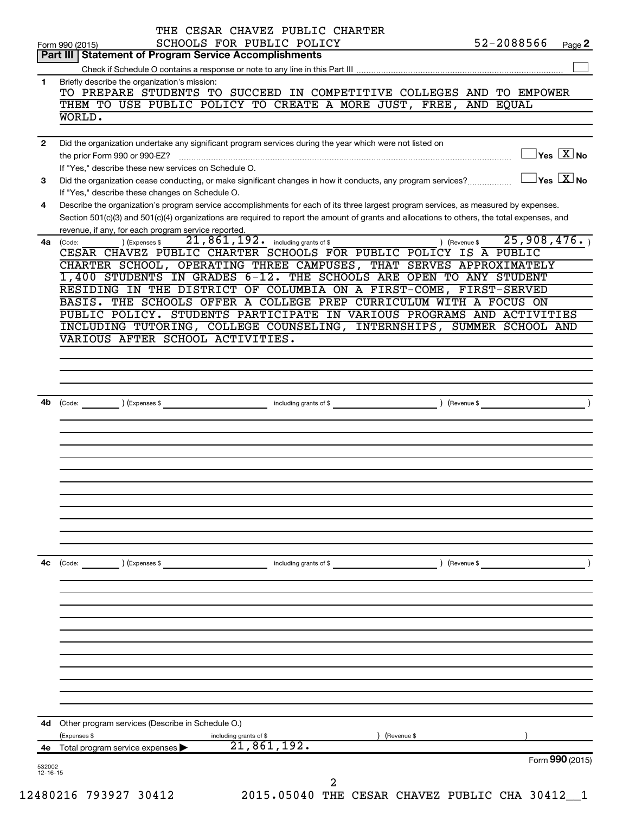| 4е             | $\overline{21,861,192.}$<br>Total program service expenses                                                                                                                                                                                                                           |               | Form 990 (2015)                         |  |
|----------------|--------------------------------------------------------------------------------------------------------------------------------------------------------------------------------------------------------------------------------------------------------------------------------------|---------------|-----------------------------------------|--|
|                |                                                                                                                                                                                                                                                                                      |               |                                         |  |
|                | 4d Other program services (Describe in Schedule O.)<br>(Expenses \$<br>(Revenue \$<br>including grants of \$                                                                                                                                                                         |               |                                         |  |
|                |                                                                                                                                                                                                                                                                                      |               |                                         |  |
|                |                                                                                                                                                                                                                                                                                      |               |                                         |  |
|                |                                                                                                                                                                                                                                                                                      |               |                                         |  |
| 4c             | $\left(\text{Code:}\right)$ $\left(\text{Expenses $}\right)$<br>including grants of \$                                                                                                                                                                                               | ) (Revenue \$ |                                         |  |
|                |                                                                                                                                                                                                                                                                                      |               |                                         |  |
|                |                                                                                                                                                                                                                                                                                      |               |                                         |  |
|                |                                                                                                                                                                                                                                                                                      |               |                                         |  |
| 4b             | Code: (Code: ) (Expenses \$ ) (Expenses \$ ) (Revenue \$ ) (Revenue \$ ) (Revenue \$ ) (Revenue \$ ) (Revenue \$                                                                                                                                                                     |               |                                         |  |
|                |                                                                                                                                                                                                                                                                                      |               |                                         |  |
|                | INCLUDING TUTORING, COLLEGE COUNSELING, INTERNSHIPS, SUMMER SCHOOL AND<br>VARIOUS AFTER SCHOOL ACTIVITIES.                                                                                                                                                                           |               |                                         |  |
|                | BASIS. THE SCHOOLS OFFER A COLLEGE PREP CURRICULUM WITH A FOCUS ON<br>PUBLIC POLICY. STUDENTS PARTICIPATE IN VARIOUS PROGRAMS AND ACTIVITIES                                                                                                                                         |               |                                         |  |
|                | CHARTER SCHOOL, OPERATING THREE CAMPUSES, THAT SERVES APPROXIMATELY<br>1,400 STUDENTS IN GRADES 6-12. THE SCHOOLS ARE OPEN TO ANY STUDENT<br>RESIDING IN THE DISTRICT OF COLUMBIA ON A FIRST-COME, FIRST-SERVED                                                                      |               |                                         |  |
|                | revenue, if any, for each program service reported.<br>21,861,192. including grants of \$<br>) (Expenses \$<br>4a (Code:<br>CESAR CHAVEZ PUBLIC CHARTER SCHOOLS FOR PUBLIC POLICY IS A PUBLIC                                                                                        | (Revenue \$   | 25,908,476.                             |  |
| 4              | Describe the organization's program service accomplishments for each of its three largest program services, as measured by expenses.<br>Section 501(c)(3) and 501(c)(4) organizations are required to report the amount of grants and allocations to others, the total expenses, and |               |                                         |  |
| 3              | Did the organization cease conducting, or make significant changes in how it conducts, any program services?<br>If "Yes," describe these changes on Schedule O.                                                                                                                      |               | $\Box$ Yes $\Box X$ No                  |  |
| $\overline{2}$ | Did the organization undertake any significant program services during the year which were not listed on<br>If "Yes." describe these new services on Schedule O.                                                                                                                     |               | $\Box$ Yes $[\overline{\mathrm{X}}]$ No |  |
|                | THEM TO USE PUBLIC POLICY TO CREATE A MORE JUST, FREE, AND EQUAL<br>WORLD.                                                                                                                                                                                                           |               |                                         |  |
| 1              | Briefly describe the organization's mission:<br>TO PREPARE STUDENTS TO SUCCEED IN COMPETITIVE COLLEGES AND TO EMPOWER                                                                                                                                                                |               |                                         |  |
|                | Part III   Statement of Program Service Accomplishments                                                                                                                                                                                                                              |               |                                         |  |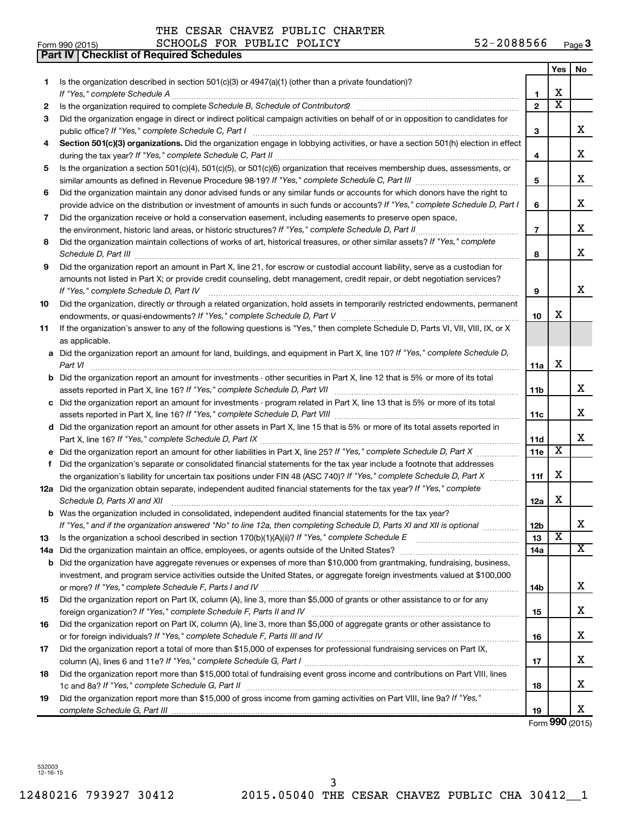|    | <b>Checklist of Required Schedules</b><br><b>Part IV</b>                                                                                                                                                                            |                |                       |                       |
|----|-------------------------------------------------------------------------------------------------------------------------------------------------------------------------------------------------------------------------------------|----------------|-----------------------|-----------------------|
|    |                                                                                                                                                                                                                                     |                | Yes                   | No                    |
| 1. | Is the organization described in section $501(c)(3)$ or $4947(a)(1)$ (other than a private foundation)?                                                                                                                             |                |                       |                       |
|    |                                                                                                                                                                                                                                     | 1              | X                     |                       |
| 2  | Is the organization required to complete Schedule B, Schedule of Contributors? [11] the organization required to complete Schedule B, Schedule of Contributors?                                                                     | $\mathbf{2}$   | $\overline{\text{x}}$ |                       |
| 3  | Did the organization engage in direct or indirect political campaign activities on behalf of or in opposition to candidates for                                                                                                     |                |                       |                       |
|    |                                                                                                                                                                                                                                     | 3              |                       | x                     |
| 4  | Section 501(c)(3) organizations. Did the organization engage in lobbying activities, or have a section 501(h) election in effect                                                                                                    |                |                       |                       |
|    |                                                                                                                                                                                                                                     | 4              |                       | х                     |
| 5  | Is the organization a section 501(c)(4), 501(c)(5), or 501(c)(6) organization that receives membership dues, assessments, or                                                                                                        |                |                       |                       |
|    |                                                                                                                                                                                                                                     | 5              |                       | х                     |
| 6  | Did the organization maintain any donor advised funds or any similar funds or accounts for which donors have the right to                                                                                                           |                |                       |                       |
|    | provide advice on the distribution or investment of amounts in such funds or accounts? If "Yes," complete Schedule D, Part I                                                                                                        | 6              |                       | х                     |
| 7  | Did the organization receive or hold a conservation easement, including easements to preserve open space,                                                                                                                           |                |                       |                       |
|    |                                                                                                                                                                                                                                     | $\overline{7}$ |                       | х                     |
| 8  | Did the organization maintain collections of works of art, historical treasures, or other similar assets? If "Yes," complete                                                                                                        |                |                       |                       |
|    | Schedule D, Part III <b>Marting Communities</b> and the contract of the contract of the contract of the contract of the contract of the contract of the contract of the contract of the contract of the contract of the contract of | 8              |                       | X                     |
| 9  | Did the organization report an amount in Part X, line 21, for escrow or custodial account liability, serve as a custodian for                                                                                                       |                |                       |                       |
|    | amounts not listed in Part X; or provide credit counseling, debt management, credit repair, or debt negotiation services?                                                                                                           |                |                       |                       |
|    |                                                                                                                                                                                                                                     | 9              |                       | х                     |
| 10 | Did the organization, directly or through a related organization, hold assets in temporarily restricted endowments, permanent                                                                                                       |                |                       |                       |
|    |                                                                                                                                                                                                                                     | 10             | x                     |                       |
| 11 | If the organization's answer to any of the following questions is "Yes," then complete Schedule D, Parts VI, VII, VIII, IX, or X                                                                                                    |                |                       |                       |
|    | as applicable.                                                                                                                                                                                                                      |                |                       |                       |
|    | a Did the organization report an amount for land, buildings, and equipment in Part X, line 10? If "Yes," complete Schedule D,                                                                                                       |                |                       |                       |
|    |                                                                                                                                                                                                                                     | 11a            | X                     |                       |
|    | <b>b</b> Did the organization report an amount for investments - other securities in Part X, line 12 that is 5% or more of its total                                                                                                |                |                       |                       |
|    |                                                                                                                                                                                                                                     | 11b            |                       | x                     |
|    | c Did the organization report an amount for investments - program related in Part X, line 13 that is 5% or more of its total                                                                                                        |                |                       |                       |
|    |                                                                                                                                                                                                                                     | 11c            |                       | х                     |
|    | d Did the organization report an amount for other assets in Part X, line 15 that is 5% or more of its total assets reported in                                                                                                      |                |                       |                       |
|    |                                                                                                                                                                                                                                     | <b>11d</b>     |                       | х                     |
|    |                                                                                                                                                                                                                                     | <b>11e</b>     | X                     |                       |
| f  | Did the organization's separate or consolidated financial statements for the tax year include a footnote that addresses                                                                                                             |                |                       |                       |
|    | the organization's liability for uncertain tax positions under FIN 48 (ASC 740)? If "Yes," complete Schedule D, Part X                                                                                                              | 11f            | X                     |                       |
|    | 12a Did the organization obtain separate, independent audited financial statements for the tax year? If "Yes," complete                                                                                                             |                |                       |                       |
|    | Schedule D, Parts XI and XII                                                                                                                                                                                                        | 12a            | х                     |                       |
|    | <b>b</b> Was the organization included in consolidated, independent audited financial statements for the tax year?                                                                                                                  |                |                       |                       |
|    | If "Yes," and if the organization answered "No" to line 12a, then completing Schedule D, Parts XI and XII is optional                                                                                                               | 12b            |                       | х                     |
| 13 |                                                                                                                                                                                                                                     | 13             | X                     |                       |
|    |                                                                                                                                                                                                                                     | 14a            |                       | $\overline{\text{X}}$ |
|    | <b>b</b> Did the organization have aggregate revenues or expenses of more than \$10,000 from grantmaking, fundraising, business,                                                                                                    |                |                       |                       |
|    | investment, and program service activities outside the United States, or aggregate foreign investments valued at \$100,000                                                                                                          |                |                       |                       |
|    |                                                                                                                                                                                                                                     | 14b            |                       | х                     |
| 15 | Did the organization report on Part IX, column (A), line 3, more than \$5,000 of grants or other assistance to or for any                                                                                                           |                |                       |                       |
|    |                                                                                                                                                                                                                                     | 15             |                       | х                     |
| 16 | Did the organization report on Part IX, column (A), line 3, more than \$5,000 of aggregate grants or other assistance to                                                                                                            |                |                       |                       |
|    |                                                                                                                                                                                                                                     | 16             |                       | х                     |
| 17 | Did the organization report a total of more than \$15,000 of expenses for professional fundraising services on Part IX,                                                                                                             |                |                       |                       |
|    |                                                                                                                                                                                                                                     | 17             |                       | х                     |
| 18 | Did the organization report more than \$15,000 total of fundraising event gross income and contributions on Part VIII, lines                                                                                                        |                |                       |                       |
|    |                                                                                                                                                                                                                                     | 18             |                       | х                     |
| 19 | Did the organization report more than \$15,000 of gross income from gaming activities on Part VIII, line 9a? If "Yes,"                                                                                                              |                |                       |                       |
|    |                                                                                                                                                                                                                                     | 19             |                       | х                     |

Form **990** (2015)

532003 12-16-15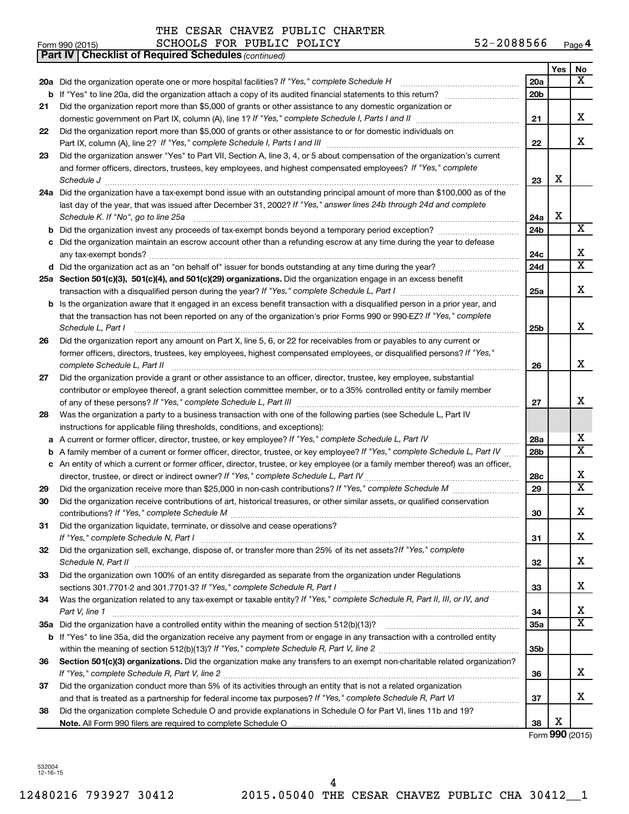| THE CESAR CHAVEZ PUBLIC CHARTER |  |  |  |  |  |
|---------------------------------|--|--|--|--|--|
|---------------------------------|--|--|--|--|--|

| Form 990 (2015) | PUBLIC POLICY<br><b>SCHOOLS</b><br>FOR | 2088566<br>Page <del>4</del><br>ے ت |
|-----------------|----------------------------------------|-------------------------------------|
|-----------------|----------------------------------------|-------------------------------------|

|    | <b>Part IV   Checklist of Required Schedules (continued)</b>                                                                                                                                                                       |                 |     |                         |
|----|------------------------------------------------------------------------------------------------------------------------------------------------------------------------------------------------------------------------------------|-----------------|-----|-------------------------|
|    |                                                                                                                                                                                                                                    |                 | Yes | No                      |
|    | 20a Did the organization operate one or more hospital facilities? If "Yes," complete Schedule H                                                                                                                                    | 20a             |     | x                       |
|    |                                                                                                                                                                                                                                    | 20 <sub>b</sub> |     |                         |
| 21 | Did the organization report more than \$5,000 of grants or other assistance to any domestic organization or                                                                                                                        |                 |     |                         |
|    |                                                                                                                                                                                                                                    | 21              |     | x                       |
| 22 | Did the organization report more than \$5,000 of grants or other assistance to or for domestic individuals on                                                                                                                      |                 |     |                         |
|    |                                                                                                                                                                                                                                    | 22              |     | x                       |
| 23 | Did the organization answer "Yes" to Part VII, Section A, line 3, 4, or 5 about compensation of the organization's current                                                                                                         |                 |     |                         |
|    | and former officers, directors, trustees, key employees, and highest compensated employees? If "Yes," complete                                                                                                                     |                 |     |                         |
|    | Schedule J <b>Example 2 Constant Construction Constant Constant Constant Construction Constant Constant Constant Constant Constant Constant Constant Constant Constant Constant Constant Constant Constant Constant Constant C</b> | 23              | X   |                         |
|    | 24a Did the organization have a tax-exempt bond issue with an outstanding principal amount of more than \$100,000 as of the                                                                                                        |                 |     |                         |
|    | last day of the year, that was issued after December 31, 2002? If "Yes," answer lines 24b through 24d and complete                                                                                                                 |                 |     |                         |
|    | Schedule K. If "No", go to line 25a                                                                                                                                                                                                | 24a             | X   |                         |
|    |                                                                                                                                                                                                                                    | 24 <sub>b</sub> |     | X                       |
|    | c Did the organization maintain an escrow account other than a refunding escrow at any time during the year to defease                                                                                                             |                 |     |                         |
|    |                                                                                                                                                                                                                                    | 24c             |     | х                       |
|    |                                                                                                                                                                                                                                    | 24d             |     | $\overline{\mathtt{x}}$ |
|    | 25a Section 501(c)(3), 501(c)(4), and 501(c)(29) organizations. Did the organization engage in an excess benefit                                                                                                                   |                 |     |                         |
|    |                                                                                                                                                                                                                                    | 25a             |     | x                       |
|    | <b>b</b> Is the organization aware that it engaged in an excess benefit transaction with a disqualified person in a prior year, and                                                                                                |                 |     |                         |
|    | that the transaction has not been reported on any of the organization's prior Forms 990 or 990-EZ? If "Yes," complete                                                                                                              |                 |     |                         |
|    | Schedule L, Part I                                                                                                                                                                                                                 | 25b             |     | x                       |
| 26 | Did the organization report any amount on Part X, line 5, 6, or 22 for receivables from or payables to any current or                                                                                                              |                 |     |                         |
|    | former officers, directors, trustees, key employees, highest compensated employees, or disqualified persons? If "Yes,"                                                                                                             |                 |     |                         |
|    | complete Schedule L, Part II                                                                                                                                                                                                       | 26              |     | X                       |
| 27 | Did the organization provide a grant or other assistance to an officer, director, trustee, key employee, substantial                                                                                                               |                 |     |                         |
|    | contributor or employee thereof, a grant selection committee member, or to a 35% controlled entity or family member                                                                                                                |                 |     |                         |
|    |                                                                                                                                                                                                                                    | 27              |     | х                       |
| 28 | Was the organization a party to a business transaction with one of the following parties (see Schedule L, Part IV                                                                                                                  |                 |     |                         |
|    | instructions for applicable filing thresholds, conditions, and exceptions):                                                                                                                                                        |                 |     |                         |
| а  | A current or former officer, director, trustee, or key employee? If "Yes," complete Schedule L, Part IV                                                                                                                            | 28a             |     | x                       |
| b  | A family member of a current or former officer, director, trustee, or key employee? If "Yes," complete Schedule L, Part IV                                                                                                         | 28b             |     | $\overline{\mathtt{x}}$ |
|    | c An entity of which a current or former officer, director, trustee, or key employee (or a family member thereof) was an officer,                                                                                                  |                 |     |                         |
|    | director, trustee, or direct or indirect owner? If "Yes," complete Schedule L, Part IV                                                                                                                                             | 28c             |     | x                       |
| 29 |                                                                                                                                                                                                                                    | 29              |     | $\overline{\mathtt{x}}$ |
| 30 | Did the organization receive contributions of art, historical treasures, or other similar assets, or qualified conservation                                                                                                        |                 |     |                         |
|    |                                                                                                                                                                                                                                    | 30              |     | Χ                       |
| 31 | Did the organization liquidate, terminate, or dissolve and cease operations?                                                                                                                                                       |                 |     |                         |
|    |                                                                                                                                                                                                                                    | 31              |     | x                       |
| 32 | Did the organization sell, exchange, dispose of, or transfer more than 25% of its net assets? If "Yes," complete                                                                                                                   |                 |     |                         |
|    |                                                                                                                                                                                                                                    | 32              |     | x                       |
| 33 | Did the organization own 100% of an entity disregarded as separate from the organization under Regulations                                                                                                                         |                 |     |                         |
|    |                                                                                                                                                                                                                                    | 33              |     | х                       |
| 34 | Was the organization related to any tax-exempt or taxable entity? If "Yes," complete Schedule R, Part II, III, or IV, and                                                                                                          |                 |     |                         |
|    | Part V, line 1                                                                                                                                                                                                                     | 34              |     | x                       |
|    |                                                                                                                                                                                                                                    | 35a             |     | $\overline{\texttt{X}}$ |
|    | b If "Yes" to line 35a, did the organization receive any payment from or engage in any transaction with a controlled entity                                                                                                        |                 |     |                         |
|    |                                                                                                                                                                                                                                    | 35 <sub>b</sub> |     |                         |
| 36 | Section 501(c)(3) organizations. Did the organization make any transfers to an exempt non-charitable related organization?                                                                                                         |                 |     |                         |
|    |                                                                                                                                                                                                                                    | 36              |     | x                       |
| 37 | Did the organization conduct more than 5% of its activities through an entity that is not a related organization                                                                                                                   |                 |     |                         |
|    |                                                                                                                                                                                                                                    | 37              |     | x                       |
| 38 | Did the organization complete Schedule O and provide explanations in Schedule O for Part VI, lines 11b and 19?                                                                                                                     |                 |     |                         |
|    |                                                                                                                                                                                                                                    | 38              | х   |                         |
|    |                                                                                                                                                                                                                                    |                 |     | Form 990 (2015)         |

532004 12-16-15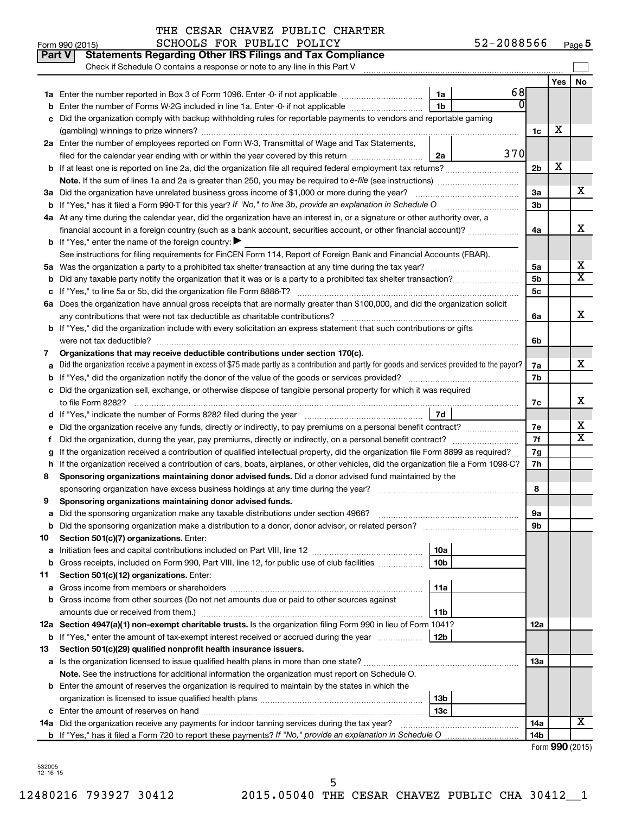|               | THE CESAR CHAVEZ PUBLIC CHARTER<br>SCHOOLS FOR PUBLIC POLICY                                                                                    |     | 52-2088566 |                |     |                              |
|---------------|-------------------------------------------------------------------------------------------------------------------------------------------------|-----|------------|----------------|-----|------------------------------|
| <b>Part V</b> | Form 990 (2015)<br><b>Statements Regarding Other IRS Filings and Tax Compliance</b>                                                             |     |            |                |     | Page                         |
|               | Check if Schedule O contains a response or note to any line in this Part V                                                                      |     |            |                |     |                              |
|               |                                                                                                                                                 |     |            |                | Yes | <b>No</b>                    |
|               |                                                                                                                                                 | 1a  | 68         |                |     |                              |
| b             | Enter the number of Forms W-2G included in line 1a. Enter -0- if not applicable                                                                 | 1b  | 0          |                |     |                              |
| с             | Did the organization comply with backup withholding rules for reportable payments to vendors and reportable gaming                              |     |            |                |     |                              |
|               |                                                                                                                                                 |     |            | 1c             | х   |                              |
|               | 2a Enter the number of employees reported on Form W-3, Transmittal of Wage and Tax Statements,                                                  |     |            |                |     |                              |
|               | filed for the calendar year ending with or within the year covered by this return                                                               | 2a  | 370        |                |     |                              |
|               |                                                                                                                                                 |     |            | 2 <sub>b</sub> | X   |                              |
|               | Note. If the sum of lines 1a and 2a is greater than 250, you may be required to e-file (see instructions) <i>marroummann</i>                    |     |            |                |     |                              |
|               | 3a Did the organization have unrelated business gross income of \$1,000 or more during the year?                                                |     |            |                |     |                              |
|               |                                                                                                                                                 |     |            |                |     |                              |
|               | 4a At any time during the calendar year, did the organization have an interest in, or a signature or other authority over, a                    |     |            |                |     |                              |
|               | financial account in a foreign country (such as a bank account, securities account, or other financial account)?                                |     |            | 4a             |     | X                            |
|               | <b>b</b> If "Yes," enter the name of the foreign country: $\blacktriangleright$                                                                 |     |            |                |     |                              |
|               | See instructions for filing requirements for FinCEN Form 114, Report of Foreign Bank and Financial Accounts (FBAR).                             |     |            |                |     |                              |
|               |                                                                                                                                                 |     |            | 5a             |     | X                            |
|               |                                                                                                                                                 |     |            | 5b             |     | х                            |
|               |                                                                                                                                                 |     |            | 5 <sub>c</sub> |     |                              |
|               | 6a Does the organization have annual gross receipts that are normally greater than \$100,000, and did the organization solicit                  |     |            |                |     |                              |
|               |                                                                                                                                                 |     |            | 6а             |     | X                            |
|               | b If "Yes," did the organization include with every solicitation an express statement that such contributions or gifts                          |     |            |                |     |                              |
|               | were not tax deductible?                                                                                                                        |     |            | 6b             |     |                              |
| 7             | Organizations that may receive deductible contributions under section 170(c).                                                                   |     |            |                |     |                              |
| а             | Did the organization receive a payment in excess of \$75 made partly as a contribution and partly for goods and services provided to the payor? |     |            | 7a             |     | х                            |
|               | <b>b</b> If "Yes," did the organization notify the donor of the value of the goods or services provided?                                        |     |            | 7b             |     |                              |
|               | c Did the organization sell, exchange, or otherwise dispose of tangible personal property for which it was required                             |     |            |                |     |                              |
|               |                                                                                                                                                 |     |            | 7c             |     | х                            |
|               | d If "Yes," indicate the number of Forms 8282 filed during the year <i>manumumumumumumum</i>                                                    | 7d  |            |                |     |                              |
|               | e Did the organization receive any funds, directly or indirectly, to pay premiums on a personal benefit contract?                               |     |            | 7е             |     | X<br>$\overline{\textbf{x}}$ |
|               | f Did the organization, during the year, pay premiums, directly or indirectly, on a personal benefit contract?                                  |     |            | 7f             |     |                              |
| g             | If the organization received a contribution of qualified intellectual property, did the organization file Form 8899 as required?                |     |            | 7g             |     |                              |
|               | h If the organization received a contribution of cars, boats, airplanes, or other vehicles, did the organization file a Form 1098-C?            |     |            | 7h             |     |                              |
| 8             | Sponsoring organizations maintaining donor advised funds. Did a donor advised fund maintained by the                                            |     |            |                |     |                              |
|               | sponsoring organization have excess business holdings at any time during the year?                                                              |     |            | 8              |     |                              |
| 9             | Sponsoring organizations maintaining donor advised funds.                                                                                       |     |            |                |     |                              |
| а             | Did the sponsoring organization make any taxable distributions under section 4966?                                                              |     |            | 9а<br>9b       |     |                              |
| b<br>10       | Section 501(c)(7) organizations. Enter:                                                                                                         |     |            |                |     |                              |
| а             |                                                                                                                                                 | 10a |            |                |     |                              |
| b             | Gross receipts, included on Form 990, Part VIII, line 12, for public use of club facilities                                                     | 10b |            |                |     |                              |
| 11            | Section 501(c)(12) organizations. Enter:                                                                                                        |     |            |                |     |                              |
|               |                                                                                                                                                 |     |            |                |     |                              |

**Yes No**

 $\Box$ 

X

X X

X

**12a** Section 4947(a)(1) non-exempt charitable trusts. Is the organization filing Form 990 in lieu of Form 1041? **13 14a** Did the organization receive any payments for indoor tanning services during the tax year? **a b** Gross income from other sources (Do not net amounts due or paid to other sources against **11a 11b b** If "Yes," enter the amount of tax-exempt interest received or accrued during the year  $\ldots$ ................ | 12b **Section 501(c)(29) qualified nonprofit health insurance issuers. Note.** See the instructions for additional information the organization must report on Schedule O. **a** Is the organization licensed to issue qualified health plans in more than one state? ~~~~~~~~~~~~~~~~~~~~~ **b** Enter the amount of reserves the organization is required to maintain by the states in which the **c** Enter the amount of reserves on hand ~~~~~~~~~~~~~~~~~~~~~~~~~~~~~~ **b** If "Yes," has it filed a Form 720 to report these payments? If "No," provide an explanation in Schedule O **13a 13b 13c 14a 14b** Form (2015) **990** Gross income from members or shareholders ~~~~~~~~~~~~~~~~~~~~~~~~~~ amounts due or received from them.) ~~~~~~~~~~~~~~~~~~~~~~~~~~~~~~ organization is licensed to issue qualified health plans ~~~~~~~~~~~~~~~~~~~~~~ X X X  $\overline{\texttt{x}}$ X

532005 12-16-15

12480216 793927 30412 2015.05040 THE CESAR CHAVEZ PUBLIC CHA 30412\_\_1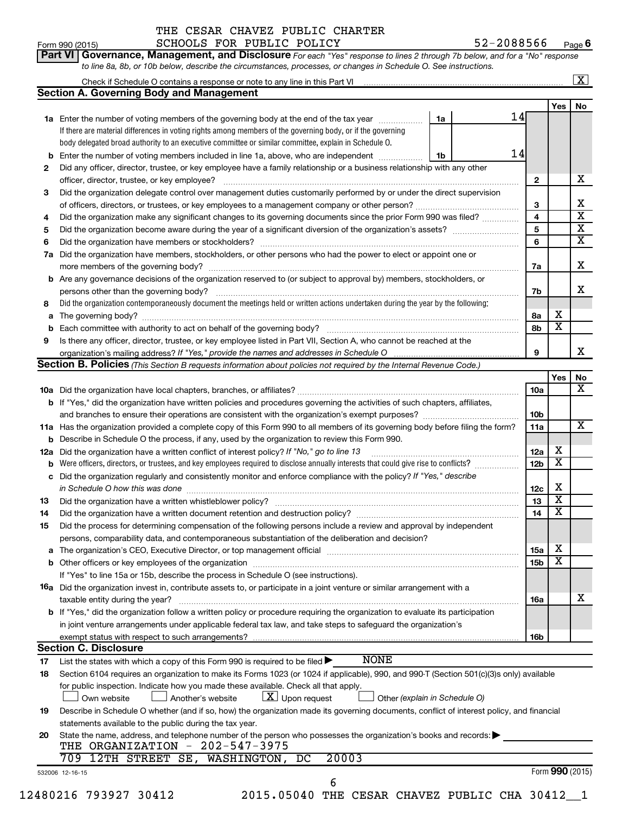# **Porm 990 (2015)**<br>**Part VI Govern**

## THE CESAR CHAVEZ PUBLIC CHARTER

l.

**Yes No**

| <b>Part VI Governance, Management, and Disclosure</b> For each "Yes" response to lines 2 through 7b below, and for a "No" response <b>Caragement</b> |                         |
|------------------------------------------------------------------------------------------------------------------------------------------------------|-------------------------|
| to line 8a, 8b, or 10b below, describe the circumstances, processes, or changes in Schedule O. See instructions.                                     |                         |
| Check if Schedule O contains a response or note to any line in this Part VI                                                                          | $\overline{\mathtt{x}}$ |
| <b>Section A. Governing Body and Management</b>                                                                                                      |                         |

|        | 14<br>1a Enter the number of voting members of the governing body at the end of the tax year<br>1a                                                                                                                             |              |                              |                         |  |  |  |
|--------|--------------------------------------------------------------------------------------------------------------------------------------------------------------------------------------------------------------------------------|--------------|------------------------------|-------------------------|--|--|--|
|        | If there are material differences in voting rights among members of the governing body, or if the governing                                                                                                                    |              |                              |                         |  |  |  |
|        | body delegated broad authority to an executive committee or similar committee, explain in Schedule O.                                                                                                                          |              |                              |                         |  |  |  |
| b      | 14<br>Enter the number of voting members included in line 1a, above, who are independent<br>1b                                                                                                                                 |              |                              |                         |  |  |  |
| 2      | Did any officer, director, trustee, or key employee have a family relationship or a business relationship with any other                                                                                                       |              |                              |                         |  |  |  |
|        | officer, director, trustee, or key employee?                                                                                                                                                                                   | $\mathbf{2}$ |                              | х                       |  |  |  |
| З      | Did the organization delegate control over management duties customarily performed by or under the direct supervision                                                                                                          |              |                              |                         |  |  |  |
|        |                                                                                                                                                                                                                                | 3            |                              | X                       |  |  |  |
| 4      | Did the organization make any significant changes to its governing documents since the prior Form 990 was filed?                                                                                                               | 4            |                              | $\overline{\mathbf{X}}$ |  |  |  |
| 5      |                                                                                                                                                                                                                                | 5            |                              | $\overline{\mathbf{x}}$ |  |  |  |
| 6      |                                                                                                                                                                                                                                | 6            |                              | х                       |  |  |  |
| 7a     | Did the organization have members, stockholders, or other persons who had the power to elect or appoint one or                                                                                                                 |              |                              |                         |  |  |  |
|        |                                                                                                                                                                                                                                | 7a           |                              | X                       |  |  |  |
|        | <b>b</b> Are any governance decisions of the organization reserved to (or subject to approval by) members, stockholders, or                                                                                                    |              |                              |                         |  |  |  |
|        |                                                                                                                                                                                                                                | 7b           |                              | х                       |  |  |  |
| 8      | Did the organization contemporaneously document the meetings held or written actions undertaken during the year by the following:                                                                                              |              |                              |                         |  |  |  |
|        | а                                                                                                                                                                                                                              |              |                              |                         |  |  |  |
|        |                                                                                                                                                                                                                                | 8а<br>8b     | х<br>$\overline{\mathbf{x}}$ |                         |  |  |  |
| b<br>9 | Is there any officer, director, trustee, or key employee listed in Part VII, Section A, who cannot be reached at the                                                                                                           |              |                              |                         |  |  |  |
|        |                                                                                                                                                                                                                                | 9            |                              | x                       |  |  |  |
|        | Section B. Policies (This Section B requests information about policies not required by the Internal Revenue Code.)                                                                                                            |              |                              |                         |  |  |  |
|        |                                                                                                                                                                                                                                |              | Yes                          | No                      |  |  |  |
|        |                                                                                                                                                                                                                                | 10a          |                              | x                       |  |  |  |
|        | <b>b</b> If "Yes," did the organization have written policies and procedures governing the activities of such chapters, affiliates,                                                                                            |              |                              |                         |  |  |  |
|        |                                                                                                                                                                                                                                | 10b          |                              |                         |  |  |  |
|        | 11a Has the organization provided a complete copy of this Form 990 to all members of its governing body before filing the form?                                                                                                |              |                              |                         |  |  |  |
|        | <b>b</b> Describe in Schedule O the process, if any, used by the organization to review this Form 990.                                                                                                                         |              |                              |                         |  |  |  |
|        | 12a Did the organization have a written conflict of interest policy? If "No," go to line 13                                                                                                                                    |              |                              |                         |  |  |  |
|        | Were officers, directors, or trustees, and key employees required to disclose annually interests that could give rise to conflicts?<br>b                                                                                       |              |                              |                         |  |  |  |
|        | c Did the organization regularly and consistently monitor and enforce compliance with the policy? If "Yes," describe                                                                                                           |              |                              |                         |  |  |  |
|        | in Schedule O how this was done manufactured and continuum and control of the state of the state of the state o                                                                                                                | 12c          | х                            |                         |  |  |  |
| 13     |                                                                                                                                                                                                                                | 13           | $\overline{\textbf{x}}$      |                         |  |  |  |
| 14     | Did the organization have a written document retention and destruction policy? [11] manufaction manufaction in                                                                                                                 | 14           | $\overline{\textbf{x}}$      |                         |  |  |  |
| 15     | Did the process for determining compensation of the following persons include a review and approval by independent                                                                                                             |              |                              |                         |  |  |  |
|        | persons, comparability data, and contemporaneous substantiation of the deliberation and decision?                                                                                                                              |              |                              |                         |  |  |  |
|        | The organization's CEO, Executive Director, or top management official manufactured content of the organization's CEO, Executive Director, or top management official manufactured content of the organization's CEO, Executiv | 15a          | х                            |                         |  |  |  |
|        |                                                                                                                                                                                                                                | 15b          | $\overline{\textbf{x}}$      |                         |  |  |  |
|        | If "Yes" to line 15a or 15b, describe the process in Schedule O (see instructions).                                                                                                                                            |              |                              |                         |  |  |  |
|        | <b>16a</b> Did the organization invest in, contribute assets to, or participate in a joint venture or similar arrangement with a                                                                                               |              |                              |                         |  |  |  |
|        | taxable entity during the year?                                                                                                                                                                                                | 16a          |                              | х                       |  |  |  |
|        | b If "Yes," did the organization follow a written policy or procedure requiring the organization to evaluate its participation                                                                                                 |              |                              |                         |  |  |  |
|        | in joint venture arrangements under applicable federal tax law, and take steps to safeguard the organization's                                                                                                                 |              |                              |                         |  |  |  |
|        | exempt status with respect to such arrangements?                                                                                                                                                                               | 16b          |                              |                         |  |  |  |
|        | <b>Section C. Disclosure</b>                                                                                                                                                                                                   |              |                              |                         |  |  |  |
| 17     | <b>NONE</b><br>List the states with which a copy of this Form 990 is required to be filed $\blacktriangleright$                                                                                                                |              |                              |                         |  |  |  |
| 18     | Section 6104 requires an organization to make its Forms 1023 (or 1024 if applicable), 990, and 990-T (Section 501(c)(3)s only) available                                                                                       |              |                              |                         |  |  |  |
|        | for public inspection. Indicate how you made these available. Check all that apply.                                                                                                                                            |              |                              |                         |  |  |  |
|        | $\lfloor x \rfloor$ Upon request<br>Own website<br>Another's website<br>Other (explain in Schedule O)                                                                                                                          |              |                              |                         |  |  |  |
| 19     | Describe in Schedule O whether (and if so, how) the organization made its governing documents, conflict of interest policy, and financial                                                                                      |              |                              |                         |  |  |  |
|        | statements available to the public during the tax year.                                                                                                                                                                        |              |                              |                         |  |  |  |
| 20     | State the name, address, and telephone number of the person who possesses the organization's books and records:                                                                                                                |              |                              |                         |  |  |  |
|        | THE ORGANIZATION - 202-547-3975                                                                                                                                                                                                |              |                              |                         |  |  |  |
|        | 20003<br>709 12TH STREET SE,<br>WASHINGTON,<br>DC                                                                                                                                                                              |              |                              |                         |  |  |  |
|        | 532006 12-16-15                                                                                                                                                                                                                |              | Form 990 (2015)              |                         |  |  |  |
|        | 6                                                                                                                                                                                                                              |              |                              |                         |  |  |  |

12480216 793927 30412 2015.05040 THE CESAR CHAVEZ PUBLIC CHA 30412\_\_1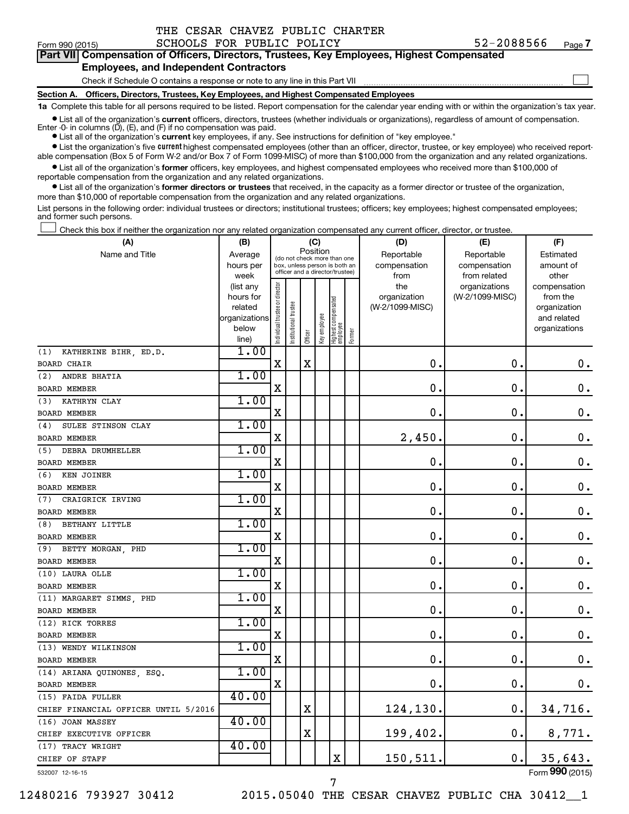| THE CESAR CHAVEZ PUBLIC CHARTER |  |
|---------------------------------|--|
|---------------------------------|--|

 $\Box$ 

| Form 990 (2015) | SCHOOLS FOR PUBLIC POLICY | 52-2088566                                                                                 | Page |
|-----------------|---------------------------|--------------------------------------------------------------------------------------------|------|
|                 |                           | Part VII Compensation of Officers, Directors, Trustees, Key Employees, Highest Compensated |      |

## **Employees, and Independent Contractors**

Check if Schedule O contains a response or note to any line in this Part VII

**Section A. Officers, Directors, Trustees, Key Employees, and Highest Compensated Employees**

**1a**  Complete this table for all persons required to be listed. Report compensation for the calendar year ending with or within the organization's tax year.

**•** List all of the organization's current officers, directors, trustees (whether individuals or organizations), regardless of amount of compensation. Enter -0- in columns  $(D)$ ,  $(E)$ , and  $(F)$  if no compensation was paid.

**•** List all of the organization's **current** key employees, if any. See instructions for definition of "key employee."

**•** List the organization's five current highest compensated employees (other than an officer, director, trustee, or key employee) who received reportable compensation (Box 5 of Form W-2 and/or Box 7 of Form 1099-MISC) of more than \$100,000 from the organization and any related organizations.

**•** List all of the organization's former officers, key employees, and highest compensated employees who received more than \$100,000 of reportable compensation from the organization and any related organizations.

**•** List all of the organization's former directors or trustees that received, in the capacity as a former director or trustee of the organization, more than \$10,000 of reportable compensation from the organization and any related organizations.

List persons in the following order: individual trustees or directors; institutional trustees; officers; key employees; highest compensated employees; and former such persons.

Check this box if neither the organization nor any related organization compensated any current officer, director, or trustee.  $\Box$ 

| (A)                                  | (B)               |                                                                          |                 | (C)         |              |                                   |        | (D)                  | (E)                          | (F)                |
|--------------------------------------|-------------------|--------------------------------------------------------------------------|-----------------|-------------|--------------|-----------------------------------|--------|----------------------|------------------------------|--------------------|
| Name and Title                       | Average           | Position<br>(do not check more than one<br>box, unless person is both an |                 |             |              |                                   |        | Reportable           | Reportable                   | Estimated          |
|                                      | hours per<br>week |                                                                          |                 |             |              | officer and a director/trustee)   |        | compensation<br>from | compensation<br>from related | amount of<br>other |
|                                      | (list any         |                                                                          |                 |             |              |                                   |        | the                  | organizations                | compensation       |
|                                      | hours for         |                                                                          |                 |             |              |                                   |        | organization         | (W-2/1099-MISC)              | from the           |
|                                      | related           |                                                                          | trustee         |             |              |                                   |        | (W-2/1099-MISC)      |                              | organization       |
|                                      | organizations     |                                                                          |                 |             |              |                                   |        |                      |                              | and related        |
|                                      | below             | Individual trustee or director                                           | Institutional t | Officer     | Key employee | Highest compensated<br>  employee | Former |                      |                              | organizations      |
| KATHERINE BIHR, ED.D.<br>(1)         | line)<br>1.00     |                                                                          |                 |             |              |                                   |        |                      |                              |                    |
| <b>BOARD CHAIR</b>                   |                   | X                                                                        |                 | $\mathbf X$ |              |                                   |        | $\mathbf 0$ .        | $\mathbf 0$ .                | 0.                 |
| ANDRE BHATIA<br>(2)                  | 1.00              |                                                                          |                 |             |              |                                   |        |                      |                              |                    |
| BOARD MEMBER                         |                   | X                                                                        |                 |             |              |                                   |        | 0                    | $\mathbf 0$                  | $\mathbf 0$ .      |
| KATHRYN CLAY<br>(3)                  | 1.00              |                                                                          |                 |             |              |                                   |        |                      |                              |                    |
| <b>BOARD MEMBER</b>                  |                   | X                                                                        |                 |             |              |                                   |        | $\mathbf 0$ .        | $\mathbf 0$                  | $\mathbf 0$ .      |
| SULEE STINSON CLAY<br>(4)            | 1.00              |                                                                          |                 |             |              |                                   |        |                      |                              |                    |
| <b>BOARD MEMBER</b>                  |                   | $\mathbf X$                                                              |                 |             |              |                                   |        | 2,450                | $\mathbf 0$                  | $\mathbf 0$ .      |
| DEBRA DRUMHELLER<br>(5)              | 1.00              |                                                                          |                 |             |              |                                   |        |                      |                              |                    |
| <b>BOARD MEMBER</b>                  |                   | X                                                                        |                 |             |              |                                   |        | 0                    | $\mathbf 0$ .                | $\mathbf 0$ .      |
| KEN JOINER<br>(6)                    | 1.00              |                                                                          |                 |             |              |                                   |        |                      |                              |                    |
| BOARD MEMBER                         |                   | X                                                                        |                 |             |              |                                   |        | 0                    | 0.                           | $\mathbf 0$ .      |
| CRAIGRICK IRVING<br>(7)              | 1.00              |                                                                          |                 |             |              |                                   |        |                      |                              |                    |
| <b>BOARD MEMBER</b>                  |                   | X                                                                        |                 |             |              |                                   |        | 0                    | $\mathbf 0$ .                | $\mathbf 0$ .      |
| BETHANY LITTLE<br>(8)                | 1.00              |                                                                          |                 |             |              |                                   |        |                      |                              |                    |
| <b>BOARD MEMBER</b>                  |                   | X                                                                        |                 |             |              |                                   |        | $\mathbf 0$ .        | $\mathbf 0$ .                | $\mathbf 0$ .      |
| BETTY MORGAN, PHD<br>(9)             | 1.00              |                                                                          |                 |             |              |                                   |        |                      |                              |                    |
| <b>BOARD MEMBER</b>                  |                   | X                                                                        |                 |             |              |                                   |        | $\mathbf 0$ .        | О.                           | 0.                 |
| (10) LAURA OLLE                      | 1.00              |                                                                          |                 |             |              |                                   |        |                      |                              |                    |
| BOARD MEMBER                         |                   | X                                                                        |                 |             |              |                                   |        | $\mathbf 0$          | $\mathbf 0$                  | $\mathbf 0$ .      |
| (11) MARGARET SIMMS, PHD             | 1.00              |                                                                          |                 |             |              |                                   |        |                      |                              |                    |
| BOARD MEMBER                         |                   | X                                                                        |                 |             |              |                                   |        | $\mathbf 0$          | 0.                           | $\mathbf 0$ .      |
| (12) RICK TORRES                     | 1.00              |                                                                          |                 |             |              |                                   |        |                      |                              |                    |
| <b>BOARD MEMBER</b>                  |                   | X                                                                        |                 |             |              |                                   |        | $\mathbf 0$ .        | $\mathbf 0$                  | $\mathbf 0$ .      |
| (13) WENDY WILKINSON                 | 1.00              |                                                                          |                 |             |              |                                   |        |                      |                              |                    |
| <b>BOARD MEMBER</b>                  |                   | X                                                                        |                 |             |              |                                   |        | $\mathbf 0$ .        | $\mathbf 0$                  | $\mathbf 0$ .      |
| (14) ARIANA QUINONES, ESQ.           | 1.00              |                                                                          |                 |             |              |                                   |        |                      |                              |                    |
| BOARD MEMBER                         |                   | $\mathbf X$                                                              |                 |             |              |                                   |        | $\mathbf 0$ .        | 0.                           | $0$ .              |
| (15) FAIDA FULLER                    | 40.00             |                                                                          |                 |             |              |                                   |        |                      |                              |                    |
| CHIEF FINANCIAL OFFICER UNTIL 5/2016 |                   |                                                                          |                 | X           |              |                                   |        | 124,130.             | $\mathbf 0$ .                | 34,716.            |
| (16) JOAN MASSEY                     | 40.00             |                                                                          |                 |             |              |                                   |        |                      |                              |                    |
| CHIEF EXECUTIVE OFFICER              |                   |                                                                          |                 | $\mathbf X$ |              |                                   |        | 199,402.             | $\mathbf 0$ .                | 8,771.             |
| (17) TRACY WRIGHT                    | 40.00             |                                                                          |                 |             |              |                                   |        |                      |                              |                    |
| CHIEF OF STAFF                       |                   |                                                                          |                 |             |              | X                                 |        | 150,511.             | $\mathbf 0$ .                | 35,643.            |

532007 12-16-15

12480216 793927 30412 2015.05040 THE CESAR CHAVEZ PUBLIC CHA 30412\_\_1

7

Form (2015) **990**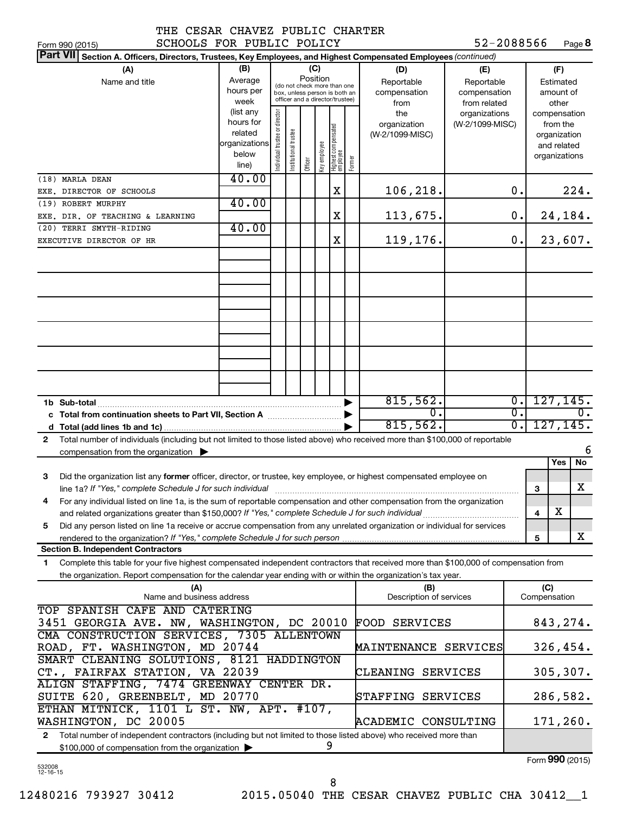|  |  | + + +  |
|--|--|--------|
|  |  | $\sim$ |

52-2088566 Page 8

| SCHOOLS FOR PUBLIC POLICY<br>Form 990 (2015)                                                                                                 |                                                                      |                                |                       |                                                                                                                    |  |                                  |  |                                                                          | 52-2088566                                        |                                      |                     | Page 8                                 |
|----------------------------------------------------------------------------------------------------------------------------------------------|----------------------------------------------------------------------|--------------------------------|-----------------------|--------------------------------------------------------------------------------------------------------------------|--|----------------------------------|--|--------------------------------------------------------------------------|---------------------------------------------------|--------------------------------------|---------------------|----------------------------------------|
| <b>Part VII</b><br>Section A. Officers, Directors, Trustees, Key Employees, and Highest Compensated Employees (continued)                    |                                                                      |                                |                       |                                                                                                                    |  |                                  |  |                                                                          |                                                   |                                      |                     |                                        |
| (A)<br>Name and title                                                                                                                        | (B)<br>Average<br>hours per<br>week                                  |                                |                       | (C)<br>Position<br>(do not check more than one<br>box, unless person is both an<br>officer and a director/trustee) |  |                                  |  | (D)<br>Reportable<br>compensation<br>from                                | (E)<br>Reportable<br>compensation<br>from related |                                      |                     | (F)<br>Estimated<br>amount of<br>other |
|                                                                                                                                              | (list any<br>hours for<br>related<br>organizations<br>below<br>line) | Individual trustee or director | Institutional trustee | the<br>organization<br>  Highest compensated<br>  employee<br>(W-2/1099-MISC)<br>Key employee<br>Former<br>Officer |  | organizations<br>(W-2/1099-MISC) |  | compensation<br>from the<br>organization<br>and related<br>organizations |                                                   |                                      |                     |                                        |
| (18) MARLA DEAN                                                                                                                              | 40.00                                                                |                                |                       |                                                                                                                    |  |                                  |  |                                                                          |                                                   |                                      |                     |                                        |
| EXE. DIRECTOR OF SCHOOLS<br>(19) ROBERT MURPHY                                                                                               | 40.00                                                                |                                |                       |                                                                                                                    |  | X                                |  | 106,218.                                                                 |                                                   | 0.                                   |                     | 224.                                   |
| EXE. DIR. OF TEACHING & LEARNING                                                                                                             |                                                                      |                                |                       |                                                                                                                    |  | X                                |  | 113,675.                                                                 |                                                   | 0.                                   |                     | 24,184.                                |
| (20) TERRI SMYTH-RIDING                                                                                                                      | 40.00                                                                |                                |                       |                                                                                                                    |  |                                  |  |                                                                          |                                                   |                                      |                     |                                        |
| EXECUTIVE DIRECTOR OF HR                                                                                                                     |                                                                      |                                |                       |                                                                                                                    |  | X                                |  | 119,176.                                                                 |                                                   | 0.                                   |                     | 23,607.                                |
|                                                                                                                                              |                                                                      |                                |                       |                                                                                                                    |  |                                  |  |                                                                          |                                                   |                                      |                     |                                        |
|                                                                                                                                              |                                                                      |                                |                       |                                                                                                                    |  |                                  |  |                                                                          |                                                   |                                      |                     |                                        |
|                                                                                                                                              |                                                                      |                                |                       |                                                                                                                    |  |                                  |  |                                                                          |                                                   |                                      |                     |                                        |
|                                                                                                                                              |                                                                      |                                |                       |                                                                                                                    |  |                                  |  |                                                                          |                                                   |                                      |                     |                                        |
|                                                                                                                                              |                                                                      |                                |                       |                                                                                                                    |  |                                  |  |                                                                          |                                                   |                                      |                     |                                        |
|                                                                                                                                              |                                                                      |                                |                       |                                                                                                                    |  |                                  |  |                                                                          |                                                   |                                      |                     |                                        |
|                                                                                                                                              |                                                                      |                                |                       |                                                                                                                    |  |                                  |  |                                                                          |                                                   |                                      |                     |                                        |
| 1b Sub-total                                                                                                                                 |                                                                      |                                |                       |                                                                                                                    |  |                                  |  | 815,562.                                                                 |                                                   | $\overline{0}$ .                     |                     | 127, 145.                              |
| c Total from continuation sheets to Part VII, Section A manuscreen continuum                                                                 |                                                                      |                                |                       |                                                                                                                    |  |                                  |  | σ.<br>815,562.                                                           |                                                   | $\overline{0}$ .<br>$\overline{0}$ . |                     | $\overline{0}$ .<br>127, 145.          |
| Total number of individuals (including but not limited to those listed above) who received more than \$100,000 of reportable<br>$\mathbf{2}$ |                                                                      |                                |                       |                                                                                                                    |  |                                  |  |                                                                          |                                                   |                                      |                     |                                        |
| compensation from the organization $\blacktriangleright$                                                                                     |                                                                      |                                |                       |                                                                                                                    |  |                                  |  |                                                                          |                                                   |                                      |                     | 6                                      |
|                                                                                                                                              |                                                                      |                                |                       |                                                                                                                    |  |                                  |  |                                                                          |                                                   |                                      |                     | No<br>Yes                              |
| Did the organization list any former officer, director, or trustee, key employee, or highest compensated employee on<br>3                    |                                                                      |                                |                       |                                                                                                                    |  |                                  |  |                                                                          |                                                   |                                      | З                   | X                                      |
| For any individual listed on line 1a, is the sum of reportable compensation and other compensation from the organization                     |                                                                      |                                |                       |                                                                                                                    |  |                                  |  |                                                                          |                                                   |                                      |                     |                                        |
| and related organizations greater than \$150,000? If "Yes," complete Schedule J for such individual                                          |                                                                      |                                |                       |                                                                                                                    |  |                                  |  |                                                                          |                                                   |                                      | 4                   | х                                      |
| Did any person listed on line 1a receive or accrue compensation from any unrelated organization or individual for services<br>5              |                                                                      |                                |                       |                                                                                                                    |  |                                  |  |                                                                          |                                                   |                                      |                     | X                                      |
| <b>Section B. Independent Contractors</b>                                                                                                    |                                                                      |                                |                       |                                                                                                                    |  |                                  |  |                                                                          |                                                   |                                      | 5                   |                                        |
| Complete this table for your five highest compensated independent contractors that received more than \$100,000 of compensation from<br>1.   |                                                                      |                                |                       |                                                                                                                    |  |                                  |  |                                                                          |                                                   |                                      |                     |                                        |
| the organization. Report compensation for the calendar year ending with or within the organization's tax year.                               |                                                                      |                                |                       |                                                                                                                    |  |                                  |  |                                                                          |                                                   |                                      |                     |                                        |
| (A)<br>Name and business address                                                                                                             |                                                                      |                                |                       |                                                                                                                    |  |                                  |  | (B)<br>Description of services                                           |                                                   |                                      | (C)<br>Compensation |                                        |
| TOP SPANISH CAFE AND CATERING<br>3451 GEORGIA AVE. NW, WASHINGTON, DC 20010                                                                  |                                                                      |                                |                       |                                                                                                                    |  |                                  |  | <b>FOOD SERVICES</b>                                                     |                                                   |                                      |                     | 843, 274.                              |
| CMA CONSTRUCTION SERVICES, 7305 ALLENTOWN<br>ROAD, FT. WASHINGTON, MD 20744                                                                  |                                                                      |                                |                       |                                                                                                                    |  |                                  |  | <b>MAINTENANCE SERVICES</b>                                              |                                                   |                                      |                     |                                        |
| SMART CLEANING SOLUTIONS, 8121 HADDINGTON                                                                                                    |                                                                      |                                |                       |                                                                                                                    |  |                                  |  |                                                                          |                                                   | 326, 454.                            |                     |                                        |
| CT., FAIRFAX STATION, VA 22039<br>ALIGN STAFFING, 7474 GREENWAY CENTER DR.                                                                   |                                                                      |                                |                       |                                                                                                                    |  |                                  |  | CLEANING SERVICES                                                        |                                                   |                                      |                     | 305, 307.                              |
| SUITE 620, GREENBELT, MD 20770                                                                                                               |                                                                      |                                |                       |                                                                                                                    |  |                                  |  | STAFFING SERVICES                                                        |                                                   |                                      |                     | 286,582.                               |
| ETHAN MITNICK, 1101 L ST. NW, APT. #107,<br>WASHINGTON, DC 20005<br>ACADEMIC CONSULTING                                                      |                                                                      |                                |                       |                                                                                                                    |  |                                  |  |                                                                          |                                                   |                                      | 171,260.            |                                        |
| Total number of independent contractors (including but not limited to those listed above) who received more than<br>$\mathbf{2}$<br>9        |                                                                      |                                |                       |                                                                                                                    |  |                                  |  |                                                                          |                                                   |                                      |                     |                                        |
| \$100,000 of compensation from the organization                                                                                              |                                                                      |                                |                       |                                                                                                                    |  |                                  |  |                                                                          |                                                   |                                      |                     |                                        |

\$100,000 of compensation from the organization

Form (2015) **990**

532008 12-16-15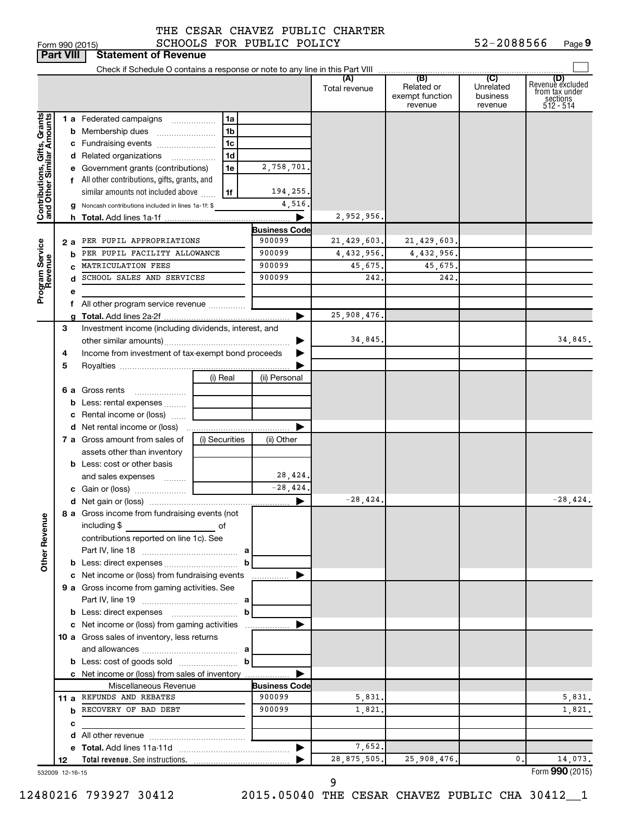|                              | <b>Part VIII</b> | <b>Statement of Revenue</b>                                   |                     |                       |                      |                                                 |                                         |                                                                    |
|------------------------------|------------------|---------------------------------------------------------------|---------------------|-----------------------|----------------------|-------------------------------------------------|-----------------------------------------|--------------------------------------------------------------------|
|                              |                  |                                                               |                     |                       |                      |                                                 |                                         |                                                                    |
|                              |                  |                                                               |                     |                       | (A)<br>Total revenue | (B)<br>Related or<br>exempt function<br>revenue | (C)<br>Unrelated<br>business<br>revenue | (D)<br>Revenue excluded<br>from tax under<br>sections<br>512 - 514 |
|                              |                  | <b>1 a</b> Federated campaigns                                | 1a                  |                       |                      |                                                 |                                         |                                                                    |
|                              |                  | <b>b</b> Membership dues                                      | 1 <sub>b</sub>      |                       |                      |                                                 |                                         |                                                                    |
|                              |                  | c Fundraising events                                          | 1 <sub>c</sub>      |                       |                      |                                                 |                                         |                                                                    |
|                              |                  | d Related organizations                                       | 1 <sub>d</sub><br>. |                       |                      |                                                 |                                         |                                                                    |
|                              |                  | e Government grants (contributions)                           | 1e                  | 2,758,701.            |                      |                                                 |                                         |                                                                    |
|                              |                  | f All other contributions, gifts, grants, and                 |                     |                       |                      |                                                 |                                         |                                                                    |
|                              |                  | similar amounts not included above                            | 1f                  | 194,255.              |                      |                                                 |                                         |                                                                    |
| Contributions, Gifts, Grants |                  | g Noncash contributions included in lines 1a-1f: \$           |                     | 4,516                 |                      |                                                 |                                         |                                                                    |
|                              |                  |                                                               |                     | ▶                     | 2,952,956.           |                                                 |                                         |                                                                    |
|                              |                  |                                                               |                     | <b>Business Code</b>  |                      |                                                 |                                         |                                                                    |
|                              |                  | 2 a PER PUPIL APPROPRIATIONS                                  |                     | 900099                | 21,429,603.          | 21, 429, 603.                                   |                                         |                                                                    |
|                              | b                | PER PUPIL FACILITY ALLOWANCE                                  |                     | 900099                | 4,432,956.           | 4,432,956.                                      |                                         |                                                                    |
| Program Service<br>Revenue   |                  | MATRICULATION FEES                                            |                     | 900099<br>900099      | 45,675.<br>242.      | 45,675.                                         |                                         |                                                                    |
|                              | d                | SCHOOL SALES AND SERVICES                                     |                     |                       |                      | 242.                                            |                                         |                                                                    |
|                              | е                | f All other program service revenue                           |                     |                       |                      |                                                 |                                         |                                                                    |
|                              |                  |                                                               |                     | ▶                     | 25,908,476.          |                                                 |                                         |                                                                    |
|                              | З                | Investment income (including dividends, interest, and         |                     |                       |                      |                                                 |                                         |                                                                    |
|                              |                  |                                                               |                     |                       | 34,845.              |                                                 |                                         | 34,845.                                                            |
|                              | 4                | Income from investment of tax-exempt bond proceeds            |                     |                       |                      |                                                 |                                         |                                                                    |
|                              | 5                |                                                               |                     |                       |                      |                                                 |                                         |                                                                    |
|                              |                  |                                                               | (i) Real            | (ii) Personal         |                      |                                                 |                                         |                                                                    |
|                              |                  | <b>6 a</b> Gross rents                                        |                     |                       |                      |                                                 |                                         |                                                                    |
|                              |                  | <b>b</b> Less: rental expenses                                |                     |                       |                      |                                                 |                                         |                                                                    |
|                              |                  | c Rental income or (loss)                                     |                     |                       |                      |                                                 |                                         |                                                                    |
|                              |                  | <b>d</b> Net rental income or (loss)                          |                     | Þ                     |                      |                                                 |                                         |                                                                    |
|                              |                  | 7 a Gross amount from sales of                                | (i) Securities      | (ii) Other            |                      |                                                 |                                         |                                                                    |
|                              |                  | assets other than inventory                                   |                     |                       |                      |                                                 |                                         |                                                                    |
|                              |                  | <b>b</b> Less: cost or other basis                            |                     |                       |                      |                                                 |                                         |                                                                    |
|                              |                  | and sales expenses                                            |                     | 28,424.               |                      |                                                 |                                         |                                                                    |
|                              |                  |                                                               |                     | $-28,424.$            |                      |                                                 |                                         |                                                                    |
|                              |                  |                                                               |                     | ▶                     | $-28,424.$           |                                                 |                                         | $-28,424.$                                                         |
| <b>Other Revenue</b>         |                  | 8 a Gross income from fundraising events (not<br>including \$ |                     |                       |                      |                                                 |                                         |                                                                    |
|                              |                  | contributions reported on line 1c). See                       |                     |                       |                      |                                                 |                                         |                                                                    |
|                              |                  |                                                               |                     |                       |                      |                                                 |                                         |                                                                    |
|                              |                  | c Net income or (loss) from fundraising events                | b                   | ▶                     |                      |                                                 |                                         |                                                                    |
|                              |                  | 9 a Gross income from gaming activities. See                  |                     |                       |                      |                                                 |                                         |                                                                    |
|                              |                  |                                                               |                     |                       |                      |                                                 |                                         |                                                                    |
|                              |                  |                                                               |                     |                       |                      |                                                 |                                         |                                                                    |
|                              |                  | c Net income or (loss) from gaming activities                 |                     | ▶                     |                      |                                                 |                                         |                                                                    |
|                              |                  | 10 a Gross sales of inventory, less returns                   |                     |                       |                      |                                                 |                                         |                                                                    |
|                              |                  |                                                               |                     |                       |                      |                                                 |                                         |                                                                    |
|                              |                  | <b>b</b> Less: cost of goods sold $\ldots$                    |                     |                       |                      |                                                 |                                         |                                                                    |
|                              |                  | c Net income or (loss) from sales of inventory                |                     | ▶                     |                      |                                                 |                                         |                                                                    |
|                              |                  | Miscellaneous Revenue                                         |                     | <b>Business Code</b>  |                      |                                                 |                                         |                                                                    |
|                              |                  | 11 a REFUNDS AND REBATES                                      |                     | 900099                | 5,831.               |                                                 |                                         | 5,831.                                                             |
|                              |                  | <b>b</b> RECOVERY OF BAD DEBT                                 |                     | 900099                | 1,821.               |                                                 |                                         | 1,821.                                                             |
|                              | с                |                                                               |                     |                       |                      |                                                 |                                         |                                                                    |
|                              |                  |                                                               |                     |                       |                      |                                                 |                                         |                                                                    |
|                              |                  |                                                               |                     | $\blacktriangleright$ | 7,652.               |                                                 |                                         |                                                                    |
|                              | 12               |                                                               |                     |                       | 28,875,505.          | 25,908,476.                                     | 0.                                      | 14,073.                                                            |
|                              | 532009 12-16-15  |                                                               |                     |                       |                      |                                                 |                                         | Form 990 (2015)                                                    |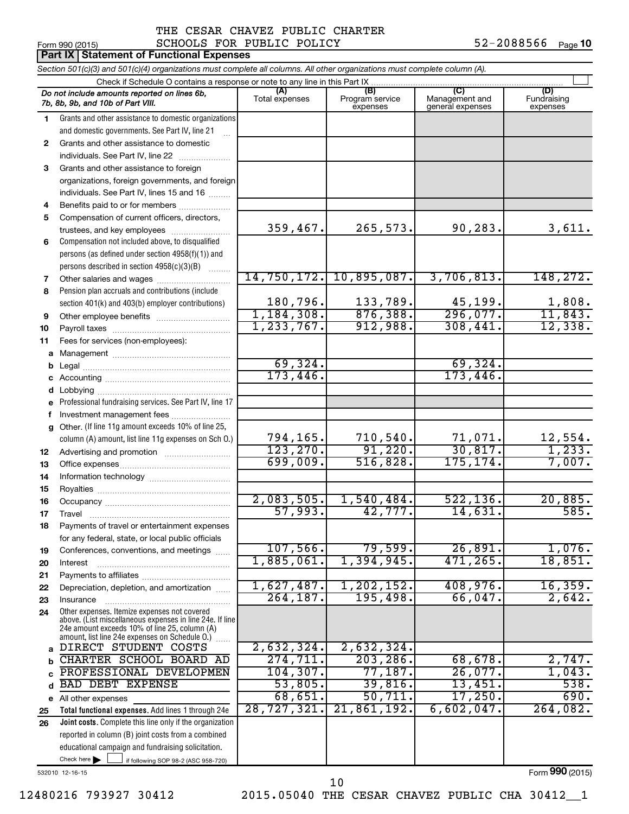## Form 990 (2015)  $SCHOOLS$  FOR PUBLIC POLICY  $52-2088566$  Page THE CESAR CHAVEZ PUBLIC CHARTER

|          | <b>Part IX Statement of Functional Expenses</b>                                                                            |                        |                                    |                                           |                                |  |  |  |  |  |
|----------|----------------------------------------------------------------------------------------------------------------------------|------------------------|------------------------------------|-------------------------------------------|--------------------------------|--|--|--|--|--|
|          | Section 501(c)(3) and 501(c)(4) organizations must complete all columns. All other organizations must complete column (A). |                        |                                    |                                           |                                |  |  |  |  |  |
|          | Check if Schedule O contains a response or note to any line in this Part IX                                                |                        |                                    |                                           |                                |  |  |  |  |  |
|          | Do not include amounts reported on lines 6b,<br>7b, 8b, 9b, and 10b of Part VIII.                                          | (A)<br>Total expenses  | (B)<br>Program service<br>expenses | (C)<br>Management and<br>general expenses | (D)<br>Fundraising<br>expenses |  |  |  |  |  |
| 1.       | Grants and other assistance to domestic organizations                                                                      |                        |                                    |                                           |                                |  |  |  |  |  |
|          | and domestic governments. See Part IV, line 21                                                                             |                        |                                    |                                           |                                |  |  |  |  |  |
| 2        | Grants and other assistance to domestic                                                                                    |                        |                                    |                                           |                                |  |  |  |  |  |
|          | individuals. See Part IV, line 22                                                                                          |                        |                                    |                                           |                                |  |  |  |  |  |
| 3        | Grants and other assistance to foreign                                                                                     |                        |                                    |                                           |                                |  |  |  |  |  |
|          | organizations, foreign governments, and foreign                                                                            |                        |                                    |                                           |                                |  |  |  |  |  |
|          | individuals. See Part IV, lines 15 and 16                                                                                  |                        |                                    |                                           |                                |  |  |  |  |  |
| 4        | Benefits paid to or for members                                                                                            |                        |                                    |                                           |                                |  |  |  |  |  |
| 5        | Compensation of current officers, directors,                                                                               |                        |                                    |                                           |                                |  |  |  |  |  |
|          | trustees, and key employees                                                                                                | 359,467.               | 265,573.                           | 90,283.                                   | 3,611.                         |  |  |  |  |  |
| 6        | Compensation not included above, to disqualified                                                                           |                        |                                    |                                           |                                |  |  |  |  |  |
|          | persons (as defined under section 4958(f)(1)) and                                                                          |                        |                                    |                                           |                                |  |  |  |  |  |
|          | persons described in section 4958(c)(3)(B)                                                                                 | 14,750,172.            |                                    |                                           |                                |  |  |  |  |  |
| 7        |                                                                                                                            |                        | 10,895,087.                        | 3,706,813.                                | 148,272.                       |  |  |  |  |  |
| 8        | Pension plan accruals and contributions (include                                                                           | 180,796.               | 133,789.                           | 45,199.                                   | 1,808.                         |  |  |  |  |  |
|          | section 401(k) and 403(b) employer contributions)                                                                          | 1,184,308.             | 876, 388.                          | 296,077.                                  | 11,843.                        |  |  |  |  |  |
| 9        |                                                                                                                            | 1, 233, 767.           | 912,988.                           | 308,441.                                  | 12,338.                        |  |  |  |  |  |
| 10<br>11 |                                                                                                                            |                        |                                    |                                           |                                |  |  |  |  |  |
| a        | Fees for services (non-employees):                                                                                         |                        |                                    |                                           |                                |  |  |  |  |  |
| b        |                                                                                                                            | 69,324.                |                                    | 69,324.                                   |                                |  |  |  |  |  |
| с        |                                                                                                                            | 173,446.               |                                    | 173,446.                                  |                                |  |  |  |  |  |
| d        |                                                                                                                            |                        |                                    |                                           |                                |  |  |  |  |  |
| e        | Professional fundraising services. See Part IV, line 17                                                                    |                        |                                    |                                           |                                |  |  |  |  |  |
| f        | Investment management fees                                                                                                 |                        |                                    |                                           |                                |  |  |  |  |  |
| a        | Other. (If line 11g amount exceeds 10% of line 25,                                                                         |                        |                                    |                                           |                                |  |  |  |  |  |
|          | column (A) amount, list line 11g expenses on Sch O.)                                                                       | 794,165.               | 710, 540.                          | 71,071.                                   | 12,554.                        |  |  |  |  |  |
| 12       |                                                                                                                            | 123, 270.              | 91,220.                            | 30, 817.                                  | 1,233.                         |  |  |  |  |  |
| 13       |                                                                                                                            | 699,009.               | 516,828.                           | 175, 174.                                 | 7,007.                         |  |  |  |  |  |
| 14       |                                                                                                                            |                        |                                    |                                           |                                |  |  |  |  |  |
| 15       |                                                                                                                            |                        |                                    |                                           |                                |  |  |  |  |  |
| 16       |                                                                                                                            | 2,083,505.             | 1,540,484.                         | 522, 136.                                 | 20,885.                        |  |  |  |  |  |
| 17       | Travel                                                                                                                     | 57,993.                | 42,777.                            | 14,631.                                   | 585.                           |  |  |  |  |  |
| 18       | Payments of travel or entertainment expenses                                                                               |                        |                                    |                                           |                                |  |  |  |  |  |
|          | for any federal, state, or local public officials                                                                          |                        |                                    | 26,891.                                   |                                |  |  |  |  |  |
| 19       | Conferences, conventions, and meetings                                                                                     | 107,566.<br>1,885,061. | 79,599.<br>1,394,945.              | 471, 265.                                 | 1,076.<br>18,851.              |  |  |  |  |  |
| 20       | Interest                                                                                                                   |                        |                                    |                                           |                                |  |  |  |  |  |
| 21       |                                                                                                                            | 1,627,487.             | 1, 202, 152.                       | 408,976.                                  | 16,359.                        |  |  |  |  |  |
| 22<br>23 | Depreciation, depletion, and amortization<br>Insurance                                                                     | 264, 187.              | 195,498.                           | 66,047.                                   | 2,642.                         |  |  |  |  |  |
| 24       | Other expenses. Itemize expenses not covered                                                                               |                        |                                    |                                           |                                |  |  |  |  |  |
|          | above. (List miscellaneous expenses in line 24e. If line<br>24e amount exceeds 10% of line 25, column (A)                  |                        |                                    |                                           |                                |  |  |  |  |  |
| a        | amount, list line 24e expenses on Schedule 0.)<br>DIRECT STUDENT COSTS                                                     | 2,632,324.             | 2,632,324.                         |                                           |                                |  |  |  |  |  |
| b        | CHARTER SCHOOL BOARD AD                                                                                                    | 274, 711.              | 203, 286.                          | 68,678.                                   | 2,747.                         |  |  |  |  |  |
| c        | PROFESSIONAL DEVELOPMEN                                                                                                    | 104, 307.              | 77,187.                            | 26,077.                                   | 1,043.                         |  |  |  |  |  |
| d        | <b>BAD DEBT EXPENSE</b>                                                                                                    | 53,805.                | 39,816.                            | 13,451.                                   | 538.                           |  |  |  |  |  |
| е        | All other expenses                                                                                                         | 68,651.                | 50, 711.                           | 17,250.                                   | 690.                           |  |  |  |  |  |
| 25       | Total functional expenses. Add lines 1 through 24e                                                                         | 28,727,321.            | 21,861,192.                        | 6,602,047.                                | 264,082.                       |  |  |  |  |  |
| 26       | Joint costs. Complete this line only if the organization                                                                   |                        |                                    |                                           |                                |  |  |  |  |  |
|          | reported in column (B) joint costs from a combined                                                                         |                        |                                    |                                           |                                |  |  |  |  |  |
|          | educational campaign and fundraising solicitation.                                                                         |                        |                                    |                                           |                                |  |  |  |  |  |
|          | Check here $\blacktriangleright$<br>if following SOP 98-2 (ASC 958-720)                                                    |                        |                                    |                                           |                                |  |  |  |  |  |

532010 12-16-15

12480216 793927 30412 2015.05040 THE CESAR CHAVEZ PUBLIC CHA 30412\_\_1

10

Form (2015) **990**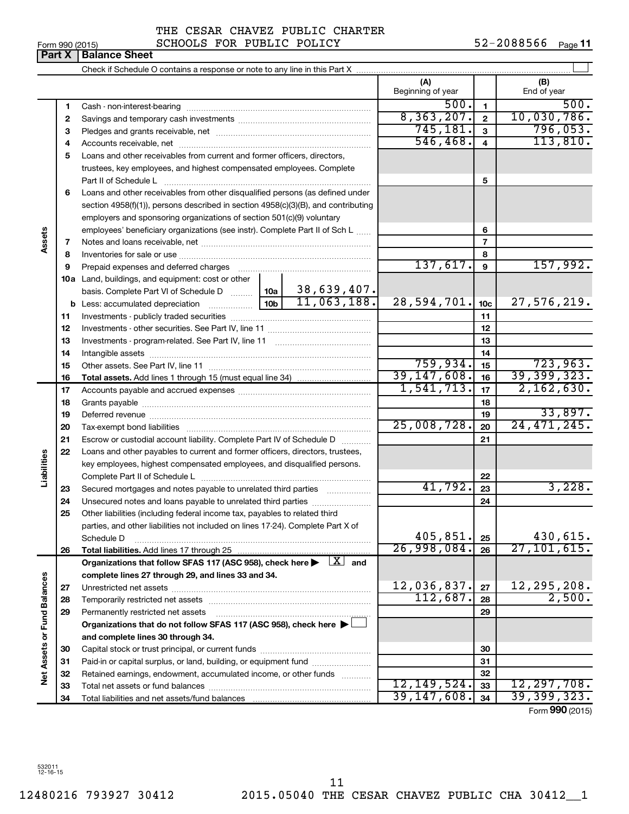| Form 990 (2015) |                               |  |
|-----------------|-------------------------------|--|
|                 | <b>Part X   Balance Sheet</b> |  |

 $\perp$ Check if Schedule O contains a response or note to any line in this Part X **(A) (B)** Beginning of year  $\begin{vmatrix} 1 & 1 \end{vmatrix}$  End of year 500. 500. **1 1** Cash - non-interest-bearing ~~~~~~~~~~~~~~~~~~~~~~~~~  $8,363,207$ .  $2$  10,030,786. **2 2** Savings and temporary cash investments ~~~~~~~~~~~~~~~~~~ 745,181. 796,053. **3 3** Pledges and grants receivable, net ~~~~~~~~~~~~~~~~~~~~~  $546, 468.$   $4$  | 113,810. **4 4** Accounts receivable, net ~~~~~~~~~~~~~~~~~~~~~~~~~~ **5** Loans and other receivables from current and former officers, directors, trustees, key employees, and highest compensated employees. Complete **5** Part II of Schedule L ~~~~~~~~~~~~~~~~~~~~~~~~~~~~ **6** Loans and other receivables from other disqualified persons (as defined under section 4958(f)(1)), persons described in section 4958(c)(3)(B), and contributing employers and sponsoring organizations of section 501(c)(9) voluntary employees' beneficiary organizations (see instr). Complete Part II of Sch L ...... **6 Assets 7 7** Notes and loans receivable, net ~~~~~~~~~~~~~~~~~~~~~~~ **8 8** Inventories for sale or use ~~~~~~~~~~~~~~~~~~~~~~~~~~  $137,617.$  9  $157,992.$ **9 9** Prepaid expenses and deferred charges ~~~~~~~~~~~~~~~~~~ **10 a** Land, buildings, and equipment: cost or other 38,639,407. basis. Complete Part VI of Schedule D  $\frac{1}{10}$  10a  $11,063,188.$  28,594,701.  $10c$  27,576,219. **10c b** Less: accumulated depreciation  $\ldots$  [10b **11 11** Investments - publicly traded securities ~~~~~~~~~~~~~~~~~~~ **12 12** Investments - other securities. See Part IV, line 11 ~~~~~~~~~~~~~~ **13 13** Investments - program-related. See Part IV, line 11 ~~~~~~~~~~~~~ **14 14** Intangible assets ~~~~~~~~~~~~~~~~~~~~~~~~~~~~~~ 759,934. 723,963. Other assets. See Part IV, line 11 ~~~~~~~~~~~~~~~~~~~~~~ **15 15** 39,147,608. 16 39,399,323. **16 16 Total assets.**  Add lines 1 through 15 (must equal line 34)  $1,541,713.$   $\mid 17 \mid 2,162,630.$ **17 17** Accounts payable and accrued expenses ~~~~~~~~~~~~~~~~~~ **18 18** Grants payable ~~~~~~~~~~~~~~~~~~~~~~~~~~~~~~~ 33,897. **19 19** Deferred revenue ~~~~~~~~~~~~~~~~~~~~~~~~~~~~~~ 25,008,728. 24,471,245. **20 20** Tax-exempt bond liabilities ~~~~~~~~~~~~~~~~~~~~~~~~~ **21 21** Escrow or custodial account liability. Complete Part IV of Schedule D ........... **22** Loans and other payables to current and former officers, directors, trustees, **Liabilities** key employees, highest compensated employees, and disqualified persons. Complete Part II of Schedule L ~~~~~~~~~~~~~~~~~~~~~~~ **22**  $41,792.$   $23$   $3,228.$ Secured mortgages and notes payable to unrelated third parties  $\ldots$ ................. **23 23 24** Unsecured notes and loans payable to unrelated third parties ~~~~~~~~ **24 25** Other liabilities (including federal income tax, payables to related third parties, and other liabilities not included on lines 17-24). Complete Part X of  $405,851.$   $25$   $430,615.$ Schedule D ~~~~~~~~~~~~~~~~~~~~~~~~~~~~~~~~ **25** 26,998,084. 27,101,615. **26 26 Total liabilities.**  Add lines 17 through 25 Organizations that follow SFAS 117 (ASC 958), check here  $\blacktriangleright$   $\boxed{X}$  and **complete lines 27 through 29, and lines 33 and 34. Vet Assets or Fund Balances Net Assets or Fund Balances** 12,036,837. 27 12,295,208. **27 27** Unrestricted net assets ~~~~~~~~~~~~~~~~~~~~~~~~~~~  $112,687. |28| 2,500.$ **28 28** Temporarily restricted net assets ~~~~~~~~~~~~~~~~~~~~~~ **29 29** Permanently restricted net assets ~~~~~~~~~~~~~~~~~~~~~ **Organizations that do not follow SFAS 117 (ASC 958), check here** | † **and complete lines 30 through 34. 30 30** Capital stock or trust principal, or current funds ~~~~~~~~~~~~~~~ **31 31** Paid-in or capital surplus, or land, building, or equipment fund ....................... **32 32** Retained earnings, endowment, accumulated income, or other funds ............ 12,149,524. 12,297,708. **33** Total net assets or fund balances ~~~~~~~~~~~~~~~~~~~~~~ **33** 39,147,608. 39,399,323. **34 34** Total liabilities and net assets/fund balances

Form (2015) **990**

532011 12-16-15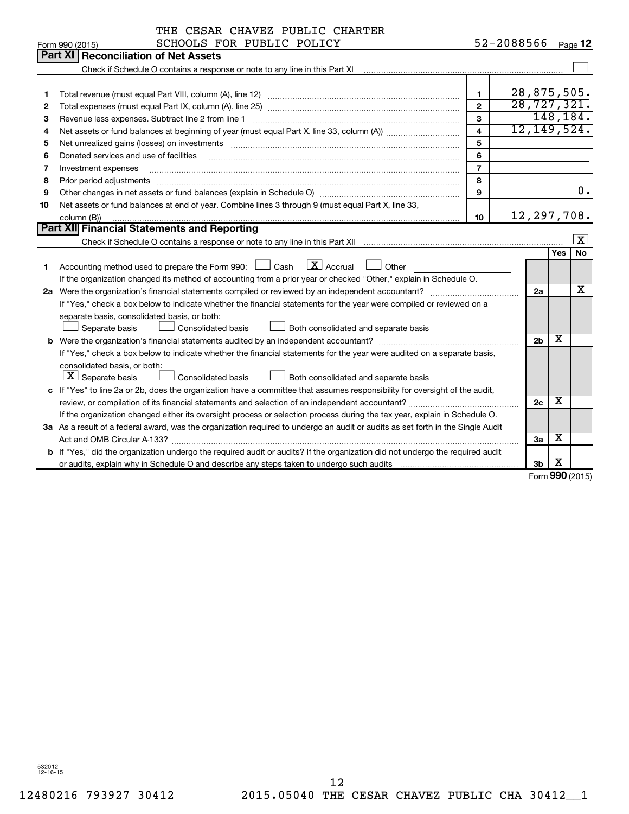|    | THE CESAR CHAVEZ PUBLIC CHARTER                                                                                                                                                                                                |                         |                       |     |                  |
|----|--------------------------------------------------------------------------------------------------------------------------------------------------------------------------------------------------------------------------------|-------------------------|-----------------------|-----|------------------|
|    | SCHOOLS FOR PUBLIC POLICY<br>Form 990 (2015)                                                                                                                                                                                   |                         | 52-2088566            |     | Page 12          |
|    | Part XI<br><b>Reconciliation of Net Assets</b>                                                                                                                                                                                 |                         |                       |     |                  |
|    | Check if Schedule O contains a response or note to any line in this Part XI                                                                                                                                                    |                         |                       |     |                  |
|    |                                                                                                                                                                                                                                |                         |                       |     |                  |
| 1  |                                                                                                                                                                                                                                | $\mathbf{1}$            | 28,875,505.           |     |                  |
| 2  |                                                                                                                                                                                                                                | $\overline{2}$          | 28, 727, 321.         |     |                  |
| З  | Revenue less expenses. Subtract line 2 from line 1                                                                                                                                                                             | 3                       |                       |     | 148, 184.        |
| 4  |                                                                                                                                                                                                                                | $\overline{\mathbf{A}}$ | 12, 149, 524.         |     |                  |
| 5  | Net unrealized gains (losses) on investments [11] matter than the control of the state of the state of the state of the state of the state of the state of the state of the state of the state of the state of the state of th | 5                       |                       |     |                  |
| 6  | Donated services and use of facilities                                                                                                                                                                                         | 6                       |                       |     |                  |
| 7  | Investment expenses                                                                                                                                                                                                            | $\overline{7}$          |                       |     |                  |
| 8  | Prior period adjustments                                                                                                                                                                                                       | 8                       |                       |     |                  |
| 9  |                                                                                                                                                                                                                                | 9                       |                       |     | $\overline{0}$ . |
| 10 | Net assets or fund balances at end of year. Combine lines 3 through 9 (must equal Part X, line 33,                                                                                                                             |                         |                       |     |                  |
|    | column (B))                                                                                                                                                                                                                    | 10                      | 12, 297, 708.         |     |                  |
|    | Part XII Financial Statements and Reporting                                                                                                                                                                                    |                         |                       |     |                  |
|    |                                                                                                                                                                                                                                |                         |                       |     | $\vert x \vert$  |
|    |                                                                                                                                                                                                                                |                         |                       | Yes | <b>No</b>        |
| 1  | $\lfloor x \rfloor$ Accrual<br>Accounting method used to prepare the Form 990: $\Box$ Cash<br>Other                                                                                                                            |                         |                       |     |                  |
|    | If the organization changed its method of accounting from a prior year or checked "Other," explain in Schedule O.                                                                                                              |                         |                       |     |                  |
|    | 2a Were the organization's financial statements compiled or reviewed by an independent accountant?                                                                                                                             |                         | 2a                    |     | х                |
|    | If "Yes," check a box below to indicate whether the financial statements for the year were compiled or reviewed on a                                                                                                           |                         |                       |     |                  |
|    | separate basis, consolidated basis, or both:                                                                                                                                                                                   |                         |                       |     |                  |
|    | Separate basis<br>Consolidated basis<br>Both consolidated and separate basis                                                                                                                                                   |                         |                       |     |                  |
|    |                                                                                                                                                                                                                                |                         | 2 <sub>b</sub>        | х   |                  |
|    | If "Yes," check a box below to indicate whether the financial statements for the year were audited on a separate basis,                                                                                                        |                         |                       |     |                  |
|    | consolidated basis, or both:                                                                                                                                                                                                   |                         |                       |     |                  |
|    | $ \mathbf{X} $ Separate basis<br>Consolidated basis<br>Both consolidated and separate basis                                                                                                                                    |                         |                       |     |                  |
|    | c If "Yes" to line 2a or 2b, does the organization have a committee that assumes responsibility for oversight of the audit,                                                                                                    |                         |                       |     |                  |
|    | review, or compilation of its financial statements and selection of an independent accountant?                                                                                                                                 |                         | 2c                    | X   |                  |
|    | If the organization changed either its oversight process or selection process during the tax year, explain in Schedule O.                                                                                                      |                         |                       |     |                  |
|    | 3a As a result of a federal award, was the organization required to undergo an audit or audits as set forth in the Single Audit                                                                                                |                         |                       |     |                  |
|    |                                                                                                                                                                                                                                |                         | 3a                    | х   |                  |
|    | <b>b</b> If "Yes," did the organization undergo the required audit or audits? If the organization did not undergo the required audit                                                                                           |                         |                       |     |                  |
|    |                                                                                                                                                                                                                                |                         | 3b<br>Form 990 (2015) | х   |                  |
|    |                                                                                                                                                                                                                                |                         |                       |     |                  |

Form (2015) **990**

532012 12-16-15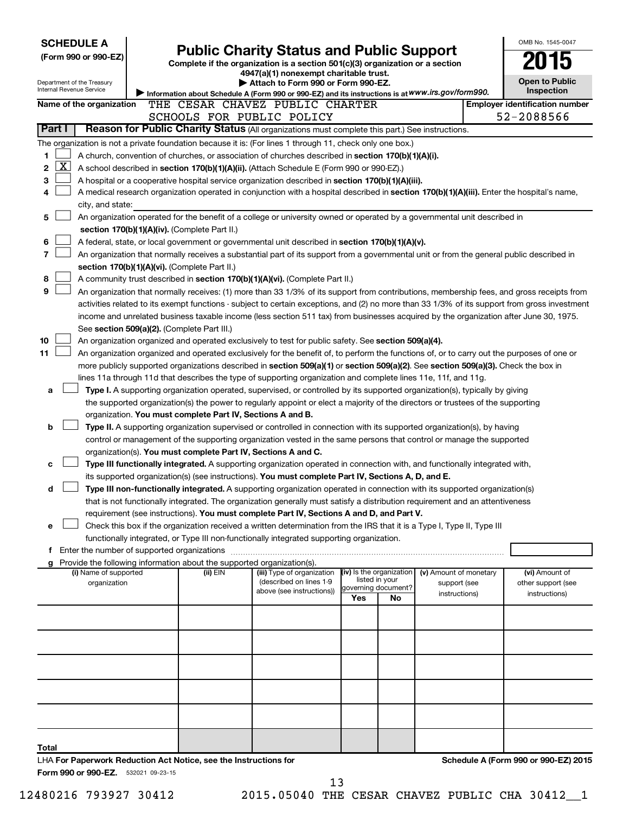| <b>SCHEDULE A</b>                                      |                                             |                                                                          |                                                                                                                                                                                                                                                                |     |                                       |                        | OMB No. 1545-0047                                   |
|--------------------------------------------------------|---------------------------------------------|--------------------------------------------------------------------------|----------------------------------------------------------------------------------------------------------------------------------------------------------------------------------------------------------------------------------------------------------------|-----|---------------------------------------|------------------------|-----------------------------------------------------|
| (Form 990 or 990-EZ)                                   |                                             |                                                                          | <b>Public Charity Status and Public Support</b><br>Complete if the organization is a section 501(c)(3) organization or a section                                                                                                                               |     |                                       |                        |                                                     |
|                                                        |                                             |                                                                          | 4947(a)(1) nonexempt charitable trust.                                                                                                                                                                                                                         |     |                                       |                        |                                                     |
| Department of the Treasury<br>Internal Revenue Service |                                             |                                                                          | Attach to Form 990 or Form 990-EZ.                                                                                                                                                                                                                             |     |                                       |                        | <b>Open to Public</b>                               |
|                                                        |                                             |                                                                          | Information about Schedule A (Form 990 or 990-EZ) and its instructions is at WWW.irs.gov/form990.                                                                                                                                                              |     |                                       |                        | <b>Inspection</b>                                   |
| Name of the organization                               |                                             |                                                                          | THE CESAR CHAVEZ PUBLIC CHARTER<br>SCHOOLS FOR PUBLIC POLICY                                                                                                                                                                                                   |     |                                       |                        | <b>Employer identification number</b><br>52-2088566 |
| Part I                                                 |                                             |                                                                          | Reason for Public Charity Status (All organizations must complete this part.) See instructions.                                                                                                                                                                |     |                                       |                        |                                                     |
|                                                        |                                             |                                                                          | The organization is not a private foundation because it is: (For lines 1 through 11, check only one box.)                                                                                                                                                      |     |                                       |                        |                                                     |
| 1                                                      |                                             |                                                                          | A church, convention of churches, or association of churches described in section 170(b)(1)(A)(i).                                                                                                                                                             |     |                                       |                        |                                                     |
| $\overline{\text{X}}$<br>2                             |                                             |                                                                          | A school described in section 170(b)(1)(A)(ii). (Attach Schedule E (Form 990 or 990-EZ).)                                                                                                                                                                      |     |                                       |                        |                                                     |
| 3                                                      |                                             |                                                                          | A hospital or a cooperative hospital service organization described in section 170(b)(1)(A)(iii).                                                                                                                                                              |     |                                       |                        |                                                     |
| 4                                                      |                                             |                                                                          | A medical research organization operated in conjunction with a hospital described in section 170(b)(1)(A)(iii). Enter the hospital's name,                                                                                                                     |     |                                       |                        |                                                     |
| city, and state:                                       |                                             |                                                                          |                                                                                                                                                                                                                                                                |     |                                       |                        |                                                     |
| 5                                                      |                                             |                                                                          | An organization operated for the benefit of a college or university owned or operated by a governmental unit described in                                                                                                                                      |     |                                       |                        |                                                     |
|                                                        |                                             | section 170(b)(1)(A)(iv). (Complete Part II.)                            |                                                                                                                                                                                                                                                                |     |                                       |                        |                                                     |
| 6                                                      |                                             |                                                                          | A federal, state, or local government or governmental unit described in section 170(b)(1)(A)(v).                                                                                                                                                               |     |                                       |                        |                                                     |
| 7                                                      |                                             |                                                                          | An organization that normally receives a substantial part of its support from a governmental unit or from the general public described in                                                                                                                      |     |                                       |                        |                                                     |
| 8                                                      |                                             | section 170(b)(1)(A)(vi). (Complete Part II.)                            | A community trust described in section 170(b)(1)(A)(vi). (Complete Part II.)                                                                                                                                                                                   |     |                                       |                        |                                                     |
| 9                                                      |                                             |                                                                          | An organization that normally receives: (1) more than 33 1/3% of its support from contributions, membership fees, and gross receipts from                                                                                                                      |     |                                       |                        |                                                     |
|                                                        |                                             |                                                                          | activities related to its exempt functions - subject to certain exceptions, and (2) no more than 33 1/3% of its support from gross investment                                                                                                                  |     |                                       |                        |                                                     |
|                                                        |                                             |                                                                          | income and unrelated business taxable income (less section 511 tax) from businesses acquired by the organization after June 30, 1975.                                                                                                                          |     |                                       |                        |                                                     |
|                                                        | See section 509(a)(2). (Complete Part III.) |                                                                          |                                                                                                                                                                                                                                                                |     |                                       |                        |                                                     |
| 10                                                     |                                             |                                                                          | An organization organized and operated exclusively to test for public safety. See section 509(a)(4).                                                                                                                                                           |     |                                       |                        |                                                     |
| 11                                                     |                                             |                                                                          | An organization organized and operated exclusively for the benefit of, to perform the functions of, or to carry out the purposes of one or                                                                                                                     |     |                                       |                        |                                                     |
|                                                        |                                             |                                                                          | more publicly supported organizations described in section 509(a)(1) or section 509(a)(2). See section 509(a)(3). Check the box in                                                                                                                             |     |                                       |                        |                                                     |
|                                                        |                                             |                                                                          | lines 11a through 11d that describes the type of supporting organization and complete lines 11e, 11f, and 11g.                                                                                                                                                 |     |                                       |                        |                                                     |
| a                                                      |                                             |                                                                          | Type I. A supporting organization operated, supervised, or controlled by its supported organization(s), typically by giving<br>the supported organization(s) the power to regularly appoint or elect a majority of the directors or trustees of the supporting |     |                                       |                        |                                                     |
|                                                        |                                             | organization. You must complete Part IV, Sections A and B.               |                                                                                                                                                                                                                                                                |     |                                       |                        |                                                     |
| b                                                      |                                             |                                                                          | Type II. A supporting organization supervised or controlled in connection with its supported organization(s), by having                                                                                                                                        |     |                                       |                        |                                                     |
|                                                        |                                             |                                                                          | control or management of the supporting organization vested in the same persons that control or manage the supported                                                                                                                                           |     |                                       |                        |                                                     |
|                                                        |                                             | organization(s). You must complete Part IV, Sections A and C.            |                                                                                                                                                                                                                                                                |     |                                       |                        |                                                     |
| c                                                      |                                             |                                                                          | Type III functionally integrated. A supporting organization operated in connection with, and functionally integrated with,                                                                                                                                     |     |                                       |                        |                                                     |
|                                                        |                                             |                                                                          | its supported organization(s) (see instructions). You must complete Part IV, Sections A, D, and E.                                                                                                                                                             |     |                                       |                        |                                                     |
| d                                                      |                                             |                                                                          | Type III non-functionally integrated. A supporting organization operated in connection with its supported organization(s)                                                                                                                                      |     |                                       |                        |                                                     |
|                                                        |                                             |                                                                          | that is not functionally integrated. The organization generally must satisfy a distribution requirement and an attentiveness                                                                                                                                   |     |                                       |                        |                                                     |
|                                                        |                                             |                                                                          | requirement (see instructions). You must complete Part IV, Sections A and D, and Part V.                                                                                                                                                                       |     |                                       |                        |                                                     |
| e                                                      |                                             |                                                                          | Check this box if the organization received a written determination from the IRS that it is a Type I, Type II, Type III<br>functionally integrated, or Type III non-functionally integrated supporting organization.                                           |     |                                       |                        |                                                     |
|                                                        |                                             |                                                                          |                                                                                                                                                                                                                                                                |     |                                       |                        |                                                     |
|                                                        |                                             | g Provide the following information about the supported organization(s). |                                                                                                                                                                                                                                                                |     |                                       |                        |                                                     |
| (i) Name of supported                                  |                                             | (ii) EIN                                                                 | (iii) Type of organization                                                                                                                                                                                                                                     |     | (iv) Is the organization              | (v) Amount of monetary | (vi) Amount of                                      |
| organization                                           |                                             |                                                                          | (described on lines 1-9<br>above (see instructions))                                                                                                                                                                                                           |     | listed in your<br>governing document? | support (see           | other support (see                                  |
|                                                        |                                             |                                                                          |                                                                                                                                                                                                                                                                | Yes | No                                    | instructions)          | instructions)                                       |
|                                                        |                                             |                                                                          |                                                                                                                                                                                                                                                                |     |                                       |                        |                                                     |
|                                                        |                                             |                                                                          |                                                                                                                                                                                                                                                                |     |                                       |                        |                                                     |
|                                                        |                                             |                                                                          |                                                                                                                                                                                                                                                                |     |                                       |                        |                                                     |
|                                                        |                                             |                                                                          |                                                                                                                                                                                                                                                                |     |                                       |                        |                                                     |
|                                                        |                                             |                                                                          |                                                                                                                                                                                                                                                                |     |                                       |                        |                                                     |
|                                                        |                                             |                                                                          |                                                                                                                                                                                                                                                                |     |                                       |                        |                                                     |
|                                                        |                                             |                                                                          |                                                                                                                                                                                                                                                                |     |                                       |                        |                                                     |
|                                                        |                                             |                                                                          |                                                                                                                                                                                                                                                                |     |                                       |                        |                                                     |
|                                                        |                                             |                                                                          |                                                                                                                                                                                                                                                                |     |                                       |                        |                                                     |
|                                                        |                                             |                                                                          |                                                                                                                                                                                                                                                                |     |                                       |                        |                                                     |
| Total                                                  |                                             |                                                                          |                                                                                                                                                                                                                                                                |     |                                       |                        |                                                     |
| Form 990 or 990-EZ. 532021 09-23-15                    |                                             | LHA For Paperwork Reduction Act Notice, see the Instructions for         |                                                                                                                                                                                                                                                                |     |                                       |                        | Schedule A (Form 990 or 990-EZ) 2015                |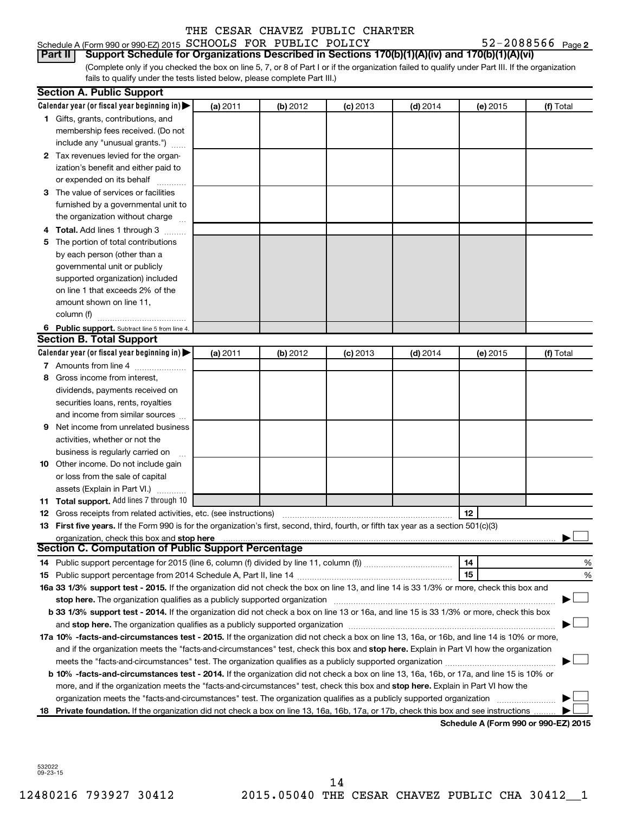## Schedule A (Form 990 or 990-EZ) 2015  $SCHOOLS$  FOR PUBLIC POLICY  $52-2088566$  Page

52-2088566 Page 2

(Complete only if you checked the box on line 5, 7, or 8 of Part I or if the organization failed to qualify under Part III. If the organization fails to qualify under the tests listed below, please complete Part III.) **Part II Support Schedule for Organizations Described in Sections 170(b)(1)(A)(iv) and 170(b)(1)(A)(vi)**

|    | <b>Section A. Public Support</b>                                                                                                                                                                                               |          |          |            |            |                                      |           |
|----|--------------------------------------------------------------------------------------------------------------------------------------------------------------------------------------------------------------------------------|----------|----------|------------|------------|--------------------------------------|-----------|
|    | Calendar year (or fiscal year beginning in) $\blacktriangleright$                                                                                                                                                              | (a) 2011 | (b) 2012 | $(c)$ 2013 | $(d)$ 2014 | (e) 2015                             | (f) Total |
|    | 1 Gifts, grants, contributions, and                                                                                                                                                                                            |          |          |            |            |                                      |           |
|    | membership fees received. (Do not                                                                                                                                                                                              |          |          |            |            |                                      |           |
|    | include any "unusual grants.")                                                                                                                                                                                                 |          |          |            |            |                                      |           |
|    | 2 Tax revenues levied for the organ-                                                                                                                                                                                           |          |          |            |            |                                      |           |
|    | ization's benefit and either paid to                                                                                                                                                                                           |          |          |            |            |                                      |           |
|    | or expended on its behalf                                                                                                                                                                                                      |          |          |            |            |                                      |           |
|    | 3 The value of services or facilities                                                                                                                                                                                          |          |          |            |            |                                      |           |
|    | furnished by a governmental unit to                                                                                                                                                                                            |          |          |            |            |                                      |           |
|    | the organization without charge                                                                                                                                                                                                |          |          |            |            |                                      |           |
|    | 4 Total. Add lines 1 through 3                                                                                                                                                                                                 |          |          |            |            |                                      |           |
| 5. | The portion of total contributions                                                                                                                                                                                             |          |          |            |            |                                      |           |
|    | by each person (other than a                                                                                                                                                                                                   |          |          |            |            |                                      |           |
|    | governmental unit or publicly                                                                                                                                                                                                  |          |          |            |            |                                      |           |
|    | supported organization) included                                                                                                                                                                                               |          |          |            |            |                                      |           |
|    | on line 1 that exceeds 2% of the                                                                                                                                                                                               |          |          |            |            |                                      |           |
|    | amount shown on line 11,                                                                                                                                                                                                       |          |          |            |            |                                      |           |
|    | column (f)                                                                                                                                                                                                                     |          |          |            |            |                                      |           |
|    | 6 Public support. Subtract line 5 from line 4.                                                                                                                                                                                 |          |          |            |            |                                      |           |
|    | <b>Section B. Total Support</b>                                                                                                                                                                                                |          |          |            |            |                                      |           |
|    | Calendar year (or fiscal year beginning in) $\blacktriangleright$                                                                                                                                                              | (a) 2011 | (b) 2012 | $(c)$ 2013 | $(d)$ 2014 | (e) 2015                             | (f) Total |
|    | 7 Amounts from line 4                                                                                                                                                                                                          |          |          |            |            |                                      |           |
| 8  | Gross income from interest.                                                                                                                                                                                                    |          |          |            |            |                                      |           |
|    | dividends, payments received on                                                                                                                                                                                                |          |          |            |            |                                      |           |
|    | securities loans, rents, royalties                                                                                                                                                                                             |          |          |            |            |                                      |           |
|    | and income from similar sources                                                                                                                                                                                                |          |          |            |            |                                      |           |
| 9  | Net income from unrelated business                                                                                                                                                                                             |          |          |            |            |                                      |           |
|    | activities, whether or not the                                                                                                                                                                                                 |          |          |            |            |                                      |           |
|    | business is regularly carried on                                                                                                                                                                                               |          |          |            |            |                                      |           |
|    | <b>10</b> Other income. Do not include gain                                                                                                                                                                                    |          |          |            |            |                                      |           |
|    | or loss from the sale of capital                                                                                                                                                                                               |          |          |            |            |                                      |           |
|    | assets (Explain in Part VI.)                                                                                                                                                                                                   |          |          |            |            |                                      |           |
|    | 11 Total support. Add lines 7 through 10                                                                                                                                                                                       |          |          |            |            |                                      |           |
|    | <b>12</b> Gross receipts from related activities, etc. (see instructions)                                                                                                                                                      |          |          |            |            | 12                                   |           |
|    | 13 First five years. If the Form 990 is for the organization's first, second, third, fourth, or fifth tax year as a section 501(c)(3)                                                                                          |          |          |            |            |                                      |           |
|    | organization, check this box and stop here<br><b>Section C. Computation of Public Support Percentage</b>                                                                                                                       |          |          |            |            |                                      |           |
|    |                                                                                                                                                                                                                                |          |          |            |            |                                      |           |
|    |                                                                                                                                                                                                                                |          |          |            |            | 14<br>15                             | %<br>%    |
|    | 16a 33 1/3% support test - 2015. If the organization did not check the box on line 13, and line 14 is 33 1/3% or more, check this box and                                                                                      |          |          |            |            |                                      |           |
|    | stop here. The organization qualifies as a publicly supported organization manufactured content and the support of the state of the state of the state of the state of the state of the state of the state of the state of the |          |          |            |            |                                      |           |
|    | b 33 1/3% support test - 2014. If the organization did not check a box on line 13 or 16a, and line 15 is 33 1/3% or more, check this box                                                                                       |          |          |            |            |                                      |           |
|    |                                                                                                                                                                                                                                |          |          |            |            |                                      |           |
|    | 17a 10% -facts-and-circumstances test - 2015. If the organization did not check a box on line 13, 16a, or 16b, and line 14 is 10% or more,                                                                                     |          |          |            |            |                                      |           |
|    | and if the organization meets the "facts-and-circumstances" test, check this box and stop here. Explain in Part VI how the organization                                                                                        |          |          |            |            |                                      |           |
|    | meets the "facts-and-circumstances" test. The organization qualifies as a publicly supported organization <i>manumumumum</i>                                                                                                   |          |          |            |            |                                      |           |
|    | b 10% -facts-and-circumstances test - 2014. If the organization did not check a box on line 13, 16a, 16b, or 17a, and line 15 is 10% or                                                                                        |          |          |            |            |                                      |           |
|    | more, and if the organization meets the "facts-and-circumstances" test, check this box and stop here. Explain in Part VI how the                                                                                               |          |          |            |            |                                      |           |
|    | organization meets the "facts-and-circumstances" test. The organization qualifies as a publicly supported organization                                                                                                         |          |          |            |            |                                      |           |
| 18 | Private foundation. If the organization did not check a box on line 13, 16a, 16b, 17a, or 17b, check this box and see instructions                                                                                             |          |          |            |            |                                      |           |
|    |                                                                                                                                                                                                                                |          |          |            |            | Schedule A (Form 990 or 990-EZ) 2015 |           |

532022 09-23-15

12480216 793927 30412 2015.05040 THE CESAR CHAVEZ PUBLIC CHA 30412\_\_1 14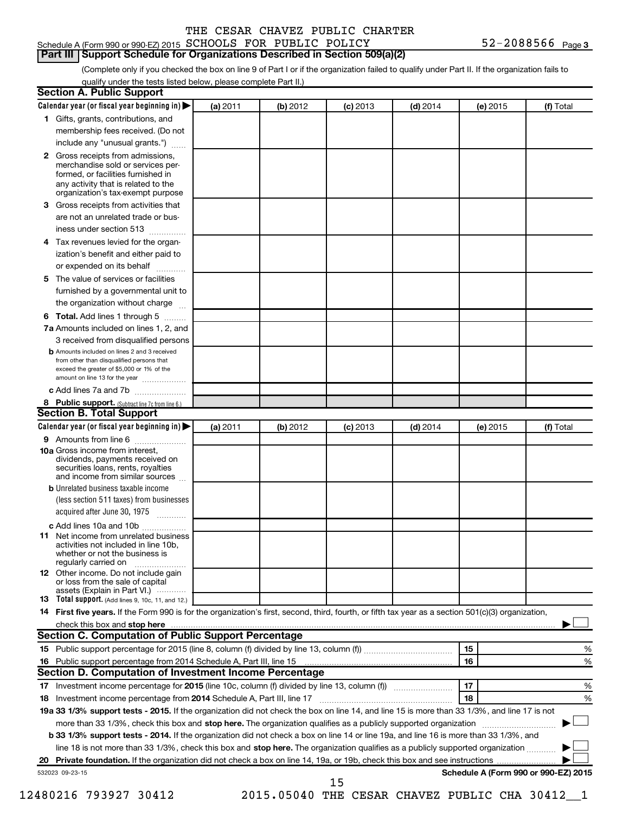## Schedule A (Form 990 or 990-EZ) 2015  $SCHOOLS$  FOR PUBLIC POLICY  $52-2088566$  Page **Part III Support Schedule for Organizations Described in Section 509(a)(2)**

(Complete only if you checked the box on line 9 of Part I or if the organization failed to qualify under Part II. If the organization fails to qualify under the tests listed below, please complete Part II.)

| Calendar year (or fiscal year beginning in)                                                                                                                                                                                                                              | (a) 2011 | (b) 2012 | $(c)$ 2013 | $(d)$ 2014 | (e) 2015 | (f) Total                            |
|--------------------------------------------------------------------------------------------------------------------------------------------------------------------------------------------------------------------------------------------------------------------------|----------|----------|------------|------------|----------|--------------------------------------|
| 1 Gifts, grants, contributions, and                                                                                                                                                                                                                                      |          |          |            |            |          |                                      |
| membership fees received. (Do not                                                                                                                                                                                                                                        |          |          |            |            |          |                                      |
| include any "unusual grants.")                                                                                                                                                                                                                                           |          |          |            |            |          |                                      |
| Gross receipts from admissions,<br>$\mathbf{2}$<br>merchandise sold or services per-<br>formed, or facilities furnished in<br>any activity that is related to the<br>organization's tax-exempt purpose                                                                   |          |          |            |            |          |                                      |
| Gross receipts from activities that<br>3.                                                                                                                                                                                                                                |          |          |            |            |          |                                      |
| are not an unrelated trade or bus-                                                                                                                                                                                                                                       |          |          |            |            |          |                                      |
| iness under section 513                                                                                                                                                                                                                                                  |          |          |            |            |          |                                      |
| Tax revenues levied for the organ-<br>4                                                                                                                                                                                                                                  |          |          |            |            |          |                                      |
| ization's benefit and either paid to<br>or expended on its behalf                                                                                                                                                                                                        | .        |          |            |            |          |                                      |
| The value of services or facilities<br>5                                                                                                                                                                                                                                 |          |          |            |            |          |                                      |
| furnished by a governmental unit to                                                                                                                                                                                                                                      |          |          |            |            |          |                                      |
| the organization without charge                                                                                                                                                                                                                                          |          |          |            |            |          |                                      |
| Total. Add lines 1 through 5<br>6                                                                                                                                                                                                                                        |          |          |            |            |          |                                      |
| 7a Amounts included on lines 1, 2, and                                                                                                                                                                                                                                   |          |          |            |            |          |                                      |
| 3 received from disqualified persons                                                                                                                                                                                                                                     |          |          |            |            |          |                                      |
| <b>b</b> Amounts included on lines 2 and 3 received<br>from other than disqualified persons that<br>exceed the greater of \$5,000 or 1% of the<br>amount on line 13 for the year                                                                                         |          |          |            |            |          |                                      |
| c Add lines 7a and 7b                                                                                                                                                                                                                                                    |          |          |            |            |          |                                      |
| 8 Public support. (Subtract line 7c from line 6.)                                                                                                                                                                                                                        |          |          |            |            |          |                                      |
| <b>Section B. Total Support</b>                                                                                                                                                                                                                                          |          |          |            |            |          |                                      |
| Calendar year (or fiscal year beginning in)                                                                                                                                                                                                                              | (a) 2011 | (b) 2012 | $(c)$ 2013 | $(d)$ 2014 | (e) 2015 | (f) Total                            |
| 9 Amounts from line 6                                                                                                                                                                                                                                                    |          |          |            |            |          |                                      |
| <b>10a</b> Gross income from interest,<br>dividends, payments received on<br>securities loans, rents, royalties<br>and income from similar sources                                                                                                                       |          |          |            |            |          |                                      |
| <b>b</b> Unrelated business taxable income                                                                                                                                                                                                                               |          |          |            |            |          |                                      |
| (less section 511 taxes) from businesses<br>acquired after June 30, 1975                                                                                                                                                                                                 |          |          |            |            |          |                                      |
| c Add lines 10a and 10b                                                                                                                                                                                                                                                  |          |          |            |            |          |                                      |
| Net income from unrelated business<br>11<br>activities not included in line 10b.<br>whether or not the business is<br>regularly carried on                                                                                                                               |          |          |            |            |          |                                      |
| 12 Other income. Do not include gain<br>or loss from the sale of capital<br>assets (Explain in Part VI.)                                                                                                                                                                 |          |          |            |            |          |                                      |
| 13 Total support. (Add lines 9, 10c, 11, and 12.)                                                                                                                                                                                                                        |          |          |            |            |          |                                      |
| 14 First five years. If the Form 990 is for the organization's first, second, third, fourth, or fifth tax year as a section 501(c)(3) organization,                                                                                                                      |          |          |            |            |          |                                      |
|                                                                                                                                                                                                                                                                          |          |          |            |            |          |                                      |
| Section C. Computation of Public Support Percentage                                                                                                                                                                                                                      |          |          |            |            |          |                                      |
|                                                                                                                                                                                                                                                                          |          |          |            |            | 15       | %                                    |
|                                                                                                                                                                                                                                                                          |          |          |            |            | 16       | %                                    |
| Section D. Computation of Investment Income Percentage                                                                                                                                                                                                                   |          |          |            |            |          |                                      |
|                                                                                                                                                                                                                                                                          |          |          |            |            | 17       | %                                    |
|                                                                                                                                                                                                                                                                          |          |          |            |            | 18       | %                                    |
| 19a 33 1/3% support tests - 2015. If the organization did not check the box on line 14, and line 15 is more than 33 1/3%, and line 17 is not                                                                                                                             |          |          |            |            |          |                                      |
| more than 33 1/3%, check this box and stop here. The organization qualifies as a publicly supported organization                                                                                                                                                         |          |          |            |            |          |                                      |
| b 33 1/3% support tests - 2014. If the organization did not check a box on line 14 or line 19a, and line 16 is more than 33 1/3%, and<br>line 18 is not more than 33 1/3%, check this box and stop here. The organization qualifies as a publicly supported organization |          |          |            |            |          |                                      |
|                                                                                                                                                                                                                                                                          |          |          |            |            |          |                                      |
|                                                                                                                                                                                                                                                                          |          |          |            |            |          |                                      |
|                                                                                                                                                                                                                                                                          |          |          |            |            |          |                                      |
| 532023 09-23-15                                                                                                                                                                                                                                                          |          |          | 15         |            |          | Schedule A (Form 990 or 990-EZ) 2015 |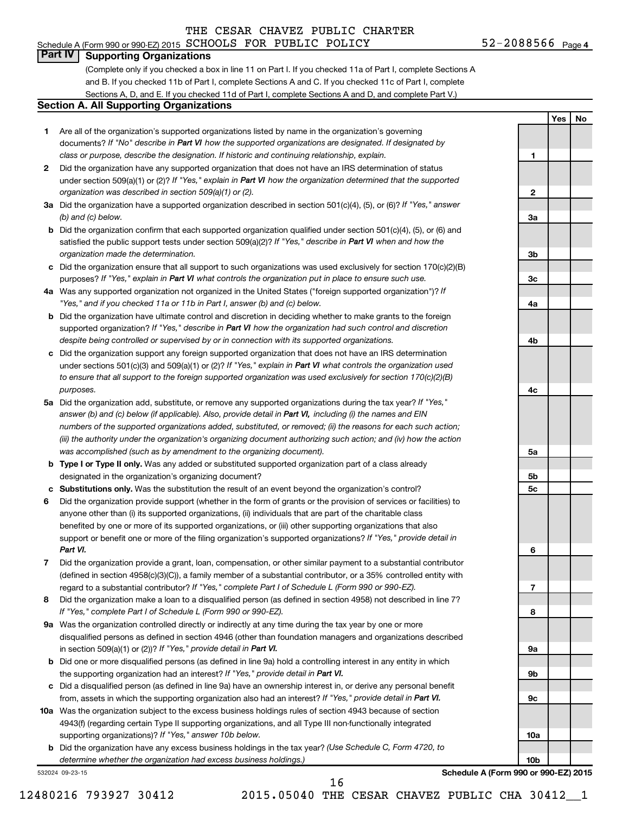## Schedule A (Form 990 or 990-EZ) 2015  $SCHOOLS$  FOR PUBLIC POLICY  $52-2088566$  Page

## **Part IV Supporting Organizations**

(Complete only if you checked a box in line 11 on Part I. If you checked 11a of Part I, complete Sections A and B. If you checked 11b of Part I, complete Sections A and C. If you checked 11c of Part I, complete Sections A, D, and E. If you checked 11d of Part I, complete Sections A and D, and complete Part V.)

## **Section A. All Supporting Organizations**

- **1** Are all of the organization's supported organizations listed by name in the organization's governing documents? If "No" describe in Part VI how the supported organizations are designated. If designated by *class or purpose, describe the designation. If historic and continuing relationship, explain.*
- **2** Did the organization have any supported organization that does not have an IRS determination of status under section 509(a)(1) or (2)? If "Yes," explain in Part VI how the organization determined that the supported *organization was described in section 509(a)(1) or (2).*
- **3a** Did the organization have a supported organization described in section 501(c)(4), (5), or (6)? If "Yes," answer *(b) and (c) below.*
- **b** Did the organization confirm that each supported organization qualified under section 501(c)(4), (5), or (6) and satisfied the public support tests under section 509(a)(2)? If "Yes," describe in Part VI when and how the *organization made the determination.*
- **c** Did the organization ensure that all support to such organizations was used exclusively for section 170(c)(2)(B) purposes? If "Yes," explain in Part VI what controls the organization put in place to ensure such use.
- **4 a** *If* Was any supported organization not organized in the United States ("foreign supported organization")? *"Yes," and if you checked 11a or 11b in Part I, answer (b) and (c) below.*
- **b** Did the organization have ultimate control and discretion in deciding whether to make grants to the foreign supported organization? If "Yes," describe in Part VI how the organization had such control and discretion *despite being controlled or supervised by or in connection with its supported organizations.*
- **c** Did the organization support any foreign supported organization that does not have an IRS determination under sections 501(c)(3) and 509(a)(1) or (2)? If "Yes," explain in Part VI what controls the organization used *to ensure that all support to the foreign supported organization was used exclusively for section 170(c)(2)(B) purposes.*
- **5a** Did the organization add, substitute, or remove any supported organizations during the tax year? If "Yes," answer (b) and (c) below (if applicable). Also, provide detail in Part VI, including (i) the names and EIN *numbers of the supported organizations added, substituted, or removed; (ii) the reasons for each such action; (iii) the authority under the organization's organizing document authorizing such action; and (iv) how the action was accomplished (such as by amendment to the organizing document).*
- **b Type I or Type II only.** Was any added or substituted supported organization part of a class already designated in the organization's organizing document?
- **c Substitutions only.**  Was the substitution the result of an event beyond the organization's control?
- **6** Did the organization provide support (whether in the form of grants or the provision of services or facilities) to support or benefit one or more of the filing organization's supported organizations? If "Yes," provide detail in anyone other than (i) its supported organizations, (ii) individuals that are part of the charitable class benefited by one or more of its supported organizations, or (iii) other supporting organizations that also *Part VI.*
- **7** Did the organization provide a grant, loan, compensation, or other similar payment to a substantial contributor regard to a substantial contributor? If "Yes," complete Part I of Schedule L (Form 990 or 990-EZ). (defined in section 4958(c)(3)(C)), a family member of a substantial contributor, or a 35% controlled entity with
- **8** Did the organization make a loan to a disqualified person (as defined in section 4958) not described in line 7? *If "Yes," complete Part I of Schedule L (Form 990 or 990-EZ).*
- **9 a** Was the organization controlled directly or indirectly at any time during the tax year by one or more in section 509(a)(1) or (2))? If "Yes," provide detail in Part VI. disqualified persons as defined in section 4946 (other than foundation managers and organizations described
- **b** Did one or more disqualified persons (as defined in line 9a) hold a controlling interest in any entity in which the supporting organization had an interest? If "Yes," provide detail in Part VI.
- **c** Did a disqualified person (as defined in line 9a) have an ownership interest in, or derive any personal benefit from, assets in which the supporting organization also had an interest? If "Yes," provide detail in Part VI.
- **10 a** Was the organization subject to the excess business holdings rules of section 4943 because of section supporting organizations)? If "Yes," answer 10b below. 4943(f) (regarding certain Type II supporting organizations, and all Type III non-functionally integrated
	- **b** Did the organization have any excess business holdings in the tax year? (Use Schedule C, Form 4720, to *determine whether the organization had excess business holdings.)*

532024 09-23-15



**1**

**2**

**3a**

**3b**

**3c**

**4a**

**4b**

**4c**

**5a**

**5b 5c**

**6**

**7**

**8**

**9a**

**9b**

**9c**

**10a**

**10b**

**Yes No**

**Schedule A (Form 990 or 990-EZ) 2015**

16

12480216 793927 30412 2015.05040 THE CESAR CHAVEZ PUBLIC CHA 30412\_\_1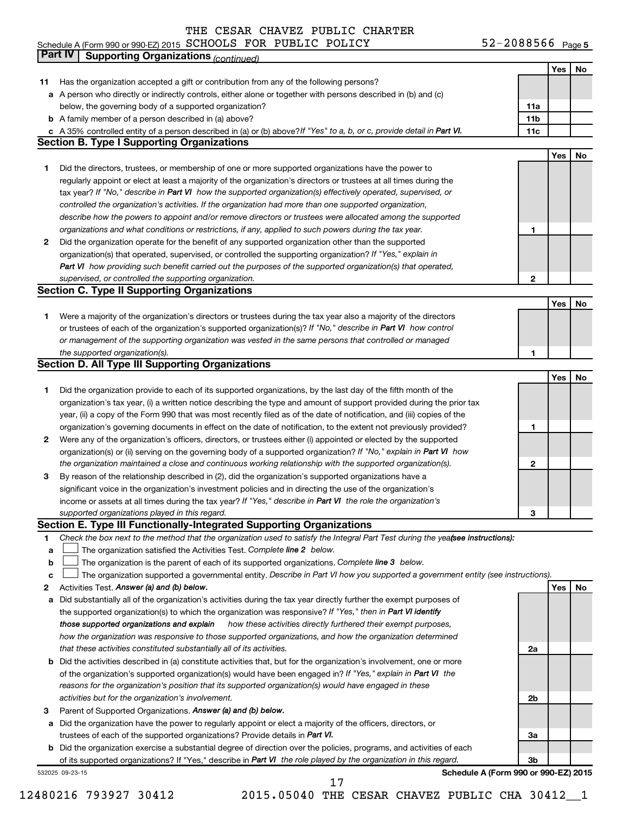#### Schedule A (Form 990 or 990-EZ) 2015 SCHOOLS FOR PUBLIC POLICY 5Z-ZU88566 Page SCHOOLS FOR PUBLIC POLICY 52-2088566

52-2088566 Page 5

|    | Part IV<br><b>Supporting Organizations (continued)</b>                                                                          |                 |     |    |
|----|---------------------------------------------------------------------------------------------------------------------------------|-----------------|-----|----|
|    |                                                                                                                                 |                 | Yes | No |
| 11 | Has the organization accepted a gift or contribution from any of the following persons?                                         |                 |     |    |
|    | a A person who directly or indirectly controls, either alone or together with persons described in (b) and (c)                  |                 |     |    |
|    | below, the governing body of a supported organization?                                                                          | 11a             |     |    |
|    | <b>b</b> A family member of a person described in (a) above?                                                                    | 11 <sub>b</sub> |     |    |
|    | c A 35% controlled entity of a person described in (a) or (b) above? If "Yes" to a, b, or c, provide detail in Part VI.         | 11c             |     |    |
|    | <b>Section B. Type I Supporting Organizations</b>                                                                               |                 |     |    |
|    |                                                                                                                                 |                 | Yes | No |
| 1. | Did the directors, trustees, or membership of one or more supported organizations have the power to                             |                 |     |    |
|    | regularly appoint or elect at least a majority of the organization's directors or trustees at all times during the              |                 |     |    |
|    | tax year? If "No," describe in Part VI how the supported organization(s) effectively operated, supervised, or                   |                 |     |    |
|    | controlled the organization's activities. If the organization had more than one supported organization,                         |                 |     |    |
|    | describe how the powers to appoint and/or remove directors or trustees were allocated among the supported                       |                 |     |    |
|    | organizations and what conditions or restrictions, if any, applied to such powers during the tax year.                          | 1               |     |    |
| 2  | Did the organization operate for the benefit of any supported organization other than the supported                             |                 |     |    |
|    | organization(s) that operated, supervised, or controlled the supporting organization? If "Yes," explain in                      |                 |     |    |
|    | Part VI how providing such benefit carried out the purposes of the supported organization(s) that operated,                     |                 |     |    |
|    | supervised, or controlled the supporting organization.                                                                          | 2               |     |    |
|    | <b>Section C. Type II Supporting Organizations</b>                                                                              |                 |     |    |
|    |                                                                                                                                 |                 | Yes | No |
| 1. | Were a majority of the organization's directors or trustees during the tax year also a majority of the directors                |                 |     |    |
|    | or trustees of each of the organization's supported organization(s)? If "No," describe in Part VI how control                   |                 |     |    |
|    | or management of the supporting organization was vested in the same persons that controlled or managed                          |                 |     |    |
|    | the supported organization(s).                                                                                                  | 1               |     |    |
|    | <b>Section D. All Type III Supporting Organizations</b>                                                                         |                 |     |    |
|    |                                                                                                                                 |                 | Yes | No |
| 1  | Did the organization provide to each of its supported organizations, by the last day of the fifth month of the                  |                 |     |    |
|    | organization's tax year, (i) a written notice describing the type and amount of support provided during the prior tax           |                 |     |    |
|    | year, (ii) a copy of the Form 990 that was most recently filed as of the date of notification, and (iii) copies of the          |                 |     |    |
|    | organization's governing documents in effect on the date of notification, to the extent not previously provided?                | 1               |     |    |
| 2  | Were any of the organization's officers, directors, or trustees either (i) appointed or elected by the supported                |                 |     |    |
|    | organization(s) or (ii) serving on the governing body of a supported organization? If "No," explain in Part VI how              |                 |     |    |
|    | the organization maintained a close and continuous working relationship with the supported organization(s).                     | $\mathbf{2}$    |     |    |
| 3  | By reason of the relationship described in (2), did the organization's supported organizations have a                           |                 |     |    |
|    | significant voice in the organization's investment policies and in directing the use of the organization's                      |                 |     |    |
|    | income or assets at all times during the tax year? If "Yes," describe in Part VI the role the organization's                    |                 |     |    |
|    | supported organizations played in this regard.                                                                                  | з               |     |    |
|    | Section E. Type III Functionally-Integrated Supporting Organizations                                                            |                 |     |    |
| 1  | Check the box next to the method that the organization used to satisfy the Integral Part Test during the yeafsee instructions): |                 |     |    |
| a  | The organization satisfied the Activities Test. Complete line 2 below.                                                          |                 |     |    |
| b  | The organization is the parent of each of its supported organizations. Complete line 3 below.                                   |                 |     |    |
| c  | The organization supported a governmental entity. Describe in Part VI how you supported a government entity (see instructions). |                 |     |    |
| 2  | Activities Test. Answer (a) and (b) below.                                                                                      |                 | Yes | No |
| а  | Did substantially all of the organization's activities during the tax year directly further the exempt purposes of              |                 |     |    |
|    | the supported organization(s) to which the organization was responsive? If "Yes," then in Part VI identify                      |                 |     |    |
|    | those supported organizations and explain<br>how these activities directly furthered their exempt purposes,                     |                 |     |    |
|    | how the organization was responsive to those supported organizations, and how the organization determined                       |                 |     |    |
|    | that these activities constituted substantially all of its activities.                                                          | 2a              |     |    |
|    | b Did the activities described in (a) constitute activities that, but for the organization's involvement, one or more           |                 |     |    |
|    | of the organization's supported organization(s) would have been engaged in? If "Yes," explain in Part VI the                    |                 |     |    |
|    | reasons for the organization's position that its supported organization(s) would have engaged in these                          |                 |     |    |
|    | activities but for the organization's involvement.                                                                              | 2b              |     |    |
| з  | Parent of Supported Organizations. Answer (a) and (b) below.                                                                    |                 |     |    |
| а  | Did the organization have the power to regularly appoint or elect a majority of the officers, directors, or                     |                 |     |    |
|    | trustees of each of the supported organizations? Provide details in Part VI.                                                    | За              |     |    |
|    | <b>b</b> Did the organization exercise a substantial degree of direction over the policies, programs, and activities of each    |                 |     |    |
|    | of its supported organizations? If "Yes," describe in Part VI the role played by the organization in this regard.               | 3b              |     |    |
|    | Schedule A (Form 990 or 990-EZ) 2015<br>532025 09-23-15                                                                         |                 |     |    |

12480216 793927 30412 2015.05040 THE CESAR CHAVEZ PUBLIC CHA 30412\_\_1 17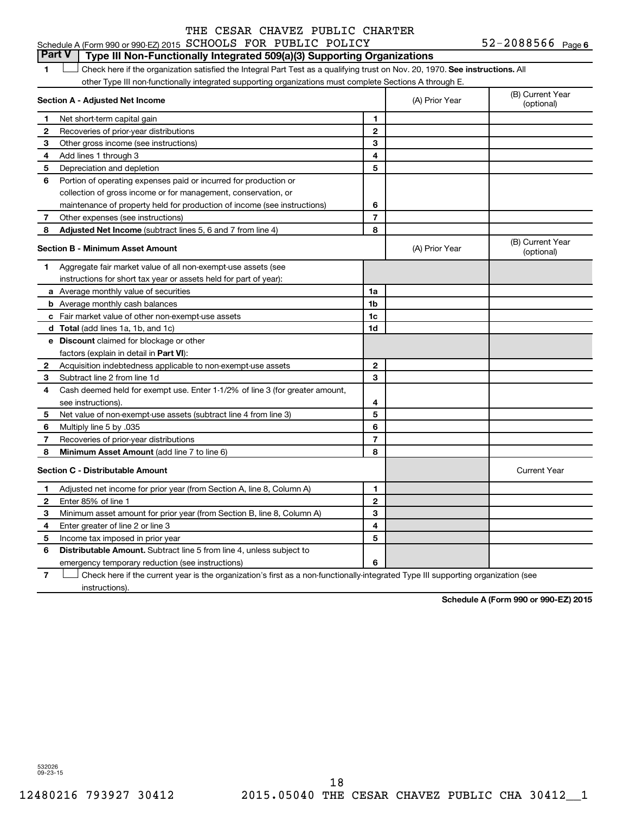## **Part V Type III Non-Functionally Integrated 509(a)(3) Supporting Organizations**

1 **Letter on Reck here if the organization satisfied the Integral Part Test as a qualifying trust on Nov. 20, 1970. See instructions. All** other Type III non-functionally integrated supporting organizations must complete Sections A through E.

|              | Section A - Adjusted Net Income                                              |                | (A) Prior Year | (B) Current Year<br>(optional) |
|--------------|------------------------------------------------------------------------------|----------------|----------------|--------------------------------|
| 1            | Net short-term capital gain                                                  | 1              |                |                                |
| 2            | Recoveries of prior-year distributions                                       | $\mathbf{2}$   |                |                                |
| З            | Other gross income (see instructions)                                        | 3              |                |                                |
| 4            | Add lines 1 through 3                                                        | 4              |                |                                |
| 5            | Depreciation and depletion                                                   | 5              |                |                                |
| 6            | Portion of operating expenses paid or incurred for production or             |                |                |                                |
|              | collection of gross income or for management, conservation, or               |                |                |                                |
|              | maintenance of property held for production of income (see instructions)     | 6              |                |                                |
| 7            | Other expenses (see instructions)                                            | $\overline{7}$ |                |                                |
| 8            | <b>Adjusted Net Income</b> (subtract lines 5, 6 and 7 from line 4)           | 8              |                |                                |
|              | <b>Section B - Minimum Asset Amount</b>                                      |                | (A) Prior Year | (B) Current Year<br>(optional) |
| 1            | Aggregate fair market value of all non-exempt-use assets (see                |                |                |                                |
|              | instructions for short tax year or assets held for part of year):            |                |                |                                |
|              | <b>a</b> Average monthly value of securities                                 | 1a             |                |                                |
|              | <b>b</b> Average monthly cash balances                                       | 1 <sub>b</sub> |                |                                |
|              | <b>c</b> Fair market value of other non-exempt-use assets                    | 1c             |                |                                |
|              | <b>d</b> Total (add lines 1a, 1b, and 1c)                                    | 1d             |                |                                |
|              | e Discount claimed for blockage or other                                     |                |                |                                |
|              | factors (explain in detail in <b>Part VI</b> ):                              |                |                |                                |
| 2            | Acquisition indebtedness applicable to non-exempt-use assets                 | $\mathbf{2}$   |                |                                |
| 3            | Subtract line 2 from line 1d                                                 | 3              |                |                                |
| 4            | Cash deemed held for exempt use. Enter 1-1/2% of line 3 (for greater amount, |                |                |                                |
|              | see instructions).                                                           | 4              |                |                                |
| 5            | Net value of non-exempt-use assets (subtract line 4 from line 3)             | 5              |                |                                |
| 6            | Multiply line 5 by .035                                                      | 6              |                |                                |
| 7            | Recoveries of prior-year distributions                                       | $\overline{7}$ |                |                                |
| 8            | Minimum Asset Amount (add line 7 to line 6)                                  | 8              |                |                                |
|              | <b>Section C - Distributable Amount</b>                                      |                |                | <b>Current Year</b>            |
| 1            | Adjusted net income for prior year (from Section A, line 8, Column A)        | 1              |                |                                |
| $\mathbf{2}$ | Enter 85% of line 1                                                          | $\mathbf{2}$   |                |                                |
| З            | Minimum asset amount for prior year (from Section B, line 8, Column A)       | 3              |                |                                |
| 4            | Enter greater of line 2 or line 3                                            | 4              |                |                                |
| 5            | Income tax imposed in prior year                                             | 5              |                |                                |
| 6            | <b>Distributable Amount.</b> Subtract line 5 from line 4, unless subject to  |                |                |                                |
|              | emergency temporary reduction (see instructions)                             | 6              |                |                                |
|              |                                                                              |                |                |                                |

**7** Check here if the current year is the organization's first as a non-functionally-integrated Type III supporting organization (see † instructions).

**Schedule A (Form 990 or 990-EZ) 2015**

532026 09-23-15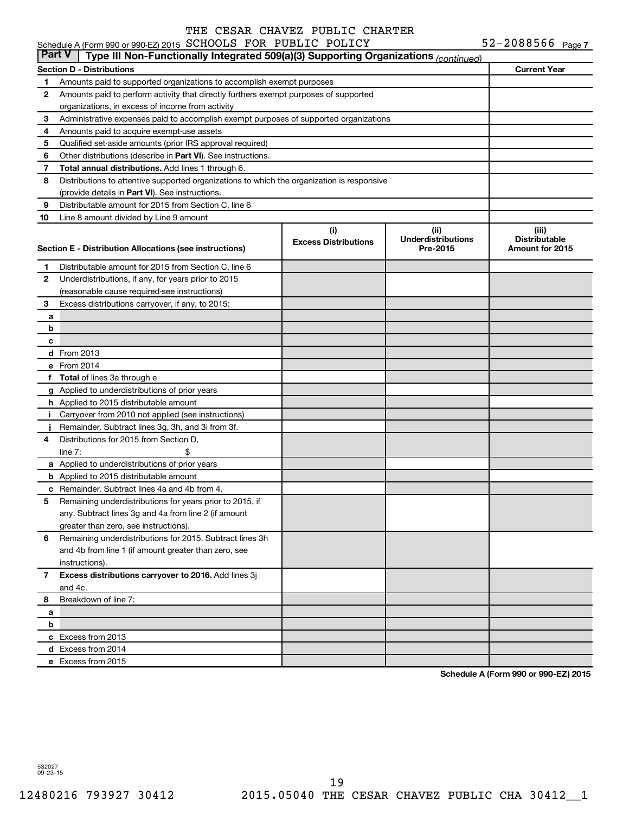| <b>Part V</b> | Type III Non-Functionally Integrated 509(a)(3) Supporting Organizations (continued)        |                             |                                       |                                                |
|---------------|--------------------------------------------------------------------------------------------|-----------------------------|---------------------------------------|------------------------------------------------|
|               | Section D - Distributions                                                                  |                             |                                       | <b>Current Year</b>                            |
| 1.            | Amounts paid to supported organizations to accomplish exempt purposes                      |                             |                                       |                                                |
| 2             | Amounts paid to perform activity that directly furthers exempt purposes of supported       |                             |                                       |                                                |
|               | organizations, in excess of income from activity                                           |                             |                                       |                                                |
| 3             | Administrative expenses paid to accomplish exempt purposes of supported organizations      |                             |                                       |                                                |
| 4             | Amounts paid to acquire exempt-use assets                                                  |                             |                                       |                                                |
| 5             | Qualified set-aside amounts (prior IRS approval required)                                  |                             |                                       |                                                |
| 6             | Other distributions (describe in Part VI). See instructions.                               |                             |                                       |                                                |
| 7             | Total annual distributions. Add lines 1 through 6.                                         |                             |                                       |                                                |
| 8             | Distributions to attentive supported organizations to which the organization is responsive |                             |                                       |                                                |
|               | (provide details in Part VI). See instructions.                                            |                             |                                       |                                                |
| 9             | Distributable amount for 2015 from Section C, line 6                                       |                             |                                       |                                                |
| 10            | Line 8 amount divided by Line 9 amount                                                     |                             |                                       |                                                |
|               |                                                                                            | (i)                         | (ii)                                  | (iii)                                          |
|               | Section E - Distribution Allocations (see instructions)                                    | <b>Excess Distributions</b> | <b>Underdistributions</b><br>Pre-2015 | <b>Distributable</b><br><b>Amount for 2015</b> |
| 1.            | Distributable amount for 2015 from Section C, line 6                                       |                             |                                       |                                                |
| 2             | Underdistributions, if any, for years prior to 2015                                        |                             |                                       |                                                |
|               | (reasonable cause required-see instructions)                                               |                             |                                       |                                                |
| З             | Excess distributions carryover, if any, to 2015:                                           |                             |                                       |                                                |
| а             |                                                                                            |                             |                                       |                                                |
| b             |                                                                                            |                             |                                       |                                                |
| c             |                                                                                            |                             |                                       |                                                |
|               | <b>d</b> From 2013                                                                         |                             |                                       |                                                |
|               | e From 2014                                                                                |                             |                                       |                                                |
|               | f Total of lines 3a through e                                                              |                             |                                       |                                                |
|               | g Applied to underdistributions of prior years                                             |                             |                                       |                                                |
|               | h Applied to 2015 distributable amount                                                     |                             |                                       |                                                |
| j.            | Carryover from 2010 not applied (see instructions)                                         |                             |                                       |                                                |
|               | Remainder. Subtract lines 3g, 3h, and 3i from 3f.                                          |                             |                                       |                                                |
| 4             | Distributions for 2015 from Section D,                                                     |                             |                                       |                                                |
|               | \$<br>line $7:$                                                                            |                             |                                       |                                                |
|               | a Applied to underdistributions of prior years                                             |                             |                                       |                                                |
|               | <b>b</b> Applied to 2015 distributable amount                                              |                             |                                       |                                                |
|               | c Remainder. Subtract lines 4a and 4b from 4.                                              |                             |                                       |                                                |
| 5             | Remaining underdistributions for years prior to 2015, if                                   |                             |                                       |                                                |
|               | any. Subtract lines 3g and 4a from line 2 (if amount                                       |                             |                                       |                                                |
|               | greater than zero, see instructions).                                                      |                             |                                       |                                                |
| 6             | Remaining underdistributions for 2015. Subtract lines 3h                                   |                             |                                       |                                                |
|               | and 4b from line 1 (if amount greater than zero, see                                       |                             |                                       |                                                |
|               | instructions).                                                                             |                             |                                       |                                                |
| 7             | Excess distributions carryover to 2016. Add lines 3j                                       |                             |                                       |                                                |
|               | and 4c.                                                                                    |                             |                                       |                                                |
| 8             | Breakdown of line 7:                                                                       |                             |                                       |                                                |
| а             |                                                                                            |                             |                                       |                                                |
| b             |                                                                                            |                             |                                       |                                                |
|               | c Excess from 2013                                                                         |                             |                                       |                                                |
|               | d Excess from 2014                                                                         |                             |                                       |                                                |
|               | e Excess from 2015                                                                         |                             |                                       |                                                |

**Schedule A (Form 990 or 990-EZ) 2015**

532027 09-23-15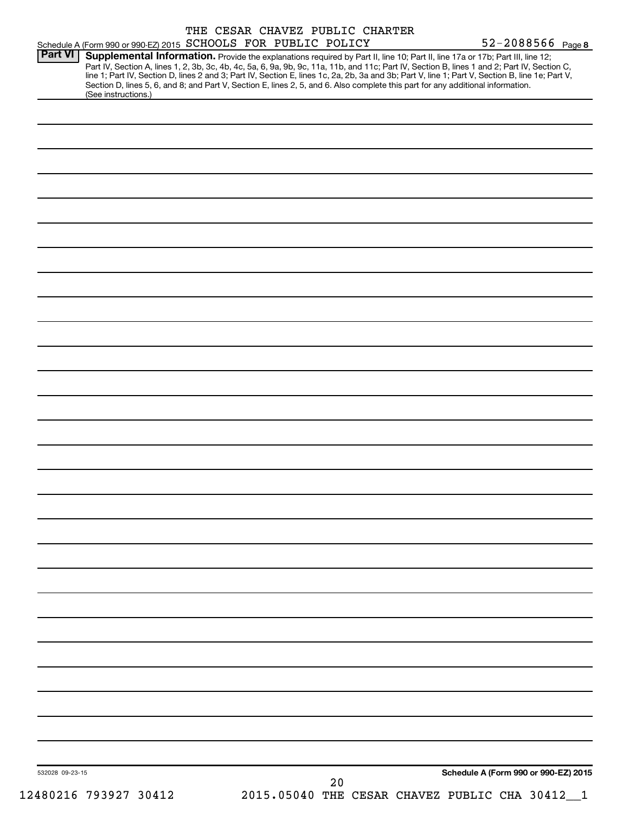| Schedule A (Form 990 or 990-EZ) 2015 SCHOOLS FOR PUBLIC POLICY                                                                                                                                                                                                                                                                                                                                                                                                                                                                                                                                               | THE CESAR CHAVEZ PUBLIC CHARTER                      | 52-2088566 Page 8                    |
|--------------------------------------------------------------------------------------------------------------------------------------------------------------------------------------------------------------------------------------------------------------------------------------------------------------------------------------------------------------------------------------------------------------------------------------------------------------------------------------------------------------------------------------------------------------------------------------------------------------|------------------------------------------------------|--------------------------------------|
| <b>Part VI</b><br>Supplemental Information. Provide the explanations required by Part II, line 10; Part II, line 17a or 17b; Part III, line 12;<br>Part IV, Section A, lines 1, 2, 3b, 3c, 4b, 4c, 5a, 6, 9a, 9b, 9c, 11a, 11b, and 11c; Part IV, Section B, lines 1 and 2; Part IV, Section C,<br>line 1; Part IV, Section D, lines 2 and 3; Part IV, Section E, lines 1c, 2a, 2b, 3a and 3b; Part V, line 1; Part V, Section B, line 1e; Part V,<br>Section D, lines 5, 6, and 8; and Part V, Section E, lines 2, 5, and 6. Also complete this part for any additional information.<br>(See instructions.) |                                                      |                                      |
|                                                                                                                                                                                                                                                                                                                                                                                                                                                                                                                                                                                                              |                                                      |                                      |
|                                                                                                                                                                                                                                                                                                                                                                                                                                                                                                                                                                                                              |                                                      |                                      |
|                                                                                                                                                                                                                                                                                                                                                                                                                                                                                                                                                                                                              |                                                      |                                      |
|                                                                                                                                                                                                                                                                                                                                                                                                                                                                                                                                                                                                              |                                                      |                                      |
|                                                                                                                                                                                                                                                                                                                                                                                                                                                                                                                                                                                                              |                                                      |                                      |
|                                                                                                                                                                                                                                                                                                                                                                                                                                                                                                                                                                                                              |                                                      |                                      |
|                                                                                                                                                                                                                                                                                                                                                                                                                                                                                                                                                                                                              |                                                      |                                      |
|                                                                                                                                                                                                                                                                                                                                                                                                                                                                                                                                                                                                              |                                                      |                                      |
|                                                                                                                                                                                                                                                                                                                                                                                                                                                                                                                                                                                                              |                                                      |                                      |
|                                                                                                                                                                                                                                                                                                                                                                                                                                                                                                                                                                                                              |                                                      |                                      |
|                                                                                                                                                                                                                                                                                                                                                                                                                                                                                                                                                                                                              |                                                      |                                      |
|                                                                                                                                                                                                                                                                                                                                                                                                                                                                                                                                                                                                              |                                                      |                                      |
|                                                                                                                                                                                                                                                                                                                                                                                                                                                                                                                                                                                                              |                                                      |                                      |
|                                                                                                                                                                                                                                                                                                                                                                                                                                                                                                                                                                                                              |                                                      |                                      |
|                                                                                                                                                                                                                                                                                                                                                                                                                                                                                                                                                                                                              |                                                      |                                      |
|                                                                                                                                                                                                                                                                                                                                                                                                                                                                                                                                                                                                              |                                                      |                                      |
|                                                                                                                                                                                                                                                                                                                                                                                                                                                                                                                                                                                                              |                                                      |                                      |
|                                                                                                                                                                                                                                                                                                                                                                                                                                                                                                                                                                                                              |                                                      |                                      |
|                                                                                                                                                                                                                                                                                                                                                                                                                                                                                                                                                                                                              |                                                      |                                      |
|                                                                                                                                                                                                                                                                                                                                                                                                                                                                                                                                                                                                              |                                                      |                                      |
|                                                                                                                                                                                                                                                                                                                                                                                                                                                                                                                                                                                                              |                                                      |                                      |
|                                                                                                                                                                                                                                                                                                                                                                                                                                                                                                                                                                                                              |                                                      |                                      |
|                                                                                                                                                                                                                                                                                                                                                                                                                                                                                                                                                                                                              |                                                      |                                      |
|                                                                                                                                                                                                                                                                                                                                                                                                                                                                                                                                                                                                              |                                                      |                                      |
|                                                                                                                                                                                                                                                                                                                                                                                                                                                                                                                                                                                                              |                                                      |                                      |
|                                                                                                                                                                                                                                                                                                                                                                                                                                                                                                                                                                                                              |                                                      |                                      |
|                                                                                                                                                                                                                                                                                                                                                                                                                                                                                                                                                                                                              |                                                      |                                      |
|                                                                                                                                                                                                                                                                                                                                                                                                                                                                                                                                                                                                              |                                                      |                                      |
|                                                                                                                                                                                                                                                                                                                                                                                                                                                                                                                                                                                                              |                                                      |                                      |
|                                                                                                                                                                                                                                                                                                                                                                                                                                                                                                                                                                                                              |                                                      |                                      |
|                                                                                                                                                                                                                                                                                                                                                                                                                                                                                                                                                                                                              |                                                      |                                      |
|                                                                                                                                                                                                                                                                                                                                                                                                                                                                                                                                                                                                              |                                                      |                                      |
| 532028 09-23-15                                                                                                                                                                                                                                                                                                                                                                                                                                                                                                                                                                                              |                                                      | Schedule A (Form 990 or 990-EZ) 2015 |
| 12480216 793927 30412                                                                                                                                                                                                                                                                                                                                                                                                                                                                                                                                                                                        | 20<br>2015.05040 THE CESAR CHAVEZ PUBLIC CHA 30412_1 |                                      |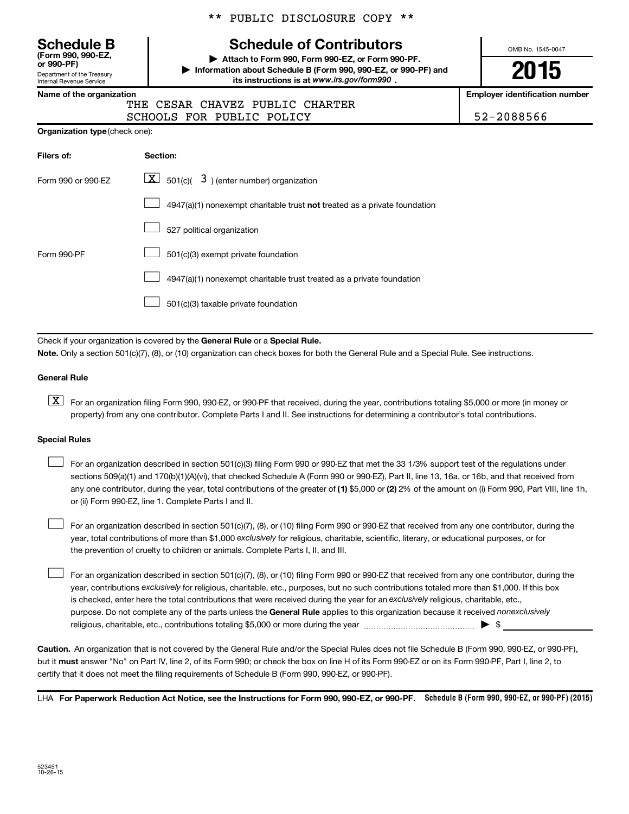Department of the Treasury Internal Revenue Service **(Form 990, 990-EZ,**

\*\* PUBLIC DISCLOSURE COPY \*\*

## **Schedule B Schedule of Contributors**

**or 990-PF) | Attach to Form 990, Form 990-EZ, or Form 990-PF. | Information about Schedule B (Form 990, 990-EZ, or 990-PF) and** its instructions is at www.irs.gov/form990.

OMB No. 1545-0047

**2015**

**Name of the organization Employer identification number**

|  | THE CESAR CHAVEZ PUBLIC CHARTER |            |
|--|---------------------------------|------------|
|  | SCHOOLS FOR PUBLIC POLICY       | 52-2088566 |

| Filers of:         | Section:                                                                  |
|--------------------|---------------------------------------------------------------------------|
| Form 990 or 990-EZ | $ \mathbf{X} $ 501(c)( 3) (enter number) organization                     |
|                    | 4947(a)(1) nonexempt charitable trust not treated as a private foundation |
|                    | 527 political organization                                                |
| Form 990-PF        | 501(c)(3) exempt private foundation                                       |
|                    | 4947(a)(1) nonexempt charitable trust treated as a private foundation     |
|                    | 501(c)(3) taxable private foundation                                      |

Check if your organization is covered by the General Rule or a Special Rule.

**Note.**  Only a section 501(c)(7), (8), or (10) organization can check boxes for both the General Rule and a Special Rule. See instructions.

#### **General Rule**

**K** For an organization filing Form 990, 990-EZ, or 990-PF that received, during the year, contributions totaling \$5,000 or more (in money or property) from any one contributor. Complete Parts I and II. See instructions for determining a contributor's total contributions.

#### **Special Rules**

 $\Box$ 

any one contributor, during the year, total contributions of the greater of **(1)** \$5,000 or **(2)** 2% of the amount on (i) Form 990, Part VIII, line 1h, For an organization described in section 501(c)(3) filing Form 990 or 990-EZ that met the 33 1/3% support test of the regulations under sections 509(a)(1) and 170(b)(1)(A)(vi), that checked Schedule A (Form 990 or 990-EZ), Part II, line 13, 16a, or 16b, and that received from or (ii) Form 990-EZ, line 1. Complete Parts I and II.  $\Box$ 

year, total contributions of more than \$1,000 *exclusively* for religious, charitable, scientific, literary, or educational purposes, or for For an organization described in section 501(c)(7), (8), or (10) filing Form 990 or 990-EZ that received from any one contributor, during the the prevention of cruelty to children or animals. Complete Parts I, II, and III.  $\Box$ 

purpose. Do not complete any of the parts unless the General Rule applies to this organization because it received nonexclusively year, contributions exclusively for religious, charitable, etc., purposes, but no such contributions totaled more than \$1,000. If this box is checked, enter here the total contributions that were received during the year for an exclusively religious, charitable, etc., For an organization described in section 501(c)(7), (8), or (10) filing Form 990 or 990-EZ that received from any one contributor, during the religious, charitable, etc., contributions totaling \$5,000 or more during the year  $\ldots$  $\ldots$  $\ldots$  $\ldots$  $\ldots$  $\ldots$ 

**Caution.** An organization that is not covered by the General Rule and/or the Special Rules does not file Schedule B (Form 990, 990-EZ, or 990-PF),  **must** but it answer "No" on Part IV, line 2, of its Form 990; or check the box on line H of its Form 990-EZ or on its Form 990-PF, Part I, line 2, to certify that it does not meet the filing requirements of Schedule B (Form 990, 990-EZ, or 990-PF).

LHA For Paperwork Reduction Act Notice, see the Instructions for Form 990, 990-EZ, or 990-PF. Schedule B (Form 990, 990-EZ, or 990-PF) (2015)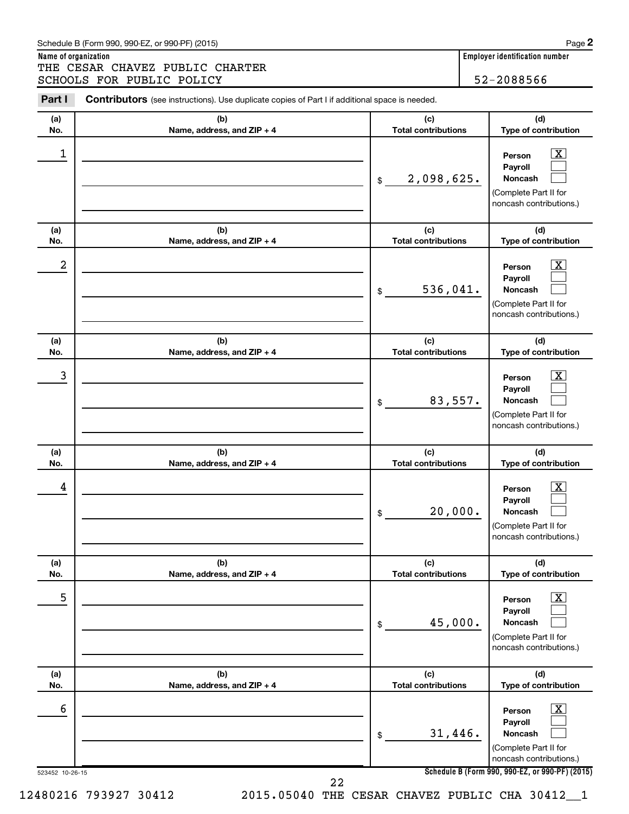## Schedule B (Form 990, 990-EZ, or 990-PF) (2015)

**Name of organization Employer identification number** THE CESAR CHAVEZ PUBLIC CHARTER SCHOOLS FOR PUBLIC POLICY 3CHOOLS 52-2088566

| (a) | (b)                        | (c)                        | (d)                                                                                                                |
|-----|----------------------------|----------------------------|--------------------------------------------------------------------------------------------------------------------|
| No. | Name, address, and ZIP + 4 | <b>Total contributions</b> | Type of contribution                                                                                               |
| 1   |                            | 2,098,625.<br>\$           | $\overline{\mathbf{X}}$<br>Person<br>Payroll<br><b>Noncash</b><br>(Complete Part II for<br>noncash contributions.) |
| (a) | (b)                        | (c)                        | (d)                                                                                                                |
| No. | Name, address, and ZIP + 4 | <b>Total contributions</b> | Type of contribution                                                                                               |
| 2   |                            | 536,041.<br>\$             | $\mathbf{X}$<br>Person<br>Payroll<br><b>Noncash</b><br>(Complete Part II for<br>noncash contributions.)            |
| (a) | (b)                        | (c)                        | (d)                                                                                                                |
| No. | Name, address, and ZIP + 4 | <b>Total contributions</b> | Type of contribution                                                                                               |
| 3   |                            | 83,557.<br>\$              | $\overline{\mathbf{X}}$<br>Person<br>Payroll<br><b>Noncash</b><br>(Complete Part II for<br>noncash contributions.) |
| (a) | (b)                        | (c)                        | (d)                                                                                                                |
| No. | Name, address, and ZIP + 4 | <b>Total contributions</b> | Type of contribution                                                                                               |
| 4   |                            | 20,000.<br>\$              | $\mathbf{X}$<br>Person<br>Payroll<br><b>Noncash</b><br>(Complete Part II for<br>noncash contributions.)            |
| (a) | (b)                        | (c)                        | (d)                                                                                                                |
| No. | Name, address, and ZIP + 4 | <b>Total contributions</b> | Type of contribution                                                                                               |
| 5   |                            | 45,000.<br>\$              | $\mathbf{X}$<br>Person<br>Payroll<br><b>Noncash</b><br>(Complete Part II for<br>noncash contributions.)            |
| (a) | (b)                        | (c)                        | (d)                                                                                                                |
| No. | Name, address, and ZIP + 4 | <b>Total contributions</b> | Type of contribution                                                                                               |
| 6   |                            | 31,446.<br>\$              | $\boxed{\text{X}}$<br>Person<br>Payroll<br><b>Noncash</b><br>(Complete Part II for<br>noncash contributions.)      |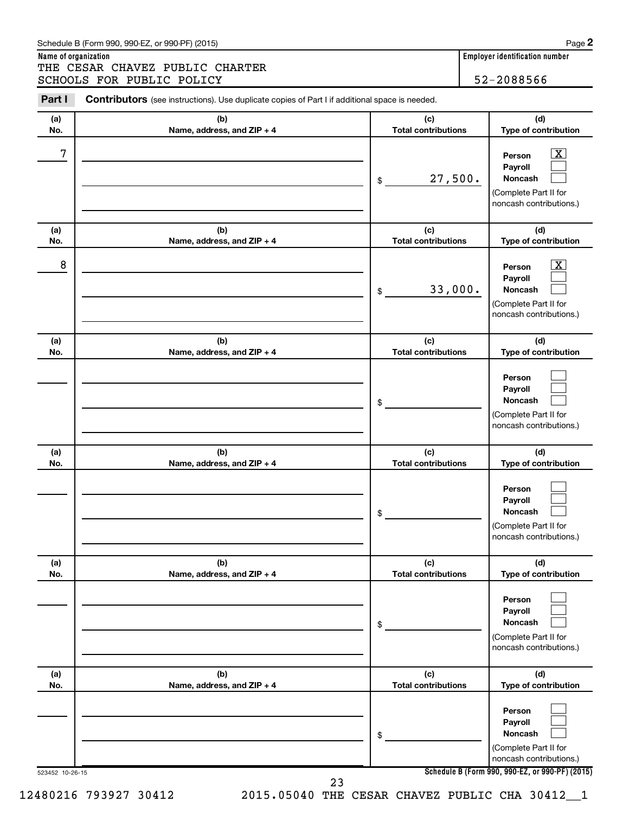## Schedule B (Form 990, 990-EZ, or 990-PF) (2015)

**Name of organization Employer identification number** THE CESAR CHAVEZ PUBLIC CHARTER SCHOOLS FOR PUBLIC POLICY 52-2088566

| (a) | (b)                        | (c)                        | (d)                                                                                                         |
|-----|----------------------------|----------------------------|-------------------------------------------------------------------------------------------------------------|
| No. | Name, address, and ZIP + 4 | <b>Total contributions</b> | Type of contribution                                                                                        |
| 7   |                            | 27,500.<br>\$              | $\overline{\mathbf{X}}$<br>Person<br>Payroll<br>Noncash<br>(Complete Part II for<br>noncash contributions.) |
| (a) | (b)                        | (c)                        | (d)                                                                                                         |
| No. | Name, address, and ZIP + 4 | <b>Total contributions</b> | Type of contribution                                                                                        |
| 8   |                            | 33,000.<br>\$              | $\overline{\text{X}}$<br>Person<br>Payroll<br>Noncash<br>(Complete Part II for<br>noncash contributions.)   |
| (a) | (b)                        | (c)                        | (d)                                                                                                         |
| No. | Name, address, and ZIP + 4 | <b>Total contributions</b> | Type of contribution                                                                                        |
|     |                            | \$                         | Person<br>Payroll<br>Noncash<br>(Complete Part II for<br>noncash contributions.)                            |
| (a) | (b)                        | (c)                        | (d)                                                                                                         |
| No. | Name, address, and ZIP + 4 | <b>Total contributions</b> | Type of contribution                                                                                        |
|     |                            | \$                         | Person<br>Payroll<br><b>Noncash</b><br>(Complete Part II for<br>noncash contributions.)                     |
| (a) | (b)                        | (c)                        | (d)                                                                                                         |
| No. | Name, address, and ZIP + 4 | <b>Total contributions</b> | Type of contribution                                                                                        |
|     |                            | \$                         | Person<br>Payroll<br>Noncash<br>(Complete Part II for<br>noncash contributions.)                            |
| (a) | (b)                        | (c)                        | (d)                                                                                                         |
| No. | Name, address, and ZIP + 4 | <b>Total contributions</b> | Type of contribution                                                                                        |
|     |                            | \$                         | Person<br>Payroll<br><b>Noncash</b><br>(Complete Part II for<br>noncash contributions.)                     |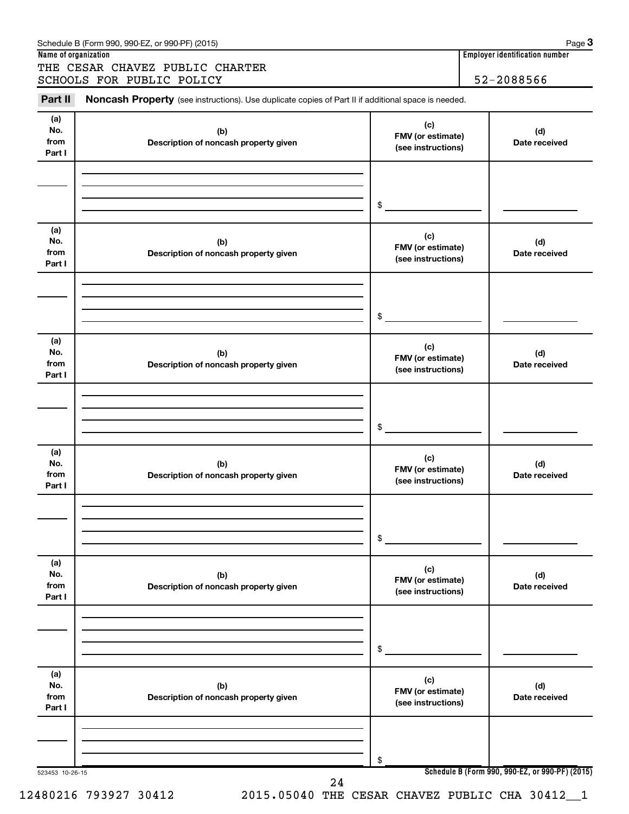| Schedule B (Form 990, 990-EZ, or 990-PF) (2015) | Page |
|-------------------------------------------------|------|
|                                                 |      |

THE CESAR CHAVEZ PUBLIC CHARTER SCHOOLS FOR PUBLIC POLICY | 52-2088566

**Name of organization Employer identification number**

523453 10-26-15 **Schedule B (Form 990, 990-EZ, or 990-PF) (2015) (a) No. from Part I (c) FMV (or estimate) (see instructions) (b) Description of noncash property given (d) Date received (a) No. from Part I (c) FMV (or estimate) (see instructions) (b) Description of noncash property given (d) Date received (a) No. from Part I (c) FMV (or estimate) (see instructions) (b) Description of noncash property given (d) Date received (a) No. from Part I (c) FMV (or estimate) (see instructions) (b) Description of noncash property given (d) Date received (a) No. from Part I (c) FMV (or estimate) (see instructions) (b) Description of noncash property given (d) Date received (a) No. from Part I (c) FMV (or estimate) (see instructions) (b) Description of noncash property given (d) Date received** Part II Noncash Property (see instructions). Use duplicate copies of Part II if additional space is needed. \$ \$ \$ \$ \$ \$ 24

12480216 793927 30412 2015.05040 THE CESAR CHAVEZ PUBLIC CHA 30412\_\_1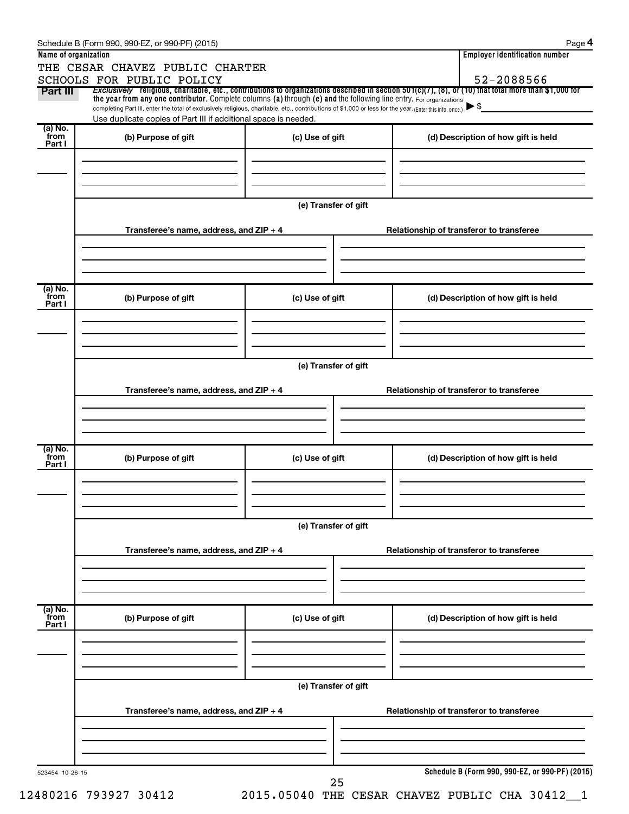| Name of organization       | THE CESAR CHAVEZ PUBLIC CHARTER                                                                                                                                                                                             |                                          | <b>Employer identification number</b>                                                                                                                    |  |  |  |  |  |
|----------------------------|-----------------------------------------------------------------------------------------------------------------------------------------------------------------------------------------------------------------------------|------------------------------------------|----------------------------------------------------------------------------------------------------------------------------------------------------------|--|--|--|--|--|
|                            | SCHOOLS FOR PUBLIC POLICY                                                                                                                                                                                                   |                                          | 52-2088566                                                                                                                                               |  |  |  |  |  |
| Part III                   | the year from any one contributor. Complete columns (a) through (e) and the following line entry. For organizations                                                                                                         |                                          | Exclusively religious, charitable, etc., contributions to organizations described in section $501(c)(7)$ , (8), or (10) that total more than \$1,000 for |  |  |  |  |  |
|                            | completing Part III, enter the total of exclusively religious, charitable, etc., contributions of \$1,000 or less for the year. (Enter this info. once.)<br>Use duplicate copies of Part III if additional space is needed. |                                          | $\blacktriangleright$ \$                                                                                                                                 |  |  |  |  |  |
| (a) No.<br>`from           |                                                                                                                                                                                                                             |                                          |                                                                                                                                                          |  |  |  |  |  |
| Part I                     | (b) Purpose of gift                                                                                                                                                                                                         | (c) Use of gift                          | (d) Description of how gift is held                                                                                                                      |  |  |  |  |  |
|                            |                                                                                                                                                                                                                             |                                          |                                                                                                                                                          |  |  |  |  |  |
|                            |                                                                                                                                                                                                                             |                                          |                                                                                                                                                          |  |  |  |  |  |
|                            |                                                                                                                                                                                                                             |                                          |                                                                                                                                                          |  |  |  |  |  |
|                            |                                                                                                                                                                                                                             | (e) Transfer of gift                     |                                                                                                                                                          |  |  |  |  |  |
|                            | Transferee's name, address, and ZIP + 4                                                                                                                                                                                     |                                          | Relationship of transferor to transferee                                                                                                                 |  |  |  |  |  |
|                            |                                                                                                                                                                                                                             |                                          |                                                                                                                                                          |  |  |  |  |  |
|                            |                                                                                                                                                                                                                             |                                          |                                                                                                                                                          |  |  |  |  |  |
| (a) No.                    |                                                                                                                                                                                                                             |                                          |                                                                                                                                                          |  |  |  |  |  |
| `from<br>Part I            | (b) Purpose of gift                                                                                                                                                                                                         | (c) Use of gift                          | (d) Description of how gift is held                                                                                                                      |  |  |  |  |  |
|                            |                                                                                                                                                                                                                             |                                          |                                                                                                                                                          |  |  |  |  |  |
|                            |                                                                                                                                                                                                                             |                                          |                                                                                                                                                          |  |  |  |  |  |
|                            |                                                                                                                                                                                                                             |                                          |                                                                                                                                                          |  |  |  |  |  |
|                            | (e) Transfer of gift                                                                                                                                                                                                        |                                          |                                                                                                                                                          |  |  |  |  |  |
|                            | Transferee's name, address, and ZIP + 4                                                                                                                                                                                     | Relationship of transferor to transferee |                                                                                                                                                          |  |  |  |  |  |
|                            |                                                                                                                                                                                                                             |                                          |                                                                                                                                                          |  |  |  |  |  |
|                            |                                                                                                                                                                                                                             |                                          |                                                                                                                                                          |  |  |  |  |  |
|                            |                                                                                                                                                                                                                             |                                          |                                                                                                                                                          |  |  |  |  |  |
| (a) No.<br>`from<br>Part I | (b) Purpose of gift                                                                                                                                                                                                         | (c) Use of gift                          | (d) Description of how gift is held                                                                                                                      |  |  |  |  |  |
|                            |                                                                                                                                                                                                                             |                                          |                                                                                                                                                          |  |  |  |  |  |
|                            |                                                                                                                                                                                                                             |                                          |                                                                                                                                                          |  |  |  |  |  |
|                            |                                                                                                                                                                                                                             |                                          |                                                                                                                                                          |  |  |  |  |  |
|                            | (e) Transfer of gift                                                                                                                                                                                                        |                                          |                                                                                                                                                          |  |  |  |  |  |
|                            | Transferee's name, address, and ZIP + 4                                                                                                                                                                                     |                                          | Relationship of transferor to transferee                                                                                                                 |  |  |  |  |  |
|                            |                                                                                                                                                                                                                             |                                          |                                                                                                                                                          |  |  |  |  |  |
|                            |                                                                                                                                                                                                                             |                                          |                                                                                                                                                          |  |  |  |  |  |
|                            |                                                                                                                                                                                                                             |                                          |                                                                                                                                                          |  |  |  |  |  |
| (a) No.<br>from<br>Part I  | (b) Purpose of gift                                                                                                                                                                                                         | (c) Use of gift                          | (d) Description of how gift is held                                                                                                                      |  |  |  |  |  |
|                            |                                                                                                                                                                                                                             |                                          |                                                                                                                                                          |  |  |  |  |  |
|                            |                                                                                                                                                                                                                             |                                          |                                                                                                                                                          |  |  |  |  |  |
|                            |                                                                                                                                                                                                                             |                                          |                                                                                                                                                          |  |  |  |  |  |
|                            |                                                                                                                                                                                                                             | (e) Transfer of gift                     |                                                                                                                                                          |  |  |  |  |  |
|                            | Transferee's name, address, and ZIP + 4                                                                                                                                                                                     | Relationship of transferor to transferee |                                                                                                                                                          |  |  |  |  |  |
|                            |                                                                                                                                                                                                                             |                                          |                                                                                                                                                          |  |  |  |  |  |
|                            |                                                                                                                                                                                                                             |                                          |                                                                                                                                                          |  |  |  |  |  |
|                            |                                                                                                                                                                                                                             |                                          |                                                                                                                                                          |  |  |  |  |  |
|                            |                                                                                                                                                                                                                             |                                          |                                                                                                                                                          |  |  |  |  |  |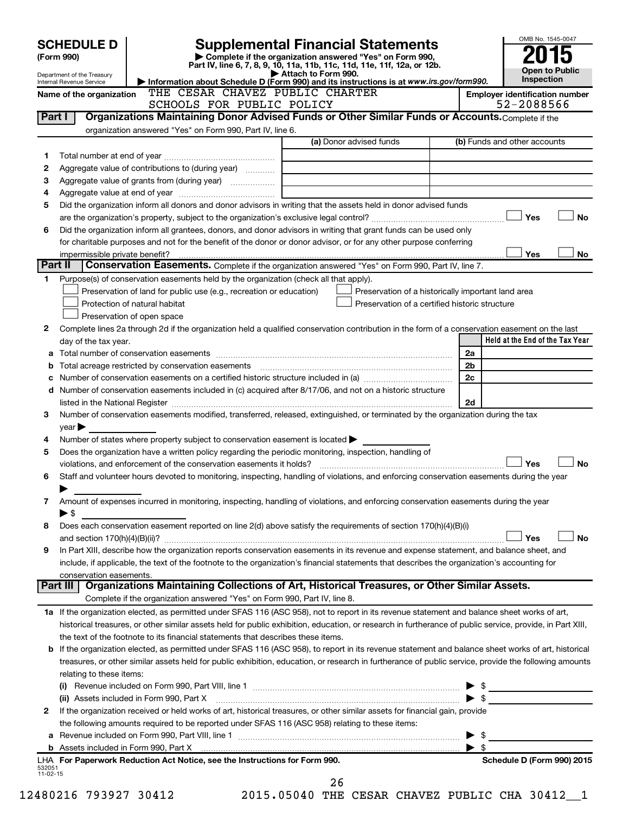|          | <b>SCHEDULE D</b>                                                                                                            |                                                                                                        | <b>Supplemental Financial Statements</b>                                                                                                                                                                                       | OMB No. 1545-0047                                   |  |  |  |  |
|----------|------------------------------------------------------------------------------------------------------------------------------|--------------------------------------------------------------------------------------------------------|--------------------------------------------------------------------------------------------------------------------------------------------------------------------------------------------------------------------------------|-----------------------------------------------------|--|--|--|--|
|          | (Form 990)                                                                                                                   |                                                                                                        | Complete if the organization answered "Yes" on Form 990,<br>Part IV, line 6, 7, 8, 9, 10, 11a, 11b, 11c, 11d, 11e, 11f, 12a, or 12b.                                                                                           |                                                     |  |  |  |  |
|          | Department of the Treasury                                                                                                   |                                                                                                        | Attach to Form 990.                                                                                                                                                                                                            | <b>Open to Public</b><br><b>Inspection</b>          |  |  |  |  |
|          | Internal Revenue Service                                                                                                     | THE CESAR CHAVEZ PUBLIC CHARTER                                                                        | Information about Schedule D (Form 990) and its instructions is at www.irs.gov/form990.                                                                                                                                        |                                                     |  |  |  |  |
|          | Name of the organization                                                                                                     | SCHOOLS FOR PUBLIC POLICY                                                                              |                                                                                                                                                                                                                                | <b>Employer identification number</b><br>52-2088566 |  |  |  |  |
| Part I   |                                                                                                                              |                                                                                                        | Organizations Maintaining Donor Advised Funds or Other Similar Funds or Accounts. Complete if the                                                                                                                              |                                                     |  |  |  |  |
|          |                                                                                                                              | organization answered "Yes" on Form 990, Part IV, line 6.                                              |                                                                                                                                                                                                                                |                                                     |  |  |  |  |
|          |                                                                                                                              |                                                                                                        | (a) Donor advised funds                                                                                                                                                                                                        | (b) Funds and other accounts                        |  |  |  |  |
|          |                                                                                                                              |                                                                                                        |                                                                                                                                                                                                                                |                                                     |  |  |  |  |
| 1        |                                                                                                                              |                                                                                                        |                                                                                                                                                                                                                                |                                                     |  |  |  |  |
| 2        |                                                                                                                              | Aggregate value of contributions to (during year)                                                      |                                                                                                                                                                                                                                |                                                     |  |  |  |  |
| З        |                                                                                                                              |                                                                                                        |                                                                                                                                                                                                                                |                                                     |  |  |  |  |
| 4        |                                                                                                                              |                                                                                                        |                                                                                                                                                                                                                                |                                                     |  |  |  |  |
| 5        | Did the organization inform all donors and donor advisors in writing that the assets held in donor advised funds             |                                                                                                        |                                                                                                                                                                                                                                |                                                     |  |  |  |  |
|          |                                                                                                                              |                                                                                                        |                                                                                                                                                                                                                                | Yes<br><b>No</b>                                    |  |  |  |  |
| 6        |                                                                                                                              |                                                                                                        | Did the organization inform all grantees, donors, and donor advisors in writing that grant funds can be used only                                                                                                              |                                                     |  |  |  |  |
|          |                                                                                                                              |                                                                                                        | for charitable purposes and not for the benefit of the donor or donor advisor, or for any other purpose conferring                                                                                                             |                                                     |  |  |  |  |
|          |                                                                                                                              |                                                                                                        |                                                                                                                                                                                                                                | Yes<br>No                                           |  |  |  |  |
| Part II  |                                                                                                                              |                                                                                                        | Conservation Easements. Complete if the organization answered "Yes" on Form 990, Part IV, line 7.                                                                                                                              |                                                     |  |  |  |  |
| 1.       |                                                                                                                              | Purpose(s) of conservation easements held by the organization (check all that apply).                  |                                                                                                                                                                                                                                |                                                     |  |  |  |  |
|          |                                                                                                                              | Preservation of land for public use (e.g., recreation or education)                                    |                                                                                                                                                                                                                                | Preservation of a historically important land area  |  |  |  |  |
|          |                                                                                                                              | Protection of natural habitat                                                                          | Preservation of a certified historic structure                                                                                                                                                                                 |                                                     |  |  |  |  |
|          |                                                                                                                              | Preservation of open space                                                                             |                                                                                                                                                                                                                                |                                                     |  |  |  |  |
| 2        |                                                                                                                              |                                                                                                        | Complete lines 2a through 2d if the organization held a qualified conservation contribution in the form of a conservation easement on the last                                                                                 |                                                     |  |  |  |  |
|          | day of the tax year.                                                                                                         |                                                                                                        |                                                                                                                                                                                                                                | Held at the End of the Tax Year                     |  |  |  |  |
| а        |                                                                                                                              |                                                                                                        |                                                                                                                                                                                                                                | 2a                                                  |  |  |  |  |
| b        |                                                                                                                              |                                                                                                        | Total acreage restricted by conservation easements [11] matter conservation conservation of the set of the set of the set of the set of the set of the set of the set of the set of the set of the set of the set of the set o | 2 <sub>b</sub>                                      |  |  |  |  |
| с        |                                                                                                                              |                                                                                                        |                                                                                                                                                                                                                                | 2c                                                  |  |  |  |  |
| d        |                                                                                                                              |                                                                                                        | Number of conservation easements included in (c) acquired after 8/17/06, and not on a historic structure                                                                                                                       |                                                     |  |  |  |  |
|          |                                                                                                                              |                                                                                                        | listed in the National Register [111] [12] and the National Register [11] [12] and the National Register [11] [12] and the National Register [11] [12] and the National Register [11] [12] and the Management Register [12] [1 | 2d                                                  |  |  |  |  |
| 3        |                                                                                                                              |                                                                                                        | Number of conservation easements modified, transferred, released, extinguished, or terminated by the organization during the tax                                                                                               |                                                     |  |  |  |  |
|          | year                                                                                                                         |                                                                                                        |                                                                                                                                                                                                                                |                                                     |  |  |  |  |
| 4        |                                                                                                                              | Number of states where property subject to conservation easement is located $\blacktriangleright$      |                                                                                                                                                                                                                                |                                                     |  |  |  |  |
| 5        |                                                                                                                              | Does the organization have a written policy regarding the periodic monitoring, inspection, handling of |                                                                                                                                                                                                                                |                                                     |  |  |  |  |
|          |                                                                                                                              |                                                                                                        |                                                                                                                                                                                                                                | Yes<br>No                                           |  |  |  |  |
| 6        |                                                                                                                              |                                                                                                        | Staff and volunteer hours devoted to monitoring, inspecting, handling of violations, and enforcing conservation easements during the year                                                                                      |                                                     |  |  |  |  |
|          |                                                                                                                              |                                                                                                        |                                                                                                                                                                                                                                |                                                     |  |  |  |  |
| 7        |                                                                                                                              |                                                                                                        | Amount of expenses incurred in monitoring, inspecting, handling of violations, and enforcing conservation easements during the year                                                                                            |                                                     |  |  |  |  |
|          | $\blacktriangleright$ \$                                                                                                     |                                                                                                        |                                                                                                                                                                                                                                |                                                     |  |  |  |  |
| 8        |                                                                                                                              |                                                                                                        | Does each conservation easement reported on line 2(d) above satisfy the requirements of section 170(h)(4)(B)(i)                                                                                                                |                                                     |  |  |  |  |
|          |                                                                                                                              |                                                                                                        |                                                                                                                                                                                                                                | Yes<br>No                                           |  |  |  |  |
| 9        |                                                                                                                              |                                                                                                        | In Part XIII, describe how the organization reports conservation easements in its revenue and expense statement, and balance sheet, and                                                                                        |                                                     |  |  |  |  |
|          |                                                                                                                              |                                                                                                        | include, if applicable, the text of the footnote to the organization's financial statements that describes the organization's accounting for                                                                                   |                                                     |  |  |  |  |
|          | conservation easements.                                                                                                      |                                                                                                        |                                                                                                                                                                                                                                |                                                     |  |  |  |  |
|          | Part III                                                                                                                     |                                                                                                        | Organizations Maintaining Collections of Art, Historical Treasures, or Other Similar Assets.                                                                                                                                   |                                                     |  |  |  |  |
|          |                                                                                                                              | Complete if the organization answered "Yes" on Form 990, Part IV, line 8.                              |                                                                                                                                                                                                                                |                                                     |  |  |  |  |
|          |                                                                                                                              |                                                                                                        | 1a If the organization elected, as permitted under SFAS 116 (ASC 958), not to report in its revenue statement and balance sheet works of art,                                                                                  |                                                     |  |  |  |  |
|          |                                                                                                                              |                                                                                                        |                                                                                                                                                                                                                                |                                                     |  |  |  |  |
|          |                                                                                                                              |                                                                                                        | historical treasures, or other similar assets held for public exhibition, education, or research in furtherance of public service, provide, in Part XIII,                                                                      |                                                     |  |  |  |  |
|          |                                                                                                                              | the text of the footnote to its financial statements that describes these items.                       |                                                                                                                                                                                                                                |                                                     |  |  |  |  |
| b        |                                                                                                                              |                                                                                                        | If the organization elected, as permitted under SFAS 116 (ASC 958), to report in its revenue statement and balance sheet works of art, historical                                                                              |                                                     |  |  |  |  |
|          |                                                                                                                              |                                                                                                        | treasures, or other similar assets held for public exhibition, education, or research in furtherance of public service, provide the following amounts                                                                          |                                                     |  |  |  |  |
|          | relating to these items:                                                                                                     |                                                                                                        |                                                                                                                                                                                                                                |                                                     |  |  |  |  |
|          |                                                                                                                              |                                                                                                        |                                                                                                                                                                                                                                |                                                     |  |  |  |  |
|          |                                                                                                                              |                                                                                                        | (ii) Assets included in Form 990, Part X [Content in the content of the set of the set of the set of the set of the set of the set of the set of the set of the set of the set of the set of the set of the set of the set of  | $\blacktriangleright$ \$                            |  |  |  |  |
| 2        | If the organization received or held works of art, historical treasures, or other similar assets for financial gain, provide |                                                                                                        |                                                                                                                                                                                                                                |                                                     |  |  |  |  |
|          |                                                                                                                              | the following amounts required to be reported under SFAS 116 (ASC 958) relating to these items:        |                                                                                                                                                                                                                                |                                                     |  |  |  |  |
| а        |                                                                                                                              |                                                                                                        |                                                                                                                                                                                                                                | $\blacktriangleright$ s                             |  |  |  |  |
|          |                                                                                                                              |                                                                                                        |                                                                                                                                                                                                                                | $\blacktriangleright$ \$                            |  |  |  |  |
| 532051   |                                                                                                                              | LHA For Paperwork Reduction Act Notice, see the Instructions for Form 990.                             |                                                                                                                                                                                                                                | Schedule D (Form 990) 2015                          |  |  |  |  |
| 11-02-15 |                                                                                                                              |                                                                                                        |                                                                                                                                                                                                                                |                                                     |  |  |  |  |
|          |                                                                                                                              | $\overline{a}$                                                                                         | 26                                                                                                                                                                                                                             | $\overline{a}$                                      |  |  |  |  |

12480216 793927 30412 2015.05040 THE CESAR CHAVEZ PUBLIC CHA 30412\_\_1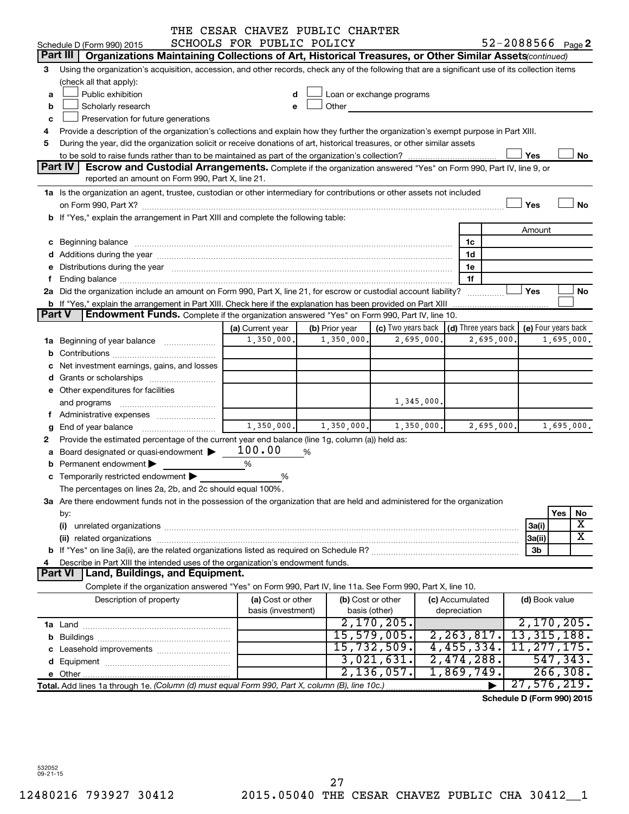|               |                                                                                                                                                                                                                                | THE CESAR CHAVEZ PUBLIC CHARTER |                |                                                 |   |                 |            |                            |                         |
|---------------|--------------------------------------------------------------------------------------------------------------------------------------------------------------------------------------------------------------------------------|---------------------------------|----------------|-------------------------------------------------|---|-----------------|------------|----------------------------|-------------------------|
|               | Schedule D (Form 990) 2015                                                                                                                                                                                                     | SCHOOLS FOR PUBLIC POLICY       |                |                                                 |   |                 |            | $52 - 2088566$ Page 2      |                         |
|               | Part III<br>Organizations Maintaining Collections of Art, Historical Treasures, or Other Similar Assets (continued)                                                                                                            |                                 |                |                                                 |   |                 |            |                            |                         |
| 3             | Using the organization's acquisition, accession, and other records, check any of the following that are a significant use of its collection items<br>(check all that apply):                                                   |                                 |                |                                                 |   |                 |            |                            |                         |
| a             | Public exhibition                                                                                                                                                                                                              | d                               |                | Loan or exchange programs                       |   |                 |            |                            |                         |
|               | Scholarly research                                                                                                                                                                                                             | e                               | Other          |                                                 |   |                 |            |                            |                         |
| b             | Preservation for future generations                                                                                                                                                                                            |                                 |                |                                                 |   |                 |            |                            |                         |
| c             |                                                                                                                                                                                                                                |                                 |                |                                                 |   |                 |            |                            |                         |
|               | Provide a description of the organization's collections and explain how they further the organization's exempt purpose in Part XIII.<br>4                                                                                      |                                 |                |                                                 |   |                 |            |                            |                         |
| 5             | During the year, did the organization solicit or receive donations of art, historical treasures, or other similar assets                                                                                                       |                                 |                |                                                 |   |                 |            |                            |                         |
|               | <b>Part IV</b>                                                                                                                                                                                                                 |                                 |                |                                                 |   |                 |            | Yes                        | No                      |
|               | <b>Escrow and Custodial Arrangements.</b> Complete if the organization answered "Yes" on Form 990, Part IV, line 9, or<br>reported an amount on Form 990, Part X, line 21.                                                     |                                 |                |                                                 |   |                 |            |                            |                         |
|               | 1a Is the organization an agent, trustee, custodian or other intermediary for contributions or other assets not included                                                                                                       |                                 |                |                                                 |   |                 |            |                            |                         |
|               |                                                                                                                                                                                                                                |                                 |                |                                                 |   |                 |            | Yes                        | No                      |
|               | b If "Yes," explain the arrangement in Part XIII and complete the following table:                                                                                                                                             |                                 |                |                                                 |   |                 |            |                            |                         |
|               |                                                                                                                                                                                                                                |                                 |                |                                                 |   |                 |            | Amount                     |                         |
|               |                                                                                                                                                                                                                                |                                 |                |                                                 |   | 1c              |            |                            |                         |
|               | d Additions during the year manufactured and an account of the year manufactured and account of the year manufactured and account of the year manufactured and account of the year manufactured and account of the year manufa |                                 |                |                                                 |   | 1d              |            |                            |                         |
|               | e Distributions during the year manufactured and continuum control of the control of the control of the state of the control of the control of the control of the control of the control of the control of the control of the  |                                 |                |                                                 |   | 1e              |            |                            |                         |
| f             |                                                                                                                                                                                                                                |                                 |                |                                                 |   | 1f              |            |                            |                         |
|               | 2a Did the organization include an amount on Form 990, Part X, line 21, for escrow or custodial account liability?                                                                                                             |                                 |                |                                                 |   |                 |            | Yes                        | No                      |
|               | b If "Yes," explain the arrangement in Part XIII. Check here if the explanation has been provided on Part XIII                                                                                                                 |                                 |                |                                                 |   |                 |            |                            |                         |
| <b>Part V</b> | <b>Endowment Funds.</b> Complete if the organization answered "Yes" on Form 990, Part IV, line 10.                                                                                                                             |                                 |                |                                                 |   |                 |            |                            |                         |
|               |                                                                                                                                                                                                                                | (a) Current year                | (b) Prior year | (c) Two years back $ $ (d) Three years back $ $ |   |                 |            | (e) Four years back        |                         |
|               | <b>1a</b> Beginning of year balance <i>manumumum</i>                                                                                                                                                                           | 1,350,000.                      | 1,350,000.     | 2,695,000.                                      |   |                 | 2,695,000. |                            | 1,695,000.              |
|               |                                                                                                                                                                                                                                |                                 |                |                                                 |   |                 |            |                            |                         |
|               | c Net investment earnings, gains, and losses                                                                                                                                                                                   |                                 |                |                                                 |   |                 |            |                            |                         |
|               |                                                                                                                                                                                                                                |                                 |                |                                                 |   |                 |            |                            |                         |
|               | e Other expenditures for facilities                                                                                                                                                                                            |                                 |                |                                                 |   |                 |            |                            |                         |
|               | and programs                                                                                                                                                                                                                   |                                 |                | 1,345,000.                                      |   |                 |            |                            |                         |
|               | f Administrative expenses                                                                                                                                                                                                      |                                 |                |                                                 |   |                 |            |                            |                         |
|               | <b>g</b> End of year balance $\ldots$                                                                                                                                                                                          | 1,350,000.                      | 1,350,000.     | 1,350,000.                                      |   |                 | 2,695,000. |                            | 1,695,000.              |
| 2             | Provide the estimated percentage of the current year end balance (line 1g, column (a)) held as:                                                                                                                                |                                 |                |                                                 |   |                 |            |                            |                         |
|               | a Board designated or quasi-endowment >                                                                                                                                                                                        | 100.00                          | %              |                                                 |   |                 |            |                            |                         |
|               | <b>b</b> Permanent endowment $\blacktriangleright$                                                                                                                                                                             | %                               |                |                                                 |   |                 |            |                            |                         |
|               | c Temporarily restricted endowment $\blacktriangleright$                                                                                                                                                                       | %                               |                |                                                 |   |                 |            |                            |                         |
|               | The percentages on lines 2a, 2b, and 2c should equal 100%.                                                                                                                                                                     |                                 |                |                                                 |   |                 |            |                            |                         |
|               | 3a Are there endowment funds not in the possession of the organization that are held and administered for the organization                                                                                                     |                                 |                |                                                 |   |                 |            |                            |                         |
|               | by:                                                                                                                                                                                                                            |                                 |                |                                                 |   |                 |            |                            | Yes<br>No               |
|               | (i)                                                                                                                                                                                                                            |                                 |                |                                                 |   |                 |            | 3a(i)                      | X                       |
|               |                                                                                                                                                                                                                                |                                 |                |                                                 |   |                 |            | 3a(ii)                     | $\overline{\textbf{X}}$ |
|               |                                                                                                                                                                                                                                |                                 |                |                                                 |   |                 |            | 3b                         |                         |
| 4             | Describe in Part XIII the intended uses of the organization's endowment funds.                                                                                                                                                 |                                 |                |                                                 |   |                 |            |                            |                         |
|               | Land, Buildings, and Equipment.<br>Part VI                                                                                                                                                                                     |                                 |                |                                                 |   |                 |            |                            |                         |
|               | Complete if the organization answered "Yes" on Form 990, Part IV, line 11a. See Form 990, Part X, line 10.                                                                                                                     |                                 |                |                                                 |   |                 |            |                            |                         |
|               | Description of property                                                                                                                                                                                                        | (a) Cost or other               |                | (b) Cost or other                               |   | (c) Accumulated |            | (d) Book value             |                         |
|               |                                                                                                                                                                                                                                | basis (investment)              |                | basis (other)                                   |   | depreciation    |            |                            |                         |
|               |                                                                                                                                                                                                                                |                                 |                | $2,170,205$ .                                   |   |                 |            | 2,170,205.                 |                         |
|               |                                                                                                                                                                                                                                |                                 |                | 15,579,005.                                     |   | 2, 263, 817.    |            | 13,315,188.                |                         |
|               |                                                                                                                                                                                                                                |                                 |                | 15,732,509.                                     |   | 4,455,334.      |            | 11, 277, 175.              |                         |
|               |                                                                                                                                                                                                                                |                                 |                | 3,021,631.                                      |   | 2,474,288.      |            |                            | 547,343.                |
|               |                                                                                                                                                                                                                                |                                 |                | 2,136,057.                                      |   | 1,869,749.      |            |                            | 266, 308.               |
|               | Total. Add lines 1a through 1e. (Column (d) must equal Form 990, Part X, column (B), line 10c.)                                                                                                                                |                                 |                |                                                 | . |                 |            | 27,576,219.                |                         |
|               |                                                                                                                                                                                                                                |                                 |                |                                                 |   |                 |            | Schedule D (Form 990) 2015 |                         |

532052 09-21-15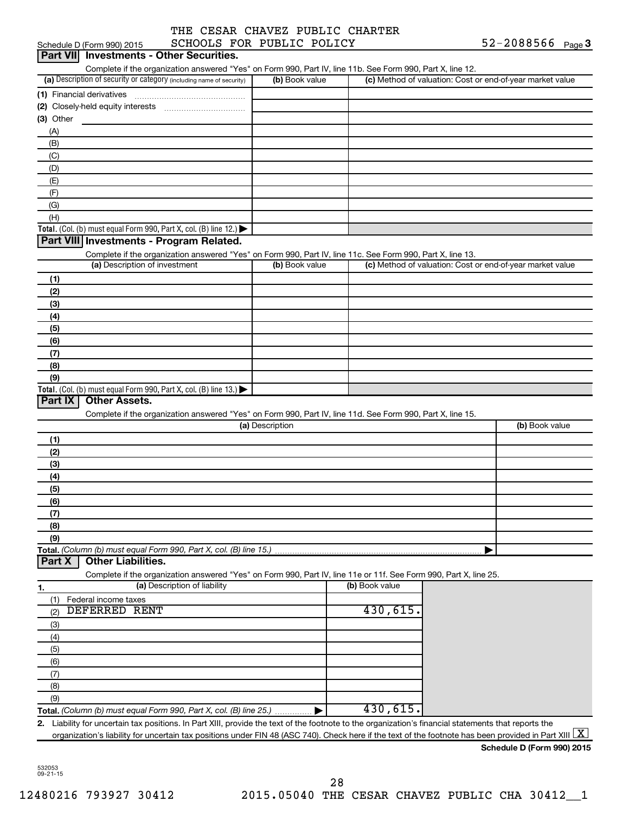|  |                         |  | THE CESAR CHAVEZ PUBLIC CHARTER |
|--|-------------------------|--|---------------------------------|
|  | COUNTS FOR DIRITS DOITS |  |                                 |

|           | Schedule D (Form 990) 2015                                                                                                                               | SCHOOLS FOR PUBLIC POLICY    |                 |                | $52 - 2088566$ Page 3                                     |  |
|-----------|----------------------------------------------------------------------------------------------------------------------------------------------------------|------------------------------|-----------------|----------------|-----------------------------------------------------------|--|
|           | Part VII Investments - Other Securities.                                                                                                                 |                              |                 |                |                                                           |  |
|           | Complete if the organization answered "Yes" on Form 990, Part IV, line 11b. See Form 990, Part X, line 12.                                               |                              |                 |                |                                                           |  |
|           | (a) Description of security or category (including name of security)                                                                                     |                              | (b) Book value  |                | (c) Method of valuation: Cost or end-of-year market value |  |
|           |                                                                                                                                                          |                              |                 |                |                                                           |  |
|           |                                                                                                                                                          |                              |                 |                |                                                           |  |
| (3) Other |                                                                                                                                                          |                              |                 |                |                                                           |  |
| (A)       |                                                                                                                                                          |                              |                 |                |                                                           |  |
| (B)       |                                                                                                                                                          |                              |                 |                |                                                           |  |
| (C)       |                                                                                                                                                          |                              |                 |                |                                                           |  |
| (D)       |                                                                                                                                                          |                              |                 |                |                                                           |  |
| (E)       |                                                                                                                                                          |                              |                 |                |                                                           |  |
| (F)       |                                                                                                                                                          |                              |                 |                |                                                           |  |
| (G)       |                                                                                                                                                          |                              |                 |                |                                                           |  |
| (H)       |                                                                                                                                                          |                              |                 |                |                                                           |  |
|           | Total. (Col. (b) must equal Form 990, Part X, col. (B) line 12.)<br>Part VIII Investments - Program Related.                                             |                              |                 |                |                                                           |  |
|           | Complete if the organization answered "Yes" on Form 990, Part IV, line 11c. See Form 990, Part X, line 13.                                               |                              |                 |                |                                                           |  |
|           | (a) Description of investment                                                                                                                            |                              | (b) Book value  |                | (c) Method of valuation: Cost or end-of-year market value |  |
| (1)       |                                                                                                                                                          |                              |                 |                |                                                           |  |
| (2)       |                                                                                                                                                          |                              |                 |                |                                                           |  |
| (3)       |                                                                                                                                                          |                              |                 |                |                                                           |  |
| (4)       |                                                                                                                                                          |                              |                 |                |                                                           |  |
| (5)       |                                                                                                                                                          |                              |                 |                |                                                           |  |
| (6)       |                                                                                                                                                          |                              |                 |                |                                                           |  |
| (7)       |                                                                                                                                                          |                              |                 |                |                                                           |  |
| (8)       |                                                                                                                                                          |                              |                 |                |                                                           |  |
| (9)       |                                                                                                                                                          |                              |                 |                |                                                           |  |
|           | Total. (Col. (b) must equal Form 990, Part X, col. (B) line 13.)                                                                                         |                              |                 |                |                                                           |  |
| Part IX   | <b>Other Assets.</b>                                                                                                                                     |                              |                 |                |                                                           |  |
|           | Complete if the organization answered "Yes" on Form 990, Part IV, line 11d. See Form 990, Part X, line 15.                                               |                              |                 |                |                                                           |  |
|           |                                                                                                                                                          |                              | (a) Description |                | (b) Book value                                            |  |
| (1)       |                                                                                                                                                          |                              |                 |                |                                                           |  |
| (2)       |                                                                                                                                                          |                              |                 |                |                                                           |  |
| (3)       |                                                                                                                                                          |                              |                 |                |                                                           |  |
| (4)       |                                                                                                                                                          |                              |                 |                |                                                           |  |
| (5)       |                                                                                                                                                          |                              |                 |                |                                                           |  |
| (6)       |                                                                                                                                                          |                              |                 |                |                                                           |  |
| (7)       |                                                                                                                                                          |                              |                 |                |                                                           |  |
| (8)       |                                                                                                                                                          |                              |                 |                |                                                           |  |
| (9)       |                                                                                                                                                          |                              |                 |                |                                                           |  |
|           | Total. (Column (b) must equal Form 990, Part X, col. (B) line 15.)                                                                                       |                              |                 |                |                                                           |  |
| Part X    | <b>Other Liabilities.</b>                                                                                                                                |                              |                 |                |                                                           |  |
|           | Complete if the organization answered "Yes" on Form 990, Part IV, line 11e or 11f. See Form 990, Part X, line 25.                                        |                              |                 |                |                                                           |  |
| 1.        |                                                                                                                                                          | (a) Description of liability |                 | (b) Book value |                                                           |  |
| (1)       | Federal income taxes                                                                                                                                     |                              |                 |                |                                                           |  |
| (2)       | DEFERRED<br>RENT                                                                                                                                         |                              |                 | 430,615.       |                                                           |  |
| (3)       |                                                                                                                                                          |                              |                 |                |                                                           |  |
| (4)       |                                                                                                                                                          |                              |                 |                |                                                           |  |
| (5)       |                                                                                                                                                          |                              |                 |                |                                                           |  |
| (6)       |                                                                                                                                                          |                              |                 |                |                                                           |  |
| (7)       |                                                                                                                                                          |                              |                 |                |                                                           |  |
| (8)       |                                                                                                                                                          |                              |                 |                |                                                           |  |
| (9)       |                                                                                                                                                          |                              |                 |                |                                                           |  |
|           | Total. (Column (b) must equal Form 990, Part X, col. (B) line 25.)                                                                                       |                              |                 | 430,615.       |                                                           |  |
|           | 2. Liability for uncertain tax positions. In Part XIII, provide the text of the footnote to the organization's financial statements that reports the     |                              |                 |                |                                                           |  |
|           | organization's liability for uncertain tax positions under FIN 48 (ASC 740). Check here if the text of the footnote has been provided in Part XIII $ X $ |                              |                 |                |                                                           |  |
|           |                                                                                                                                                          |                              |                 |                | Schedule D (Form 990) 2015                                |  |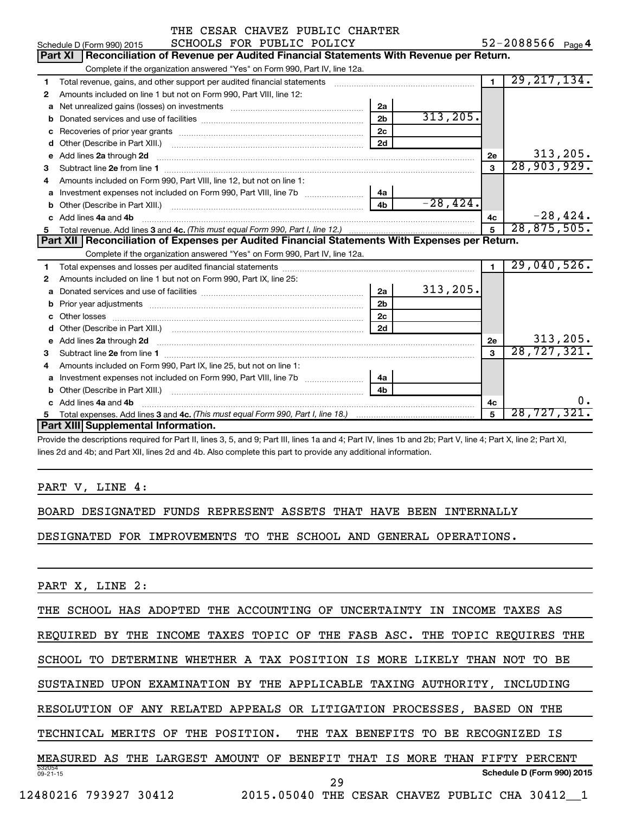|   | THE CESAR CHAVEZ PUBLIC CHARTER                                                                       |                |            |                |                   |
|---|-------------------------------------------------------------------------------------------------------|----------------|------------|----------------|-------------------|
|   | SCHOOLS FOR PUBLIC POLICY<br>Schedule D (Form 990) 2015                                               |                |            |                | 52-2088566 Page 4 |
|   | Reconciliation of Revenue per Audited Financial Statements With Revenue per Return.<br><b>Part XI</b> |                |            |                |                   |
|   | Complete if the organization answered "Yes" on Form 990, Part IV, line 12a.                           |                |            |                |                   |
| 1 | Total revenue, gains, and other support per audited financial statements                              |                |            | $\overline{1}$ | 29, 217, 134.     |
| 2 | Amounts included on line 1 but not on Form 990, Part VIII, line 12:                                   |                |            |                |                   |
| a |                                                                                                       | 2a             |            |                |                   |
| b |                                                                                                       | 2 <sub>b</sub> | 313, 205.  |                |                   |
|   |                                                                                                       | 2 <sub>c</sub> |            |                |                   |
| d |                                                                                                       | 2d             |            |                |                   |
|   | e Add lines 2a through 2d                                                                             |                |            | 2e             | 313, 205.         |
| 3 |                                                                                                       |                |            | $\mathbf{a}$   | 28,903,929.       |
| 4 | Amounts included on Form 990, Part VIII, line 12, but not on line 1:                                  |                |            |                |                   |
| a | Investment expenses not included on Form 990, Part VIII, line 7b [11, 11, 11, 11, 11]                 | 4a             |            |                |                   |
|   |                                                                                                       | 4 <sub>h</sub> | $-28,424.$ |                |                   |
|   | c Add lines 4a and 4b                                                                                 |                |            | 4c             | $-28,424.$        |
|   |                                                                                                       |                |            | 5              | 28,875,505.       |
|   | Part XII   Reconciliation of Expenses per Audited Financial Statements With Expenses per Return.      |                |            |                |                   |
|   | Complete if the organization answered "Yes" on Form 990, Part IV, line 12a.                           |                |            |                |                   |
| 1 |                                                                                                       |                |            | $\blacksquare$ | 29,040,526.       |
| 2 | Amounts included on line 1 but not on Form 990, Part IX, line 25:                                     |                |            |                |                   |
| a |                                                                                                       | 2a             | 313, 205.  |                |                   |
| b |                                                                                                       | 2 <sub>b</sub> |            |                |                   |
|   |                                                                                                       | 2 <sub>c</sub> |            |                |                   |
|   |                                                                                                       | 2d             |            |                |                   |
|   |                                                                                                       |                |            | 2e             | 313, 205.         |
| 3 |                                                                                                       |                |            | $\mathbf{a}$   | 28, 727, 321.     |
| 4 | Amounts included on Form 990, Part IX, line 25, but not on line 1:                                    |                |            |                |                   |
|   |                                                                                                       | 4a             |            |                |                   |
|   |                                                                                                       | 4 <sub>h</sub> |            |                |                   |
|   | c Add lines 4a and 4b                                                                                 |                |            | 4c             | о.                |
|   |                                                                                                       |                |            | 5              | 28,727,321.       |
|   | Part XIII Supplemental Information.                                                                   |                |            |                |                   |

Provide the descriptions required for Part II, lines 3, 5, and 9; Part III, lines 1a and 4; Part IV, lines 1b and 2b; Part V, line 4; Part X, line 2; Part XI, lines 2d and 4b; and Part XII, lines 2d and 4b. Also complete this part to provide any additional information.

## PART V, LINE 4:

BOARD DESIGNATED FUNDS REPRESENT ASSETS THAT HAVE BEEN INTERNALLY

DESIGNATED FOR IMPROVEMENTS TO THE SCHOOL AND GENERAL OPERATIONS.

PART X, LINE 2:

|                          | THE SCHOOL HAS ADOPTED THE ACCOUNTING OF UNCERTAINTY<br>IN INCOME TAXES AS     |
|--------------------------|--------------------------------------------------------------------------------|
| REOUIRED BY<br>THE       | INCOME TAXES TOPIC OF THE FASB ASC.<br>THE TOPIC REOUIRES THE                  |
| SCHOOL TO<br>DETERMINE   | WHETHER A TAX POSITION IS MORE LIKELY<br>THAN NOT<br>BE.<br>TO.                |
|                          | SUSTAINED UPON EXAMINATION BY THE APPLICABLE TAXING AUTHORITY,<br>INCLUDING    |
|                          | RESOLUTION OF ANY RELATED APPEALS OR LITIGATION PROCESSES, BASED<br>THE<br>ON. |
| TECHNICAL MERITS         | OF THE POSITION. THE TAX BENEFITS TO BE RECOGNIZED IS                          |
|                          | MEASURED AS THE LARGEST AMOUNT OF BENEFIT THAT IS MORE THAN FIFTY PERCENT      |
| 532054<br>$09 - 21 - 15$ | Schedule D (Form 990) 2015<br>29                                               |
| 12480216 793927 30412    | 2015.05040<br>THE CESAR CHAVEZ PUBLIC CHA 30412 1                              |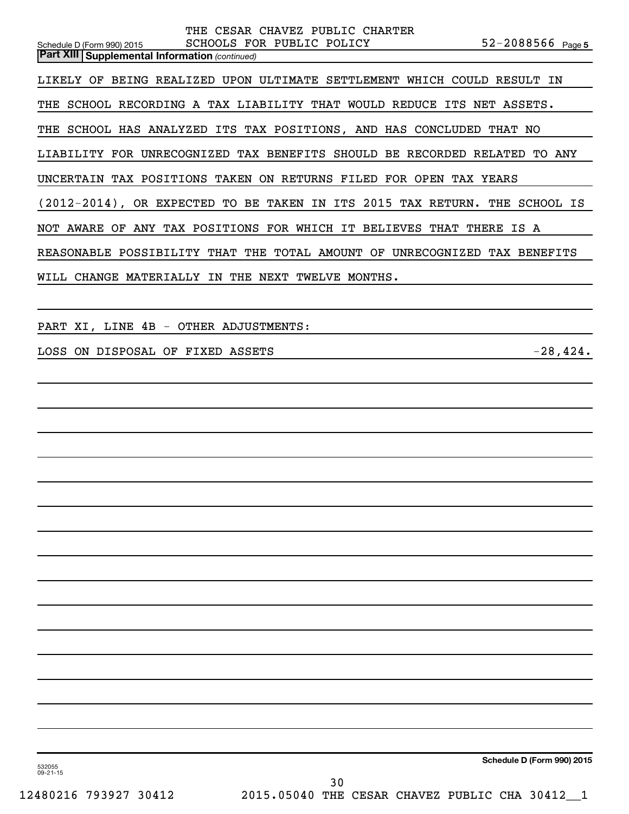|                                                                      |                                                 | CESAR CHAVEZ PUBLIC CHARTER |                 |                                                |                           |     |
|----------------------------------------------------------------------|-------------------------------------------------|-----------------------------|-----------------|------------------------------------------------|---------------------------|-----|
| Schedule D (Form 990) 2015                                           | SCHOOLS FOR PUBLIC POLICY                       |                             |                 |                                                | 52-2088566 Page 5         |     |
| <b>Part XIII Supplemental Information (continued)</b>                |                                                 |                             |                 |                                                |                           |     |
| LIKELY OF<br>BEING REALIZED                                          |                                                 |                             |                 | UPON ULTIMATE SETTLEMENT WHICH COULD RESULT IN |                           |     |
| THE<br>SCHOOL RECORDING A TAX LIABILITY THAT WOULD REDUCE            |                                                 |                             |                 | ITS                                            | NET<br>ASSETS.            |     |
| THE SCHOOL HAS ANALYZED ITS TAX POSITIONS, AND HAS CONCLUDED THAT NO |                                                 |                             |                 |                                                |                           |     |
| LIABILITY<br><b>FOR</b>                                              | UNRECOGNIZED                                    | TAX BENEFITS SHOULD BE      |                 | RECORDED                                       | RELATED<br>TO.            | ANY |
| UNCERTAIN                                                            | TAX POSITIONS TAKEN                             | ON RETURNS FILED FOR OPEN   |                 |                                                | TAX YEARS                 |     |
| $(2012-2014)$ , OR EXPECTED TO                                       |                                                 |                             |                 | BE TAKEN IN ITS 2015 TAX RETURN.               | THE<br>SCHOOL IS          |     |
| NOT AWARE                                                            | OF ANY TAX POSITIONS FOR WHICH IT BELIEVES THAT |                             |                 |                                                | THERE IS A                |     |
| REASONABLE POSSIBILITY                                               | THAT                                            | THE                         | TOTAL AMOUNT OF |                                                | UNRECOGNIZED TAX BENEFITS |     |
| WILL<br>CHANGE<br>MATERIALLY                                         | IN<br>THE                                       | NEXT<br>TWELVE              | MONTHS.         |                                                |                           |     |

PART XI, LINE 4B - OTHER ADJUSTMENTS:

LOSS ON DISPOSAL OF FIXED ASSETS  $-28,424$ .

**Schedule D (Form 990) 2015**

532055 09-21-15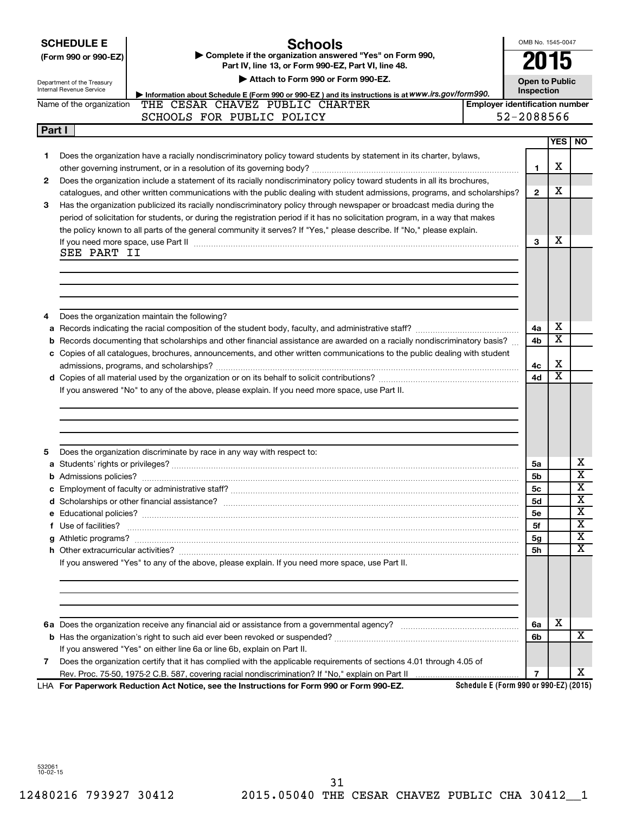| <b>SCHEDULE E</b> |  |  |  |  |
|-------------------|--|--|--|--|
|                   |  |  |  |  |

Department of the Treasury

## **Schools**

**(Form 990 or 990-EZ) | Complete if the organization answered "Yes" on Form 990, Part IV, line 13, or Form 990-EZ, Part VI, line 48.**

**| Attach to Form 990 or Form 990-EZ.**

**Open to Public**

**4a 4b** X X

X X

**4c 4d**

OMB No. 1545-0047

**2015**

|              | Internal Revenue Service<br>Information about Schedule E (Form 990 or 990-EZ) and its instructions is at WWW.irs.gov/form990.                                                                                                                                                                                                                                                   |                                       |            | Inspection   |            |     |
|--------------|---------------------------------------------------------------------------------------------------------------------------------------------------------------------------------------------------------------------------------------------------------------------------------------------------------------------------------------------------------------------------------|---------------------------------------|------------|--------------|------------|-----|
|              | THE CESAR CHAVEZ PUBLIC CHARTER<br>Name of the organization                                                                                                                                                                                                                                                                                                                     | <b>Employer identification number</b> |            |              |            |     |
|              | SCHOOLS FOR PUBLIC POLICY                                                                                                                                                                                                                                                                                                                                                       |                                       | 52-2088566 |              |            |     |
| Part I       |                                                                                                                                                                                                                                                                                                                                                                                 |                                       |            |              |            |     |
|              |                                                                                                                                                                                                                                                                                                                                                                                 |                                       |            |              | <b>YES</b> | NO. |
|              | Does the organization have a racially nondiscriminatory policy toward students by statement in its charter, bylaws,                                                                                                                                                                                                                                                             |                                       |            |              | х          |     |
| $\mathbf{2}$ | Does the organization include a statement of its racially nondiscriminatory policy toward students in all its brochures,<br>catalogues, and other written communications with the public dealing with student admissions, programs, and scholarships?                                                                                                                           |                                       |            | $\mathbf{2}$ | х          |     |
| 3            | Has the organization publicized its racially nondiscriminatory policy through newspaper or broadcast media during the<br>period of solicitation for students, or during the registration period if it has no solicitation program, in a way that makes<br>the policy known to all parts of the general community it serves? If "Yes," please describe. If "No," please explain. |                                       |            |              |            |     |
|              | If you need more space, use Part II<br>SEE PART II                                                                                                                                                                                                                                                                                                                              |                                       |            | з            | х          |     |

**4** Does the organization maintain the following?

**a** Records indicating the racial composition of the student body, faculty, and administrative staff? ~~~~~~~~~~~~~~ **b c** Copies of all catalogues, brochures, announcements, and other written communications to the public dealing with student Records documenting that scholarships and other financial assistance are awarded on a racially nondiscriminatory basis? ...

**d** Copies of all material used by the organization or on its behalf to solicit contributions? ~~~~~~~~~~~~~~~~~~~ admissions, programs, and scholarships? ~~~~~~~~~~~~~~~~~~~~~~~~~~~~~~~~~~~~~~~~~

If you answered "No" to any of the above, please explain. If you need more space, use Part II.

| Does the organization discriminate by race in any way with respect to:                          |                |   |   |
|-------------------------------------------------------------------------------------------------|----------------|---|---|
|                                                                                                 | 5a             |   | х |
|                                                                                                 | 5 <sub>b</sub> |   | x |
|                                                                                                 | 5с             |   | x |
|                                                                                                 | <b>5d</b>      |   | x |
|                                                                                                 | 5e             |   | x |
|                                                                                                 | 5f             |   | x |
|                                                                                                 | 5g             |   | x |
|                                                                                                 | 5h             |   | X |
| If you answered "Yes" to any of the above, please explain. If you need more space, use Part II. |                |   |   |
|                                                                                                 |                |   |   |
|                                                                                                 |                |   |   |
|                                                                                                 |                |   |   |
|                                                                                                 | 6a             | x |   |
|                                                                                                 | 6b.            |   | x |
| If you answered "Yes" on either line 6a or line 6b, explain on Part II.                         |                |   |   |
|                                                                                                 |                |   |   |

**7** Does the organization certify that it has complied with the applicable requirements of sections 4.01 through 4.05 of Rev. Proc. 75-50, 1975-2 C.B. 587, covering racial nondiscrimination? If "No," explain on Part II

**For Paperwork Reduction Act Notice, see the Instructions for Form 990 or Form 990-EZ.** LHA

532061 10-02-15

**Schedule E (Form 990 or 990-EZ) (2015)**

**7**

X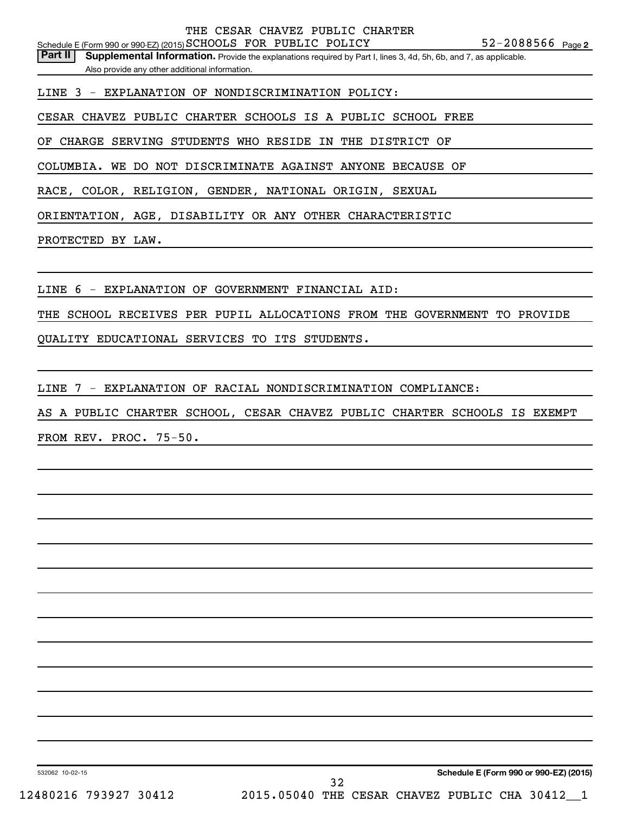Part II | Supplemental Information. Provide the explanations required by Part I, lines 3, 4d, 5h, 6b, and 7, as applicable. Also provide any other additional information.

LINE 3 - EXPLANATION OF NONDISCRIMINATION POLICY:

CESAR CHAVEZ PUBLIC CHARTER SCHOOLS IS A PUBLIC SCHOOL FREE

OF CHARGE SERVING STUDENTS WHO RESIDE IN THE DISTRICT OF

COLUMBIA. WE DO NOT DISCRIMINATE AGAINST ANYONE BECAUSE OF

RACE, COLOR, RELIGION, GENDER, NATIONAL ORIGIN, SEXUAL

ORIENTATION, AGE, DISABILITY OR ANY OTHER CHARACTERISTIC

PROTECTED BY LAW.

LINE 6 - EXPLANATION OF GOVERNMENT FINANCIAL AID:

THE SCHOOL RECEIVES PER PUPIL ALLOCATIONS FROM THE GOVERNMENT TO PROVIDE

QUALITY EDUCATIONAL SERVICES TO ITS STUDENTS.

LINE 7 - EXPLANATION OF RACIAL NONDISCRIMINATION COMPLIANCE:

AS A PUBLIC CHARTER SCHOOL, CESAR CHAVEZ PUBLIC CHARTER SCHOOLS IS EXEMPT FROM REV. PROC. 75-50.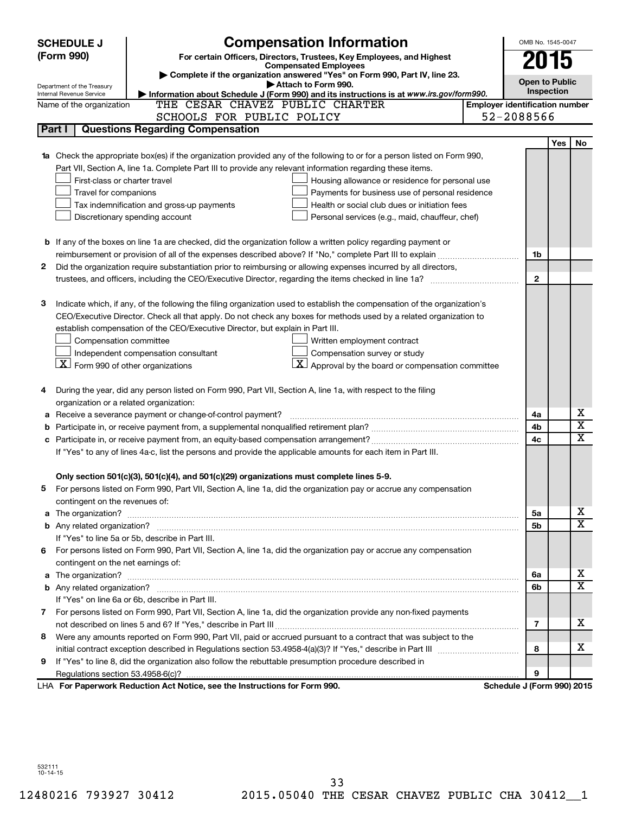|    | <b>SCHEDULE J</b>                                                                                                                                        | <b>Compensation Information</b>                                                                                                                                                                      |                                       | OMB No. 1545-0047          |            |                         |  |
|----|----------------------------------------------------------------------------------------------------------------------------------------------------------|------------------------------------------------------------------------------------------------------------------------------------------------------------------------------------------------------|---------------------------------------|----------------------------|------------|-------------------------|--|
|    | (Form 990)                                                                                                                                               | For certain Officers, Directors, Trustees, Key Employees, and Highest                                                                                                                                |                                       | 2015                       |            |                         |  |
|    |                                                                                                                                                          | <b>Compensated Employees</b>                                                                                                                                                                         |                                       |                            |            |                         |  |
|    | Complete if the organization answered "Yes" on Form 990, Part IV, line 23.<br><b>Open to Public</b><br>Attach to Form 990.<br>Department of the Treasury |                                                                                                                                                                                                      |                                       |                            |            |                         |  |
|    | Internal Revenue Service                                                                                                                                 | Information about Schedule J (Form 990) and its instructions is at www.irs.gov/form990.                                                                                                              |                                       | Inspection                 |            |                         |  |
|    | Name of the organization                                                                                                                                 | THE CESAR CHAVEZ PUBLIC CHARTER                                                                                                                                                                      | <b>Employer identification number</b> |                            |            |                         |  |
|    |                                                                                                                                                          | SCHOOLS FOR PUBLIC POLICY                                                                                                                                                                            |                                       | 52-2088566                 |            |                         |  |
|    | Part I                                                                                                                                                   | <b>Questions Regarding Compensation</b>                                                                                                                                                              |                                       |                            |            |                         |  |
|    |                                                                                                                                                          |                                                                                                                                                                                                      |                                       |                            | <b>Yes</b> | No                      |  |
|    |                                                                                                                                                          | Check the appropriate box(es) if the organization provided any of the following to or for a person listed on Form 990,                                                                               |                                       |                            |            |                         |  |
|    |                                                                                                                                                          | Part VII, Section A, line 1a. Complete Part III to provide any relevant information regarding these items.                                                                                           |                                       |                            |            |                         |  |
|    | First-class or charter travel                                                                                                                            | Housing allowance or residence for personal use                                                                                                                                                      |                                       |                            |            |                         |  |
|    | Travel for companions                                                                                                                                    | Payments for business use of personal residence                                                                                                                                                      |                                       |                            |            |                         |  |
|    |                                                                                                                                                          | Health or social club dues or initiation fees<br>Tax indemnification and gross-up payments                                                                                                           |                                       |                            |            |                         |  |
|    |                                                                                                                                                          | Discretionary spending account<br>Personal services (e.g., maid, chauffeur, chef)                                                                                                                    |                                       |                            |            |                         |  |
|    |                                                                                                                                                          |                                                                                                                                                                                                      |                                       |                            |            |                         |  |
|    |                                                                                                                                                          | <b>b</b> If any of the boxes on line 1a are checked, did the organization follow a written policy regarding payment or                                                                               |                                       |                            |            |                         |  |
|    |                                                                                                                                                          |                                                                                                                                                                                                      |                                       | 1b                         |            |                         |  |
| 2  |                                                                                                                                                          | Did the organization require substantiation prior to reimbursing or allowing expenses incurred by all directors,                                                                                     |                                       |                            |            |                         |  |
|    |                                                                                                                                                          | trustees, and officers, including the CEO/Executive Director, regarding the items checked in line 1a?                                                                                                |                                       | $\mathbf{2}$               |            |                         |  |
|    |                                                                                                                                                          |                                                                                                                                                                                                      |                                       |                            |            |                         |  |
| з  |                                                                                                                                                          | Indicate which, if any, of the following the filing organization used to establish the compensation of the organization's                                                                            |                                       |                            |            |                         |  |
|    |                                                                                                                                                          | CEO/Executive Director. Check all that apply. Do not check any boxes for methods used by a related organization to<br>establish compensation of the CEO/Executive Director, but explain in Part III. |                                       |                            |            |                         |  |
|    | Compensation committee                                                                                                                                   |                                                                                                                                                                                                      |                                       |                            |            |                         |  |
|    |                                                                                                                                                          | Written employment contract<br>Compensation survey or study<br>Independent compensation consultant                                                                                                   |                                       |                            |            |                         |  |
|    | $\lfloor x \rfloor$ Form 990 of other organizations                                                                                                      | $ \mathbf{X} $ Approval by the board or compensation committee                                                                                                                                       |                                       |                            |            |                         |  |
|    |                                                                                                                                                          |                                                                                                                                                                                                      |                                       |                            |            |                         |  |
|    |                                                                                                                                                          | During the year, did any person listed on Form 990, Part VII, Section A, line 1a, with respect to the filing                                                                                         |                                       |                            |            |                         |  |
|    | organization or a related organization:                                                                                                                  |                                                                                                                                                                                                      |                                       |                            |            |                         |  |
| а  |                                                                                                                                                          | Receive a severance payment or change-of-control payment?                                                                                                                                            |                                       | 4a                         |            | х                       |  |
| b  |                                                                                                                                                          |                                                                                                                                                                                                      |                                       | 4b                         |            | $\overline{\textbf{x}}$ |  |
|    |                                                                                                                                                          |                                                                                                                                                                                                      |                                       | 4c                         |            | x                       |  |
|    |                                                                                                                                                          | If "Yes" to any of lines 4a-c, list the persons and provide the applicable amounts for each item in Part III.                                                                                        |                                       |                            |            |                         |  |
|    |                                                                                                                                                          |                                                                                                                                                                                                      |                                       |                            |            |                         |  |
|    |                                                                                                                                                          | Only section 501(c)(3), 501(c)(4), and 501(c)(29) organizations must complete lines 5-9.                                                                                                             |                                       |                            |            |                         |  |
| 5  |                                                                                                                                                          | For persons listed on Form 990, Part VII, Section A, line 1a, did the organization pay or accrue any compensation                                                                                    |                                       |                            |            |                         |  |
|    | contingent on the revenues of:                                                                                                                           |                                                                                                                                                                                                      |                                       |                            |            |                         |  |
| a  |                                                                                                                                                          |                                                                                                                                                                                                      |                                       | 5a                         |            | х                       |  |
|    |                                                                                                                                                          |                                                                                                                                                                                                      |                                       | 5b                         |            | X                       |  |
|    |                                                                                                                                                          | If "Yes" to line 5a or 5b, describe in Part III.                                                                                                                                                     |                                       |                            |            |                         |  |
| 6. |                                                                                                                                                          | For persons listed on Form 990, Part VII, Section A, line 1a, did the organization pay or accrue any compensation                                                                                    |                                       |                            |            |                         |  |
|    | contingent on the net earnings of:                                                                                                                       |                                                                                                                                                                                                      |                                       |                            |            |                         |  |
| а  |                                                                                                                                                          |                                                                                                                                                                                                      |                                       | 6а                         |            | х                       |  |
|    |                                                                                                                                                          |                                                                                                                                                                                                      |                                       | 6b                         |            | X                       |  |
|    |                                                                                                                                                          | If "Yes" on line 6a or 6b, describe in Part III.                                                                                                                                                     |                                       |                            |            |                         |  |
|    |                                                                                                                                                          | 7 For persons listed on Form 990, Part VII, Section A, line 1a, did the organization provide any non-fixed payments                                                                                  |                                       |                            |            |                         |  |
|    |                                                                                                                                                          |                                                                                                                                                                                                      |                                       | 7                          |            | x                       |  |
| 8  |                                                                                                                                                          | Were any amounts reported on Form 990, Part VII, paid or accrued pursuant to a contract that was subject to the                                                                                      |                                       |                            |            |                         |  |
|    |                                                                                                                                                          |                                                                                                                                                                                                      |                                       | 8                          |            | x                       |  |
| 9  |                                                                                                                                                          | If "Yes" to line 8, did the organization also follow the rebuttable presumption procedure described in                                                                                               |                                       |                            |            |                         |  |
|    |                                                                                                                                                          |                                                                                                                                                                                                      |                                       | 9                          |            |                         |  |
|    |                                                                                                                                                          | LHA For Paperwork Reduction Act Notice, see the Instructions for Form 990.                                                                                                                           |                                       | Schedule J (Form 990) 2015 |            |                         |  |

532111 10-14-15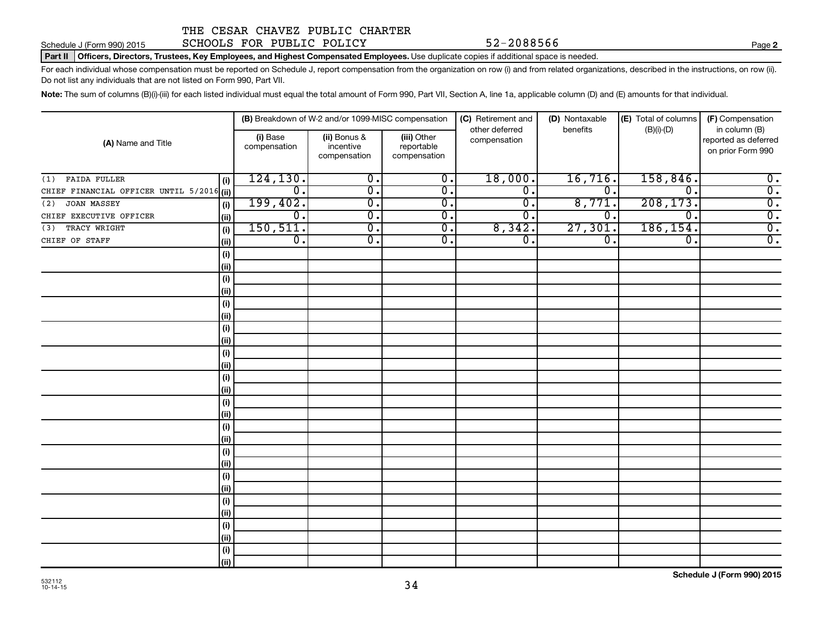Schedule J (Form 990) 2015 SCHOOLS FOR PUBLIC POLICY 52-2088566

#### Part II | Officers, Directors, Trustees, Key Employees, and Highest Compensated Employees. Use duplicate copies if additional space is needed.

For each individual whose compensation must be reported on Schedule J, report compensation from the organization on row (i) and from related organizations, described in the instructions, on row (ii). Do not list any individuals that are not listed on Form 990, Part VII.

Note: The sum of columns (B)(i)-(iii) for each listed individual must equal the total amount of Form 990, Part VII, Section A, line 1a, applicable column (D) and (E) amounts for that individual.

|                                           |                          | (B) Breakdown of W-2 and/or 1099-MISC compensation |                                           | (C) Retirement and             | (D) Nontaxable              | (E) Total of columns | (F) Compensation                                           |
|-------------------------------------------|--------------------------|----------------------------------------------------|-------------------------------------------|--------------------------------|-----------------------------|----------------------|------------------------------------------------------------|
| (A) Name and Title                        | (i) Base<br>compensation | (ii) Bonus &<br>incentive<br>compensation          | (iii) Other<br>reportable<br>compensation | other deferred<br>compensation | benefits                    | $(B)(i)-(D)$         | in column (B)<br>reported as deferred<br>on prior Form 990 |
| <b>FAIDA FULLER</b><br>(1)<br>(i)         | 124, 130.                | $\overline{0}$ .                                   | $\overline{0}$ .                          | 18,000.                        | 16,716.                     | 158,846.             | $\overline{0}$ .                                           |
| CHIEF FINANCIAL OFFICER UNTIL 5/2016 (ii) | $\overline{0}$ .         | $\overline{0}$ .                                   | $\overline{0}$ .                          | $\overline{\mathfrak{o}}$ .    | $\overline{\mathfrak{o}}$ . | $\mathbf 0$ .        | $\overline{0}$ .                                           |
| JOAN MASSEY<br>(2)<br>(i)                 | 199,402.                 | $\overline{0}$ .                                   | $\overline{0}$ .                          | $\overline{\mathfrak{o}}$ .    | 8,771.                      | 208, 173.            | $\overline{0}$ .                                           |
| CHIEF EXECUTIVE OFFICER<br>(ii)           | $\overline{0}$ .         | $\overline{0}$ .                                   | $\overline{0}$ .                          | $\overline{\mathfrak{o}}$ .    | 0.                          | 0.                   | $\overline{0}$ .                                           |
| TRACY WRIGHT<br>(3)<br>(i)                | 150, 511.                | $\overline{0}$ .                                   | $\overline{0}$ .                          | 8,342.                         | 27,301.                     | 186, 154.            | $\overline{0}$ .                                           |
| CHIEF OF STAFF<br>(ii)                    | $\overline{0}$ .         | $\overline{0}$ .                                   | $\overline{0}$ .                          | $\overline{\mathfrak{o}}$ .    | $\overline{0}$ .            | 0.                   | $\overline{0}$ .                                           |
| (i)                                       |                          |                                                    |                                           |                                |                             |                      |                                                            |
| (ii)                                      |                          |                                                    |                                           |                                |                             |                      |                                                            |
| (i)                                       |                          |                                                    |                                           |                                |                             |                      |                                                            |
| (ii)                                      |                          |                                                    |                                           |                                |                             |                      |                                                            |
| (i)                                       |                          |                                                    |                                           |                                |                             |                      |                                                            |
| (ii)                                      |                          |                                                    |                                           |                                |                             |                      |                                                            |
| (i)                                       |                          |                                                    |                                           |                                |                             |                      |                                                            |
| (ii)                                      |                          |                                                    |                                           |                                |                             |                      |                                                            |
| (i)                                       |                          |                                                    |                                           |                                |                             |                      |                                                            |
| (ii)                                      |                          |                                                    |                                           |                                |                             |                      |                                                            |
| (i)                                       |                          |                                                    |                                           |                                |                             |                      |                                                            |
| (ii)                                      |                          |                                                    |                                           |                                |                             |                      |                                                            |
| (i)                                       |                          |                                                    |                                           |                                |                             |                      |                                                            |
| (ii)                                      |                          |                                                    |                                           |                                |                             |                      |                                                            |
| (i)                                       |                          |                                                    |                                           |                                |                             |                      |                                                            |
| (ii)                                      |                          |                                                    |                                           |                                |                             |                      |                                                            |
| (i)                                       |                          |                                                    |                                           |                                |                             |                      |                                                            |
| (ii)                                      |                          |                                                    |                                           |                                |                             |                      |                                                            |
| (i)<br>(ii)                               |                          |                                                    |                                           |                                |                             |                      |                                                            |
|                                           |                          |                                                    |                                           |                                |                             |                      |                                                            |
| (i)<br>(ii)                               |                          |                                                    |                                           |                                |                             |                      |                                                            |
| (i)                                       |                          |                                                    |                                           |                                |                             |                      |                                                            |
| (ii)                                      |                          |                                                    |                                           |                                |                             |                      |                                                            |
| (i)                                       |                          |                                                    |                                           |                                |                             |                      |                                                            |
| (ii)                                      |                          |                                                    |                                           |                                |                             |                      |                                                            |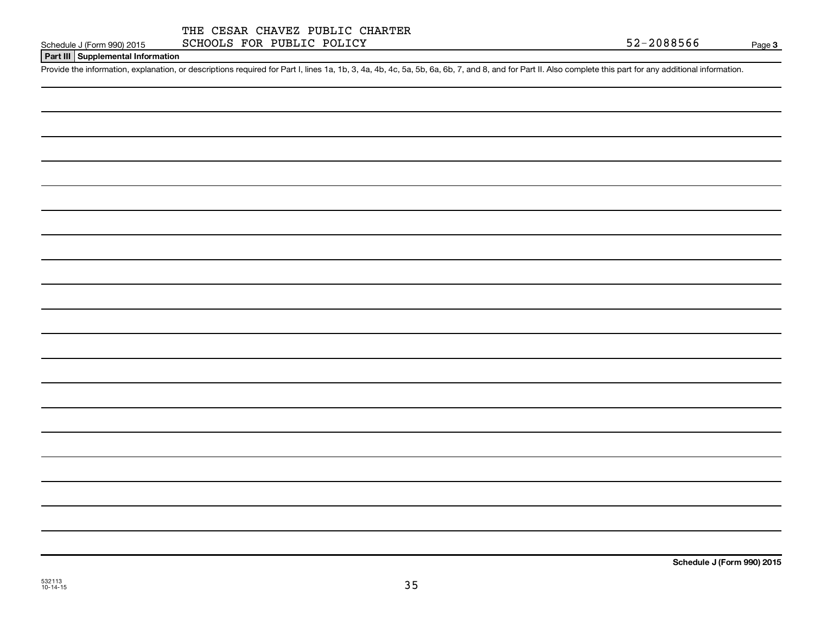## **Part III Supplemental Information**

Provide the information, explanation, or descriptions required for Part I, lines 1a, 1b, 3, 4a, 4b, 4c, 5a, 5b, 6a, 6b, 7, and 8, and for Part II. Also complete this part for any additional information.

532113 10-14-15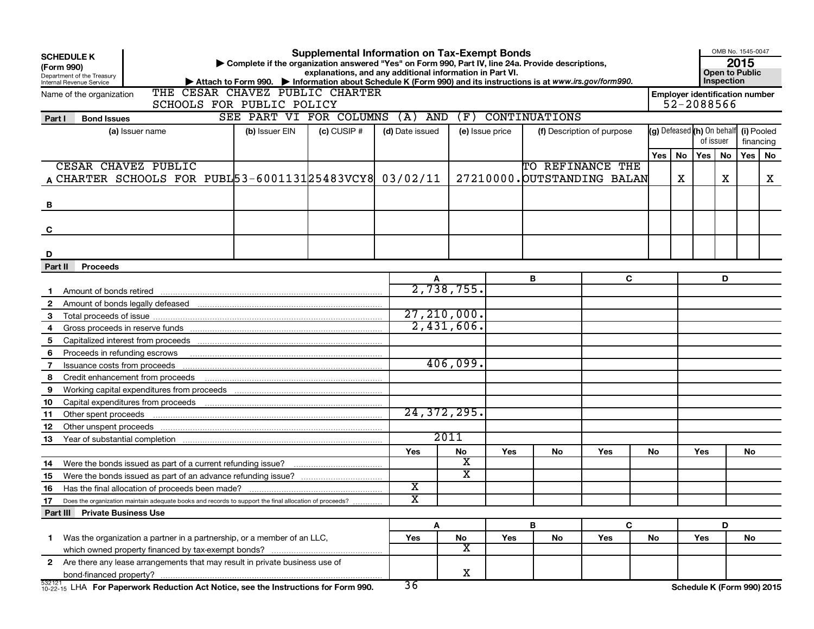| (Form 990)   | <b>SCHEDULE K</b><br>Department of the Treasury<br>Internal Revenue Service                            |                                 | Complete if the organization answered "Yes" on Form 990, Part IV, line 24a. Provide descriptions,<br>▶ Attach to Form 990. ▶ Information about Schedule K (Form 990) and its instructions is at www.irs.gov/form990. | <b>Supplemental Information on Tax-Exempt Bonds</b><br>explanations, and any additional information in Part VI. |                         |                         |                 |                      |                             |       |    |                                                     | OMB No. 1545-0047<br><b>Open to Public</b><br>Inspection | 2015      |    |
|--------------|--------------------------------------------------------------------------------------------------------|---------------------------------|----------------------------------------------------------------------------------------------------------------------------------------------------------------------------------------------------------------------|-----------------------------------------------------------------------------------------------------------------|-------------------------|-------------------------|-----------------|----------------------|-----------------------------|-------|----|-----------------------------------------------------|----------------------------------------------------------|-----------|----|
|              | Name of the organization                                                                               | THE CESAR CHAVEZ PUBLIC CHARTER |                                                                                                                                                                                                                      |                                                                                                                 |                         |                         |                 |                      |                             |       |    | <b>Employer identification number</b><br>52-2088566 |                                                          |           |    |
|              |                                                                                                        | SCHOOLS FOR PUBLIC POLICY       | SEE PART VI FOR COLUMNS                                                                                                                                                                                              |                                                                                                                 | $(A)$ AND               | (F)                     |                 | <b>CONTINUATIONS</b> |                             |       |    |                                                     |                                                          |           |    |
| Part I       | <b>Bond Issues</b>                                                                                     |                                 |                                                                                                                                                                                                                      | $(c)$ CUSIP $#$                                                                                                 |                         |                         |                 |                      |                             |       |    | (g) Defeased (h) On behalf (i) Pooled               |                                                          |           |    |
|              | (a) Issuer name                                                                                        |                                 | (b) Issuer EIN                                                                                                                                                                                                       |                                                                                                                 | (d) Date issued         |                         | (e) Issue price |                      | (f) Description of purpose  |       |    | of issuer                                           |                                                          | financing |    |
|              |                                                                                                        |                                 |                                                                                                                                                                                                                      |                                                                                                                 |                         |                         |                 |                      |                             | Yes l | No | Yes                                                 | No                                                       | Yes       | No |
|              | CESAR CHAVEZ PUBLIC                                                                                    |                                 |                                                                                                                                                                                                                      |                                                                                                                 |                         |                         |                 | TO REFINANCE THE     |                             |       |    |                                                     |                                                          |           |    |
|              | A CHARTER SCHOOLS FOR PUBL 53-6001131 25483 VCY8 03/02/11                                              |                                 |                                                                                                                                                                                                                      |                                                                                                                 |                         |                         |                 |                      | 27210000. OUTSTANDING BALAN |       | x  |                                                     | Х.                                                       |           | x  |
|              |                                                                                                        |                                 |                                                                                                                                                                                                                      |                                                                                                                 |                         |                         |                 |                      |                             |       |    |                                                     |                                                          |           |    |
| в            |                                                                                                        |                                 |                                                                                                                                                                                                                      |                                                                                                                 |                         |                         |                 |                      |                             |       |    |                                                     |                                                          |           |    |
|              |                                                                                                        |                                 |                                                                                                                                                                                                                      |                                                                                                                 |                         |                         |                 |                      |                             |       |    |                                                     |                                                          |           |    |
| C            |                                                                                                        |                                 |                                                                                                                                                                                                                      |                                                                                                                 |                         |                         |                 |                      |                             |       |    |                                                     |                                                          |           |    |
|              |                                                                                                        |                                 |                                                                                                                                                                                                                      |                                                                                                                 |                         |                         |                 |                      |                             |       |    |                                                     |                                                          |           |    |
| D            |                                                                                                        |                                 |                                                                                                                                                                                                                      |                                                                                                                 |                         |                         |                 |                      |                             |       |    |                                                     |                                                          |           |    |
| Part II      | <b>Proceeds</b>                                                                                        |                                 |                                                                                                                                                                                                                      |                                                                                                                 |                         |                         |                 |                      |                             |       |    |                                                     |                                                          |           |    |
|              |                                                                                                        |                                 |                                                                                                                                                                                                                      |                                                                                                                 |                         |                         |                 | в                    | C                           |       |    |                                                     | D                                                        |           |    |
|              |                                                                                                        |                                 |                                                                                                                                                                                                                      |                                                                                                                 |                         | 2,738,755.              |                 |                      |                             |       |    |                                                     |                                                          |           |    |
| $\mathbf{2}$ |                                                                                                        |                                 |                                                                                                                                                                                                                      |                                                                                                                 |                         |                         |                 |                      |                             |       |    |                                                     |                                                          |           |    |
| 3            |                                                                                                        |                                 |                                                                                                                                                                                                                      |                                                                                                                 |                         | 27, 210, 000.           |                 |                      |                             |       |    |                                                     |                                                          |           |    |
| 4            |                                                                                                        |                                 |                                                                                                                                                                                                                      |                                                                                                                 |                         | $2,431,606$ .           |                 |                      |                             |       |    |                                                     |                                                          |           |    |
| 5            |                                                                                                        |                                 |                                                                                                                                                                                                                      |                                                                                                                 |                         |                         |                 |                      |                             |       |    |                                                     |                                                          |           |    |
| 6            | Proceeds in refunding escrows                                                                          |                                 |                                                                                                                                                                                                                      |                                                                                                                 |                         |                         |                 |                      |                             |       |    |                                                     |                                                          |           |    |
| 7            | Issuance costs from proceeds                                                                           |                                 |                                                                                                                                                                                                                      |                                                                                                                 |                         | 406,099.                |                 |                      |                             |       |    |                                                     |                                                          |           |    |
| 8            | Credit enhancement from proceeds                                                                       |                                 |                                                                                                                                                                                                                      |                                                                                                                 |                         |                         |                 |                      |                             |       |    |                                                     |                                                          |           |    |
| 9            | Working capital expenditures from proceeds                                                             |                                 |                                                                                                                                                                                                                      |                                                                                                                 |                         |                         |                 |                      |                             |       |    |                                                     |                                                          |           |    |
| 10           |                                                                                                        |                                 |                                                                                                                                                                                                                      |                                                                                                                 |                         | 24, 372, 295.           |                 |                      |                             |       |    |                                                     |                                                          |           |    |
| 11           | Other spent proceeds                                                                                   |                                 |                                                                                                                                                                                                                      |                                                                                                                 |                         |                         |                 |                      |                             |       |    |                                                     |                                                          |           |    |
| 12           |                                                                                                        |                                 |                                                                                                                                                                                                                      |                                                                                                                 |                         | 2011                    |                 |                      |                             |       |    |                                                     |                                                          |           |    |
| 13           |                                                                                                        |                                 |                                                                                                                                                                                                                      |                                                                                                                 |                         |                         |                 |                      |                             |       |    |                                                     |                                                          |           |    |
| 14           | Were the bonds issued as part of a current refunding issue?                                            |                                 |                                                                                                                                                                                                                      |                                                                                                                 | Yes                     | No<br>X                 | Yes             | No.                  | Yes                         | No.   |    | Yes                                                 |                                                          | No        |    |
| 15           |                                                                                                        |                                 |                                                                                                                                                                                                                      |                                                                                                                 |                         | х                       |                 |                      |                             |       |    |                                                     |                                                          |           |    |
| 16           | Has the final allocation of proceeds been made?                                                        |                                 |                                                                                                                                                                                                                      |                                                                                                                 | $\overline{\textbf{x}}$ |                         |                 |                      |                             |       |    |                                                     |                                                          |           |    |
| 17           | Does the organization maintain adequate books and records to support the final allocation of proceeds? |                                 |                                                                                                                                                                                                                      |                                                                                                                 | $\overline{\text{x}}$   |                         |                 |                      |                             |       |    |                                                     |                                                          |           |    |
|              | Part III Private Business Use                                                                          |                                 |                                                                                                                                                                                                                      |                                                                                                                 |                         |                         |                 |                      |                             |       |    |                                                     |                                                          |           |    |
|              |                                                                                                        |                                 |                                                                                                                                                                                                                      |                                                                                                                 |                         | Α                       |                 | B                    | C                           |       |    |                                                     | D                                                        |           |    |
| 1.           | Was the organization a partner in a partnership, or a member of an LLC,                                |                                 |                                                                                                                                                                                                                      |                                                                                                                 | Yes                     | No                      | Yes             | No                   | Yes                         | No    |    | Yes                                                 |                                                          | No        |    |
|              |                                                                                                        |                                 |                                                                                                                                                                                                                      |                                                                                                                 |                         | $\overline{\mathbf{X}}$ |                 |                      |                             |       |    |                                                     |                                                          |           |    |
| 2            | Are there any lease arrangements that may result in private business use of                            |                                 |                                                                                                                                                                                                                      |                                                                                                                 |                         |                         |                 |                      |                             |       |    |                                                     |                                                          |           |    |
|              |                                                                                                        |                                 |                                                                                                                                                                                                                      |                                                                                                                 |                         | X                       |                 |                      |                             |       |    |                                                     |                                                          |           |    |
|              | $^{532121}_{10-22-15}$ LHA For Paperwork Reduction Act Notice, see the Instructions for Form 990.      |                                 |                                                                                                                                                                                                                      |                                                                                                                 | 36                      |                         |                 |                      |                             |       |    | Schedule K (Form 990) 2015                          |                                                          |           |    |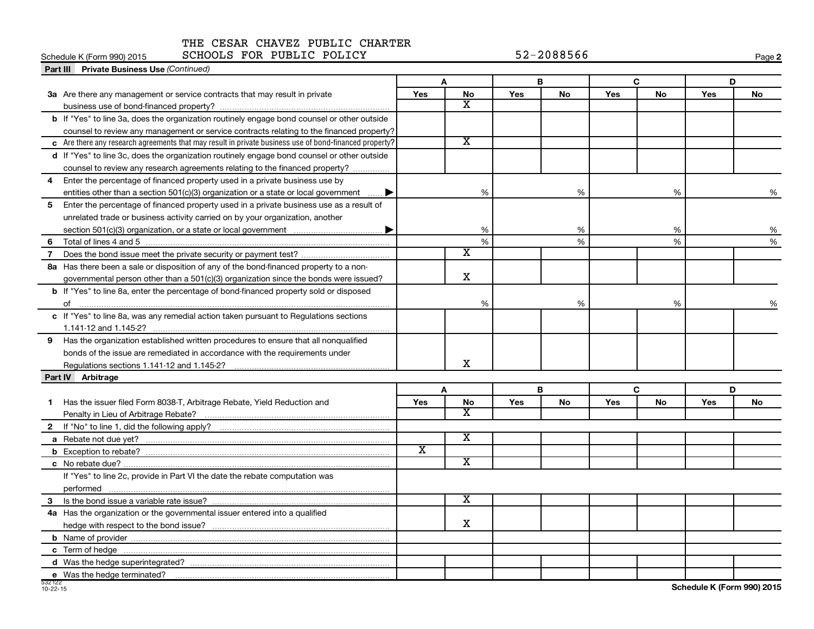## Schedule K (Form 990) 2015 SCHOOLS FOR PUBLIC POLICY 52-2088566

| <b>Part III</b> Private Business Use (Continued)                                                                |                         |                         |            |           |     |    |            |    |
|-----------------------------------------------------------------------------------------------------------------|-------------------------|-------------------------|------------|-----------|-----|----|------------|----|
|                                                                                                                 |                         | A                       | B          |           |     | C  | D          |    |
| 3a Are there any management or service contracts that may result in private                                     | Yes                     | No                      | Yes        | <b>No</b> | Yes | No | <b>Yes</b> | No |
|                                                                                                                 |                         | X                       |            |           |     |    |            |    |
| b If "Yes" to line 3a, does the organization routinely engage bond counsel or other outside                     |                         |                         |            |           |     |    |            |    |
| counsel to review any management or service contracts relating to the financed property?                        |                         |                         |            |           |     |    |            |    |
| $\epsilon$ Are there any research agreements that may result in private business use of bond-financed property? |                         | $\overline{\text{x}}$   |            |           |     |    |            |    |
| d If "Yes" to line 3c, does the organization routinely engage bond counsel or other outside                     |                         |                         |            |           |     |    |            |    |
| counsel to review any research agreements relating to the financed property?                                    |                         |                         |            |           |     |    |            |    |
| Enter the percentage of financed property used in a private business use by<br>4                                |                         |                         |            |           |     |    |            |    |
| entities other than a section 501(c)(3) organization or a state or local government                             |                         | %                       |            | %         |     | %  |            | %  |
| Enter the percentage of financed property used in a private business use as a result of<br>5                    |                         |                         |            |           |     |    |            |    |
| unrelated trade or business activity carried on by your organization, another                                   |                         |                         |            |           |     |    |            |    |
|                                                                                                                 |                         | %                       |            | %         |     | %  |            | %  |
| 6                                                                                                               |                         | %                       |            | %         |     | %  |            | %  |
| $\overline{7}$                                                                                                  |                         | х                       |            |           |     |    |            |    |
| 8a Has there been a sale or disposition of any of the bond-financed property to a non-                          |                         |                         |            |           |     |    |            |    |
| governmental person other than a $501(c)(3)$ organization since the bonds were issued?                          |                         | $\mathbf X$             |            |           |     |    |            |    |
| <b>b</b> If "Yes" to line 8a, enter the percentage of bond-financed property sold or disposed                   |                         |                         |            |           |     |    |            |    |
|                                                                                                                 |                         | %                       |            | %         |     | %  |            | %  |
| c If "Yes" to line 8a, was any remedial action taken pursuant to Regulations sections                           |                         |                         |            |           |     |    |            |    |
|                                                                                                                 |                         |                         |            |           |     |    |            |    |
| Has the organization established written procedures to ensure that all nonqualified<br>9                        |                         |                         |            |           |     |    |            |    |
| bonds of the issue are remediated in accordance with the requirements under                                     |                         |                         |            |           |     |    |            |    |
|                                                                                                                 |                         | x                       |            |           |     |    |            |    |
| Part IV Arbitrage                                                                                               |                         |                         |            |           |     |    |            |    |
|                                                                                                                 |                         | A                       | В          |           |     | C  | D          |    |
| Has the issuer filed Form 8038-T, Arbitrage Rebate, Yield Reduction and<br>1.                                   | <b>Yes</b>              | No                      | <b>Yes</b> | <b>No</b> | Yes | No | Yes        | No |
|                                                                                                                 |                         | X                       |            |           |     |    |            |    |
| $\mathbf{2}$                                                                                                    |                         |                         |            |           |     |    |            |    |
|                                                                                                                 |                         | $\overline{\textbf{x}}$ |            |           |     |    |            |    |
|                                                                                                                 | $\overline{\texttt{x}}$ |                         |            |           |     |    |            |    |
|                                                                                                                 |                         | $\overline{\textbf{x}}$ |            |           |     |    |            |    |
| If "Yes" to line 2c, provide in Part VI the date the rebate computation was                                     |                         |                         |            |           |     |    |            |    |
|                                                                                                                 |                         |                         |            |           |     |    |            |    |
| 3                                                                                                               |                         | X                       |            |           |     |    |            |    |
| 4a Has the organization or the governmental issuer entered into a qualified                                     |                         |                         |            |           |     |    |            |    |
|                                                                                                                 |                         | X                       |            |           |     |    |            |    |
|                                                                                                                 |                         |                         |            |           |     |    |            |    |
|                                                                                                                 |                         |                         |            |           |     |    |            |    |
|                                                                                                                 |                         |                         |            |           |     |    |            |    |
| e Was the hedge terminated?                                                                                     |                         |                         |            |           |     |    |            |    |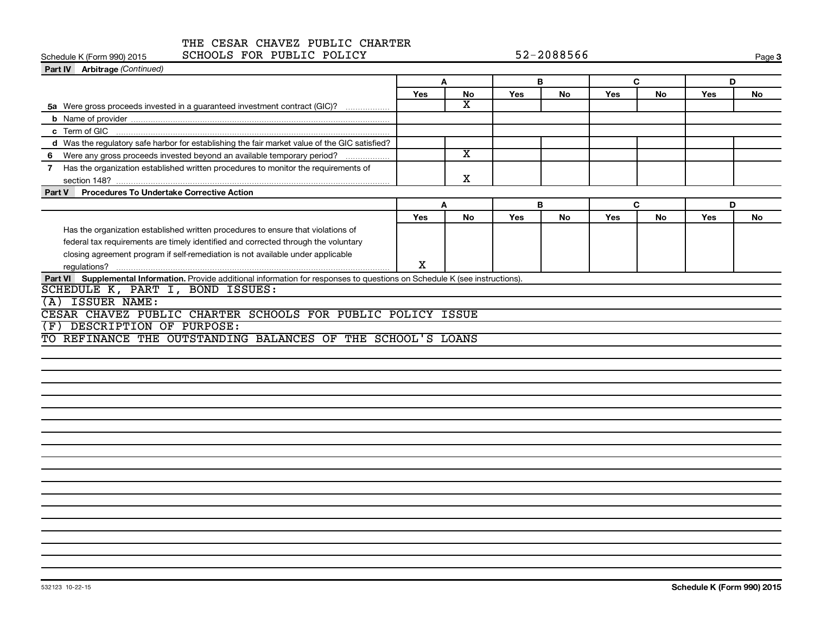| THE CESAR CHAVEZ PUBLIC CHARTER<br>SCHOOLS FOR PUBLIC POLICY<br>Schedule K (Form 990) 2015                                    |            |                         |     | 52-2088566 |     |           |     | Page 3    |
|-------------------------------------------------------------------------------------------------------------------------------|------------|-------------------------|-----|------------|-----|-----------|-----|-----------|
| <b>Part IV</b> Arbitrage (Continued)                                                                                          |            |                         |     |            |     |           |     |           |
|                                                                                                                               | A          |                         | в   |            | C   |           | D   |           |
|                                                                                                                               | <b>Yes</b> | <b>No</b>               | Yes | <b>No</b>  | Yes | <b>No</b> | Yes | <b>No</b> |
| 5a Were gross proceeds invested in a guaranteed investment contract (GIC)?                                                    |            | $\overline{\text{x}}$   |     |            |     |           |     |           |
|                                                                                                                               |            |                         |     |            |     |           |     |           |
|                                                                                                                               |            |                         |     |            |     |           |     |           |
| d Was the regulatory safe harbor for establishing the fair market value of the GIC satisfied?                                 |            |                         |     |            |     |           |     |           |
| Were any gross proceeds invested beyond an available temporary period?<br>6                                                   |            | $\overline{\mathbf{X}}$ |     |            |     |           |     |           |
| Has the organization established written procedures to monitor the requirements of                                            |            |                         |     |            |     |           |     |           |
|                                                                                                                               |            | x                       |     |            |     |           |     |           |
| <b>Procedures To Undertake Corrective Action</b><br>Part V                                                                    |            |                         |     |            |     |           |     |           |
|                                                                                                                               | Α          |                         | B   |            | C   |           | D   |           |
|                                                                                                                               | <b>Yes</b> | <b>No</b>               | Yes | <b>No</b>  | Yes | <b>No</b> | Yes | <b>No</b> |
| Has the organization established written procedures to ensure that violations of                                              |            |                         |     |            |     |           |     |           |
| federal tax requirements are timely identified and corrected through the voluntary                                            |            |                         |     |            |     |           |     |           |
| closing agreement program if self-remediation is not available under applicable                                               |            |                         |     |            |     |           |     |           |
|                                                                                                                               | X          |                         |     |            |     |           |     |           |
| Part VI Supplemental Information. Provide additional information for responses to questions on Schedule K (see instructions). |            |                         |     |            |     |           |     |           |
| SCHEDULE K, PART I, BOND ISSUES:                                                                                              |            |                         |     |            |     |           |     |           |
| <b>ISSUER NAME:</b>                                                                                                           |            |                         |     |            |     |           |     |           |
| CESAR CHAVEZ PUBLIC CHARTER SCHOOLS FOR PUBLIC POLICY ISSUE                                                                   |            |                         |     |            |     |           |     |           |
| DESCRIPTION OF PURPOSE:<br>(F)                                                                                                |            |                         |     |            |     |           |     |           |
| TO REFINANCE THE OUTSTANDING BALANCES OF THE SCHOOL'S LOANS                                                                   |            |                         |     |            |     |           |     |           |
|                                                                                                                               |            |                         |     |            |     |           |     |           |
|                                                                                                                               |            |                         |     |            |     |           |     |           |
|                                                                                                                               |            |                         |     |            |     |           |     |           |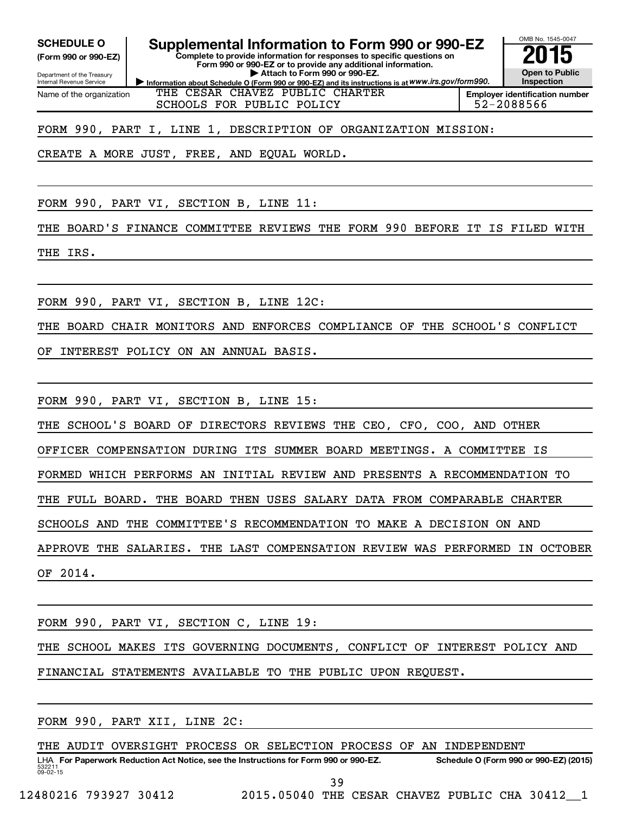**(Form 990 or 990-EZ)**

Department of the Treasury Internal Revenue Service Name of the organization

# SCHEDULE O **Supplemental Information to Form 990 or 990-EZ** 2015<br>(Form 990 or 990-EZ) Complete to provide information for responses to specific questions on

**Complete to provide information for responses to specific questions on Form 990 or 990-EZ or to provide any additional information. | Attach to Form 990 or 990-EZ.**



**Information about Schedule O (Form 990 or 990-EZ) and its instructions is at WWW.irs.gov/form990.** THE CESAR CHAVEZ PUBLIC CHARTER SCHOOLS FOR PUBLIC POLICY FOR SCHOOLS FOR PUBLIC POLICY

FORM 990, PART I, LINE 1, DESCRIPTION OF ORGANIZATION MISSION:

CREATE A MORE JUST, FREE, AND EQUAL WORLD.

FORM 990, PART VI, SECTION B, LINE 11:

THE BOARD'S FINANCE COMMITTEE REVIEWS THE FORM 990 BEFORE IT IS FILED WITH THE IRS.

FORM 990, PART VI, SECTION B, LINE 12C:

THE BOARD CHAIR MONITORS AND ENFORCES COMPLIANCE OF THE SCHOOL'S CONFLICT

OF INTEREST POLICY ON AN ANNUAL BASIS.

FORM 990, PART VI, SECTION B, LINE 15:

THE SCHOOL'S BOARD OF DIRECTORS REVIEWS THE CEO, CFO, COO, AND OTHER

OFFICER COMPENSATION DURING ITS SUMMER BOARD MEETINGS. A COMMITTEE IS

FORMED WHICH PERFORMS AN INITIAL REVIEW AND PRESENTS A RECOMMENDATION TO

THE FULL BOARD. THE BOARD THEN USES SALARY DATA FROM COMPARABLE CHARTER

SCHOOLS AND THE COMMITTEE'S RECOMMENDATION TO MAKE A DECISION ON AND

APPROVE THE SALARIES. THE LAST COMPENSATION REVIEW WAS PERFORMED IN OCTOBER OF 2014.

FORM 990, PART VI, SECTION C, LINE 19:

THE SCHOOL MAKES ITS GOVERNING DOCUMENTS, CONFLICT OF INTEREST POLICY AND FINANCIAL STATEMENTS AVAILABLE TO THE PUBLIC UPON REQUEST.

FORM 990, PART XII, LINE 2C:

532211  $09 - 02 - 15$ LHA For Paperwork Reduction Act Notice, see the Instructions for Form 990 or 990-EZ. Schedule O (Form 990 or 990-EZ) (2015) THE AUDIT OVERSIGHT PROCESS OR SELECTION PROCESS OF AN INDEPENDENT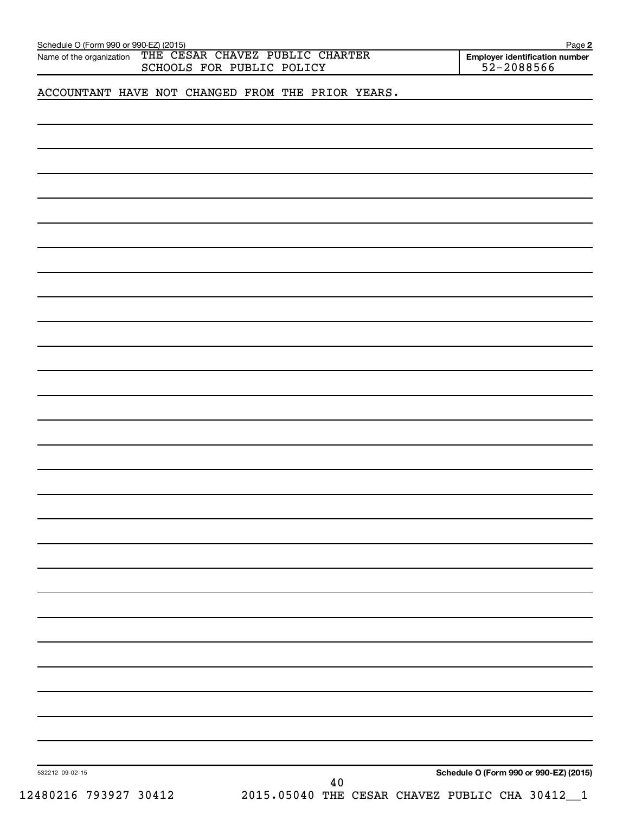| Schedule O (Form 990 or 990-EZ) (2015)<br>Name of the organization | THE CESAR CHAVEZ PUBLIC CHARTER                   | Page 2<br><b>Employer identification number</b> |
|--------------------------------------------------------------------|---------------------------------------------------|-------------------------------------------------|
|                                                                    | SCHOOLS FOR PUBLIC POLICY                         | 52-2088566                                      |
|                                                                    | ACCOUNTANT HAVE NOT CHANGED FROM THE PRIOR YEARS. |                                                 |
|                                                                    |                                                   |                                                 |
|                                                                    |                                                   |                                                 |
|                                                                    |                                                   |                                                 |
|                                                                    |                                                   |                                                 |
|                                                                    |                                                   |                                                 |
|                                                                    |                                                   |                                                 |
|                                                                    |                                                   |                                                 |
|                                                                    |                                                   |                                                 |
|                                                                    |                                                   |                                                 |
|                                                                    |                                                   |                                                 |
|                                                                    |                                                   |                                                 |
|                                                                    |                                                   |                                                 |
|                                                                    |                                                   |                                                 |
|                                                                    |                                                   |                                                 |
|                                                                    |                                                   |                                                 |
|                                                                    |                                                   |                                                 |
|                                                                    |                                                   |                                                 |
|                                                                    |                                                   |                                                 |
|                                                                    |                                                   |                                                 |
|                                                                    |                                                   |                                                 |
|                                                                    |                                                   |                                                 |
|                                                                    |                                                   |                                                 |
|                                                                    |                                                   |                                                 |
|                                                                    |                                                   |                                                 |
|                                                                    |                                                   |                                                 |
|                                                                    |                                                   |                                                 |
|                                                                    |                                                   |                                                 |
|                                                                    |                                                   |                                                 |
|                                                                    |                                                   |                                                 |
|                                                                    |                                                   |                                                 |
|                                                                    |                                                   |                                                 |
|                                                                    |                                                   |                                                 |
|                                                                    |                                                   |                                                 |
|                                                                    |                                                   |                                                 |
|                                                                    |                                                   |                                                 |
|                                                                    |                                                   |                                                 |
|                                                                    |                                                   |                                                 |
|                                                                    |                                                   |                                                 |